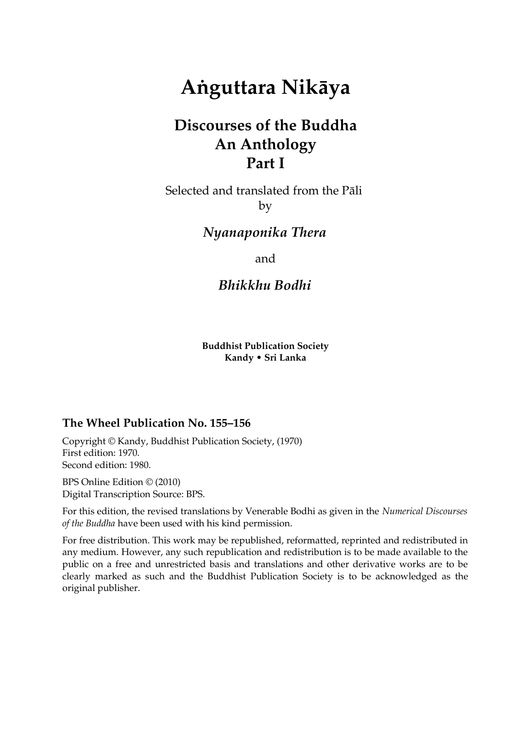# **Aṅguttara Nikāya**

# **Discourses of the Buddha An Anthology Part I**

Selected and translated from the Pāli by

*Nyanaponika Thera*

and

*Bhikkhu Bodhi*

**Buddhist Publication Society Kandy • Sri Lanka**

#### **The Wheel Publication No. 155–156**

Copyright © Kandy, Buddhist Publication Society, (1970) First edition: 1970. Second edition: 1980.

BPS Online Edition © (2010) Digital Transcription Source: BPS.

For this edition, the revised translations by Venerable Bodhi as given in the *Numerical Discourses of the Buddha* have been used with his kind permission.

For free distribution. This work may be republished, reformatted, reprinted and redistributed in any medium. However, any such republication and redistribution is to be made available to the public on a free and unrestricted basis and translations and other derivative works are to be clearly marked as such and the Buddhist Publication Society is to be acknowledged as the original publisher.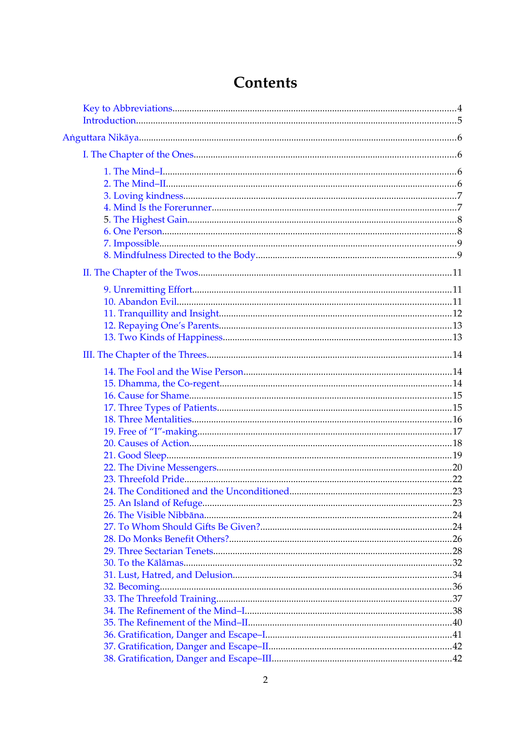# Contents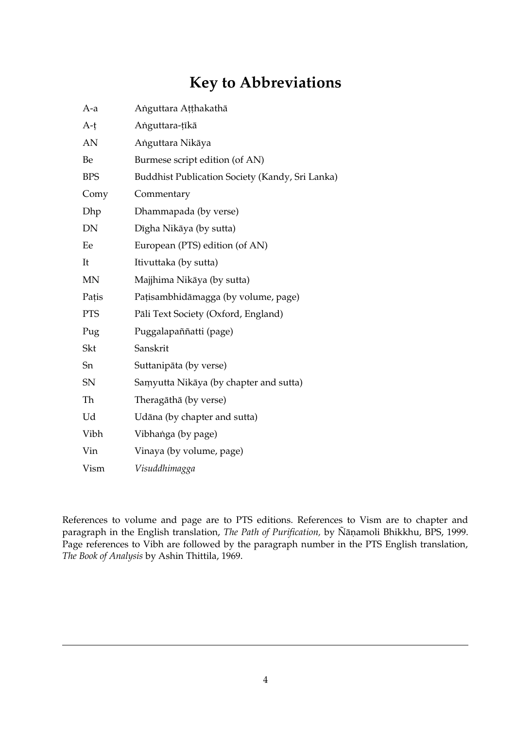# <span id="page-3-0"></span>**Key to Abbreviations**

| A-a        | Anguttara Ațțhakathā                            |
|------------|-------------------------------------------------|
| $A-t$      | Anguttara-țīkā                                  |
| AN         | Anguttara Nikāya                                |
| Be         | Burmese script edition (of AN)                  |
| <b>BPS</b> | Buddhist Publication Society (Kandy, Sri Lanka) |
| Comy       | Commentary                                      |
| Dhp        | Dhammapada (by verse)                           |
| DN         | Dīgha Nikāya (by sutta)                         |
| Ee         | European (PTS) edition (of AN)                  |
| It         | Itivuttaka (by sutta)                           |
| <b>MN</b>  | Majjhima Nikāya (by sutta)                      |
| Pațis      | Pațisambhidāmagga (by volume, page)             |
| <b>PTS</b> | Pāli Text Society (Oxford, England)             |
| Pug        | Puggalapaññatti (page)                          |
| Skt        | Sanskrit                                        |
| Sn         | Suttanipāta (by verse)                          |
| SN         | Samyutta Nikāya (by chapter and sutta)          |
| Th         | Theragāthā (by verse)                           |
| Ud         | Udāna (by chapter and sutta)                    |
| Vibh       | Vibhanga (by page)                              |
| Vin        | Vinaya (by volume, page)                        |
| Vism       | Visuddhimagga                                   |

References to volume and page are to PTS editions. References to Vism are to chapter and paragraph in the English translation, *The Path of Purification,* by Ñāṇamoli Bhikkhu, BPS, 1999. Page references to Vibh are followed by the paragraph number in the PTS English translation, *The Book of Analysis* by Ashin Thittila, 1969.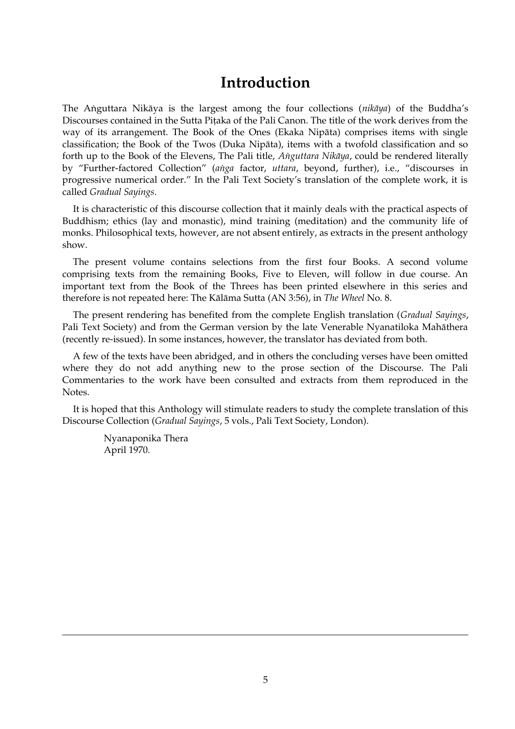# <span id="page-4-0"></span>**Introduction**

The Aṅguttara Nikāya is the largest among the four collections (*nikāya*) of the Buddha's Discourses contained in the Sutta Piṭaka of the Pali Canon. The title of the work derives from the way of its arrangement. The Book of the Ones (Ekaka Nipāta) comprises items with single classification; the Book of the Twos (Duka Nipāta), items with a twofold classification and so forth up to the Book of the Elevens, The Pali title, *Aṅguttara Nikāya*, could be rendered literally by "Further-factored Collection" (*aṅga* factor, *uttara*, beyond, further), i.e., "discourses in progressive numerical order." In the Pali Text Society's translation of the complete work, it is called *Gradual Sayings*.

It is characteristic of this discourse collection that it mainly deals with the practical aspects of Buddhism; ethics (lay and monastic), mind training (meditation) and the community life of monks. Philosophical texts, however, are not absent entirely, as extracts in the present anthology show.

The present volume contains selections from the first four Books. A second volume comprising texts from the remaining Books, Five to Eleven, will follow in due course. An important text from the Book of the Threes has been printed elsewhere in this series and therefore is not repeated here: The Kālāma Sutta (AN 3:56), in *The Wheel* No. 8.

The present rendering has benefited from the complete English translation (*Gradual Sayings*, Pali Text Society) and from the German version by the late Venerable Nyanatiloka Mahāthera (recently re-issued). In some instances, however, the translator has deviated from both.

A few of the texts have been abridged, and in others the concluding verses have been omitted where they do not add anything new to the prose section of the Discourse. The Pali Commentaries to the work have been consulted and extracts from them reproduced in the Notes.

It is hoped that this Anthology will stimulate readers to study the complete translation of this Discourse Collection (*Gradual Sayings*, 5 vols., Pali Text Society, London).

> Nyanaponika Thera April 1970.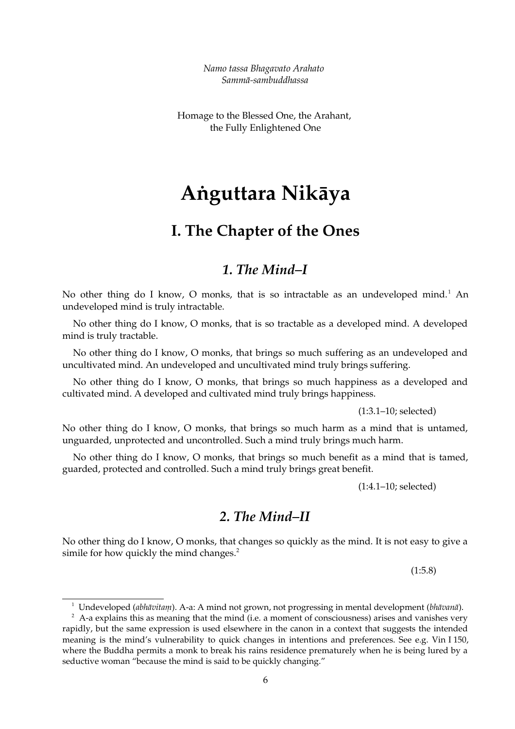*Namo tassa Bhagavato Arahato Sammā-sambuddhassa*

Homage to the Blessed One, the Arahant, the Fully Enlightened One

# <span id="page-5-3"></span>**Aṅguttara Nikāya**

# <span id="page-5-2"></span>**I. The Chapter of the Ones**

#### <span id="page-5-1"></span>*1. The Mind–I*

No other thing do I know, O monks, that is so intractable as an undeveloped mind.<sup>[1](#page-5-4)</sup> An undeveloped mind is truly intractable.

No other thing do I know, O monks, that is so tractable as a developed mind. A developed mind is truly tractable.

No other thing do I know, O monks, that brings so much suffering as an undeveloped and uncultivated mind. An undeveloped and uncultivated mind truly brings suffering.

No other thing do I know, O monks, that brings so much happiness as a developed and cultivated mind. A developed and cultivated mind truly brings happiness.

(1:3.1–10; selected)

No other thing do I know, O monks, that brings so much harm as a mind that is untamed, unguarded, unprotected and uncontrolled. Such a mind truly brings much harm.

No other thing do I know, O monks, that brings so much benefit as a mind that is tamed, guarded, protected and controlled. Such a mind truly brings great benefit.

(1:4.1–10; selected)

#### <span id="page-5-0"></span>*2. The Mind–II*

No other thing do I know, O monks, that changes so quickly as the mind. It is not easy to give a simile for how quickly the mind changes.<sup>[2](#page-5-5)</sup>

(1:5.8)

<span id="page-5-5"></span><span id="page-5-4"></span><sup>1</sup> Undeveloped (*abhāvitaṃ*). A-a: A mind not grown, not progressing in mental development (*bhāvanā*).

 $2$  A-a explains this as meaning that the mind (i.e. a moment of consciousness) arises and vanishes very rapidly, but the same expression is used elsewhere in the canon in a context that suggests the intended meaning is the mind's vulnerability to quick changes in intentions and preferences. See e.g. Vin I 150, where the Buddha permits a monk to break his rains residence prematurely when he is being lured by a seductive woman "because the mind is said to be quickly changing."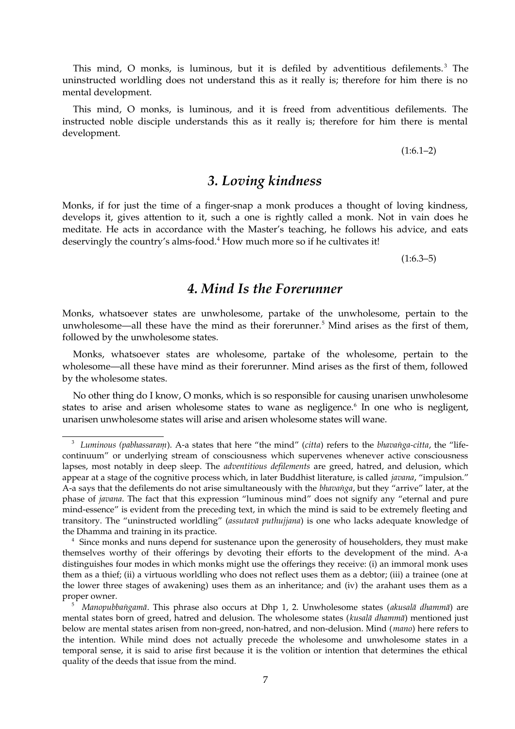This mind, O monks, is luminous, but it is defiled by adventitious defilements.<sup>[3](#page-6-2)</sup> The uninstructed worldling does not understand this as it really is; therefore for him there is no mental development.

This mind, O monks, is luminous, and it is freed from adventitious defilements. The instructed noble disciple understands this as it really is; therefore for him there is mental development.

 $(1:6.1-2)$ 

#### <span id="page-6-1"></span>*3. Loving kindness*

Monks, if for just the time of a finger-snap a monk produces a thought of loving kindness, develops it, gives attention to it, such a one is rightly called a monk. Not in vain does he meditate. He acts in accordance with the Master's teaching, he follows his advice, and eats deservingly the country's alms-food.<sup>[4](#page-6-3)</sup> How much more so if he cultivates it!

 $(1:6.3-5)$ 

#### <span id="page-6-0"></span>*4. Mind Is the Forerunner*

Monks, whatsoever states are unwholesome, partake of the unwholesome, pertain to the unwholesome—all these have the mind as their forerunner.<sup>[5](#page-6-4)</sup> Mind arises as the first of them, followed by the unwholesome states.

Monks, whatsoever states are wholesome, partake of the wholesome, pertain to the wholesome—all these have mind as their forerunner. Mind arises as the first of them, followed by the wholesome states.

No other thing do I know, O monks, which is so responsible for causing unarisen unwholesome states to arise and arisen wholesome states to wane as negligence.<sup>[6](#page-7-2)</sup> In one who is negligent, unarisen unwholesome states will arise and arisen wholesome states will wane.

<span id="page-6-2"></span><sup>3</sup> *Luminous (pabhassaraṃ*). A-a states that here "the mind" (*citta*) refers to the *bhavaṅga-citta*, the "lifecontinuum" or underlying stream of consciousness which supervenes whenever active consciousness lapses, most notably in deep sleep. The *adventitious defilements* are greed, hatred, and delusion, which appear at a stage of the cognitive process which, in later Buddhist literature, is called *javana*, "impulsion." A-a says that the defilements do not arise simultaneously with the *bhavaṅga*, but they "arrive" later, at the phase of *javana*. The fact that this expression "luminous mind" does not signify any "eternal and pure mind-essence" is evident from the preceding text, in which the mind is said to be extremely fleeting and transitory. The "uninstructed worldling" (*assutavā puthujjana*) is one who lacks adequate knowledge of the Dhamma and training in its practice.

<span id="page-6-3"></span><sup>4</sup> Since monks and nuns depend for sustenance upon the generosity of householders, they must make themselves worthy of their offerings by devoting their efforts to the development of the mind. A-a distinguishes four modes in which monks might use the offerings they receive: (i) an immoral monk uses them as a thief; (ii) a virtuous worldling who does not reflect uses them as a debtor; (iii) a trainee (one at the lower three stages of awakening) uses them as an inheritance; and (iv) the arahant uses them as a proper owner.

<span id="page-6-4"></span><sup>5</sup> *Manopubbaṅgamā*. This phrase also occurs at Dhp 1, 2. Unwholesome states (*akusalā dhammā*) are mental states born of greed, hatred and delusion. The wholesome states (*kusalā dhammā*) mentioned just below are mental states arisen from non-greed, non-hatred, and non-delusion. Mind (*mano*) here refers to the intention. While mind does not actually precede the wholesome and unwholesome states in a temporal sense, it is said to arise first because it is the volition or intention that determines the ethical quality of the deeds that issue from the mind.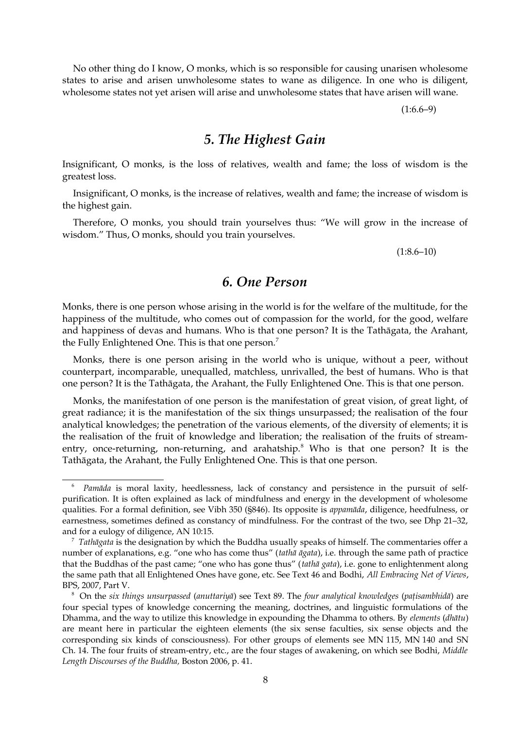No other thing do I know, O monks, which is so responsible for causing unarisen wholesome states to arise and arisen unwholesome states to wane as diligence. In one who is diligent, wholesome states not yet arisen will arise and unwholesome states that have arisen will wane.

 $(1:6.6-9)$ 

#### <span id="page-7-1"></span>*5. The Highest Gain*

Insignificant, O monks, is the loss of relatives, wealth and fame; the loss of wisdom is the greatest loss.

Insignificant, O monks, is the increase of relatives, wealth and fame; the increase of wisdom is the highest gain.

Therefore, O monks, you should train yourselves thus: "We will grow in the increase of wisdom." Thus, O monks, should you train yourselves.

 $(1:8.6-10)$ 

#### <span id="page-7-0"></span>*6. One Person*

Monks, there is one person whose arising in the world is for the welfare of the multitude, for the happiness of the multitude, who comes out of compassion for the world, for the good, welfare and happiness of devas and humans. Who is that one person? It is the Tathāgata, the Arahant, the Fully Enlightened One. This is that one person.<sup>[7](#page-7-3)</sup>

Monks, there is one person arising in the world who is unique, without a peer, without counterpart, incomparable, unequalled, matchless, unrivalled, the best of humans. Who is that one person? It is the Tathāgata, the Arahant, the Fully Enlightened One. This is that one person.

Monks, the manifestation of one person is the manifestation of great vision, of great light, of great radiance; it is the manifestation of the six things unsurpassed; the realisation of the four analytical knowledges; the penetration of the various elements, of the diversity of elements; it is the realisation of the fruit of knowledge and liberation; the realisation of the fruits of stream-entry, once-returning, non-returning, and arahatship.<sup>[8](#page-7-4)</sup> Who is that one person? It is the Tathāgata, the Arahant, the Fully Enlightened One. This is that one person.

<span id="page-7-2"></span><sup>6</sup> *Pamāda* is moral laxity, heedlessness, lack of constancy and persistence in the pursuit of selfpurification. It is often explained as lack of mindfulness and energy in the development of wholesome qualities. For a formal definition, see Vibh 350 (§846). Its opposite is *appamāda*, diligence, heedfulness, or earnestness, sometimes defined as constancy of mindfulness. For the contrast of the two, see Dhp 21–32, and for a eulogy of diligence, AN 10:15.

<span id="page-7-3"></span><sup>7</sup> *Tathāgata* is the designation by which the Buddha usually speaks of himself. The commentaries offer a number of explanations, e.g. "one who has come thus" (*tathā āgata*), i.e. through the same path of practice that the Buddhas of the past came; "one who has gone thus" (*tathā gata*), i.e. gone to enlightenment along the same path that all Enlightened Ones have gone, etc. See Text 46 and Bodhi, *All Embracing Net of Views*, BPS, 2007, Part V.

<span id="page-7-4"></span><sup>8</sup> On the *six things unsurpassed* (*anuttariyā*) see Text 89. The *four analytical knowledges* (*paṭisambhidā*) are four special types of knowledge concerning the meaning, doctrines, and linguistic formulations of the Dhamma, and the way to utilize this knowledge in expounding the Dhamma to others. By *elements* (*dhātu*) are meant here in particular the eighteen elements (the six sense faculties, six sense objects and the corresponding six kinds of consciousness). For other groups of elements see MN 115, MN 140 and SN Ch. 14. The four fruits of stream-entry, etc., are the four stages of awakening, on which see Bodhi, *Middle Length Discourses of the Buddha,* Boston 2006, p. 41.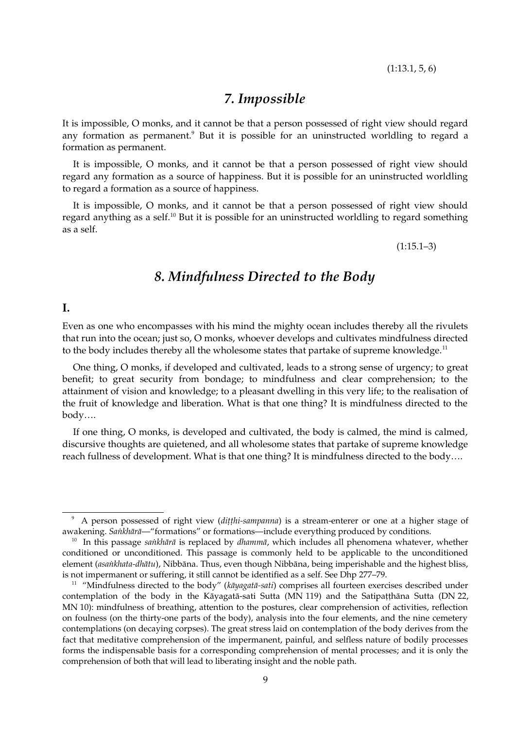(1:13.1, 5, 6)

#### <span id="page-8-1"></span>*7. Impossible*

It is impossible, O monks, and it cannot be that a person possessed of right view should regard any formation as permanent.<sup>[9](#page-8-2)</sup> But it is possible for an uninstructed worldling to regard a formation as permanent.

It is impossible, O monks, and it cannot be that a person possessed of right view should regard any formation as a source of happiness. But it is possible for an uninstructed worldling to regard a formation as a source of happiness.

It is impossible, O monks, and it cannot be that a person possessed of right view should regard anything as a self.<sup>[10](#page-8-3)</sup> But it is possible for an uninstructed worldling to regard something as a self.

(1:15.1–3)

# <span id="page-8-0"></span>*8. Mindfulness Directed to the Body*

#### **I.**

Even as one who encompasses with his mind the mighty ocean includes thereby all the rivulets that run into the ocean; just so, O monks, whoever develops and cultivates mindfulness directed to the body includes thereby all the wholesome states that partake of supreme knowledge.<sup>[11](#page-8-4)</sup>

One thing, O monks, if developed and cultivated, leads to a strong sense of urgency; to great benefit; to great security from bondage; to mindfulness and clear comprehension; to the attainment of vision and knowledge; to a pleasant dwelling in this very life; to the realisation of the fruit of knowledge and liberation. What is that one thing? It is mindfulness directed to the body….

If one thing, O monks, is developed and cultivated, the body is calmed, the mind is calmed, discursive thoughts are quietened, and all wholesome states that partake of supreme knowledge reach fullness of development. What is that one thing? It is mindfulness directed to the body….

<span id="page-8-2"></span><sup>9</sup> A person possessed of right view (*diṭṭhi-sampanna*) is a stream-enterer or one at a higher stage of awakening. *Saṅkhārā*—"formations" or formations—include everything produced by conditions.

<span id="page-8-3"></span><sup>10</sup> In this passage *saṅkhārā* is replaced by *dhammā*, which includes all phenomena whatever, whether conditioned or unconditioned. This passage is commonly held to be applicable to the unconditioned element (*asaṅkhata-dhātu*), Nibbāna. Thus, even though Nibbāna, being imperishable and the highest bliss, is not impermanent or suffering, it still cannot be identified as a self. See Dhp 277–79.

<span id="page-8-4"></span><sup>11</sup> "Mindfulness directed to the body" (*kāyagatā-sati*) comprises all fourteen exercises described under contemplation of the body in the Kāyagatā-sati Sutta (MN 119) and the Satipaṭṭhāna Sutta (DN 22, MN 10): mindfulness of breathing, attention to the postures, clear comprehension of activities, reflection on foulness (on the thirty-one parts of the body), analysis into the four elements, and the nine cemetery contemplations (on decaying corpses). The great stress laid on contemplation of the body derives from the fact that meditative comprehension of the impermanent, painful, and selfless nature of bodily processes forms the indispensable basis for a corresponding comprehension of mental processes; and it is only the comprehension of both that will lead to liberating insight and the noble path.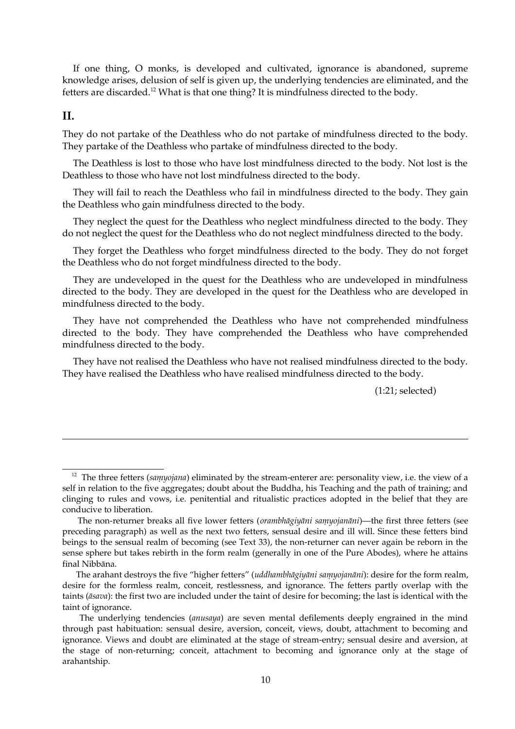If one thing, O monks, is developed and cultivated, ignorance is abandoned, supreme knowledge arises, delusion of self is given up, the underlying tendencies are eliminated, and the fetters are discarded.[12](#page-9-0) What is that one thing? It is mindfulness directed to the body.

#### **II.**

They do not partake of the Deathless who do not partake of mindfulness directed to the body. They partake of the Deathless who partake of mindfulness directed to the body.

The Deathless is lost to those who have lost mindfulness directed to the body. Not lost is the Deathless to those who have not lost mindfulness directed to the body.

They will fail to reach the Deathless who fail in mindfulness directed to the body. They gain the Deathless who gain mindfulness directed to the body.

They neglect the quest for the Deathless who neglect mindfulness directed to the body. They do not neglect the quest for the Deathless who do not neglect mindfulness directed to the body.

They forget the Deathless who forget mindfulness directed to the body. They do not forget the Deathless who do not forget mindfulness directed to the body.

They are undeveloped in the quest for the Deathless who are undeveloped in mindfulness directed to the body. They are developed in the quest for the Deathless who are developed in mindfulness directed to the body.

They have not comprehended the Deathless who have not comprehended mindfulness directed to the body. They have comprehended the Deathless who have comprehended mindfulness directed to the body.

They have not realised the Deathless who have not realised mindfulness directed to the body. They have realised the Deathless who have realised mindfulness directed to the body.

(1:21; selected)

<span id="page-9-0"></span><sup>&</sup>lt;sup>12</sup> The three fetters (samyojana) eliminated by the stream-enterer are: personality view, i.e. the view of a self in relation to the five aggregates; doubt about the Buddha, his Teaching and the path of training; and clinging to rules and vows, i.e. penitential and ritualistic practices adopted in the belief that they are conducive to liberation.

The non-returner breaks all five lower fetters (*orambhāgiyāni saṃyojanāni*)—the first three fetters (see preceding paragraph) as well as the next two fetters, sensual desire and ill will. Since these fetters bind beings to the sensual realm of becoming (see Text 33), the non-returner can never again be reborn in the sense sphere but takes rebirth in the form realm (generally in one of the Pure Abodes), where he attains final Nibbāna.

The arahant destroys the five "higher fetters" (*uddhambhāgiyāni saṃyojanāni*): desire for the form realm, desire for the formless realm, conceit, restlessness, and ignorance. The fetters partly overlap with the taints (*āsava*): the first two are included under the taint of desire for becoming; the last is identical with the taint of ignorance.

The underlying tendencies (*anusaya*) are seven mental defilements deeply engrained in the mind through past habituation: sensual desire, aversion, conceit, views, doubt, attachment to becoming and ignorance. Views and doubt are eliminated at the stage of stream-entry; sensual desire and aversion, at the stage of non-returning; conceit, attachment to becoming and ignorance only at the stage of arahantship.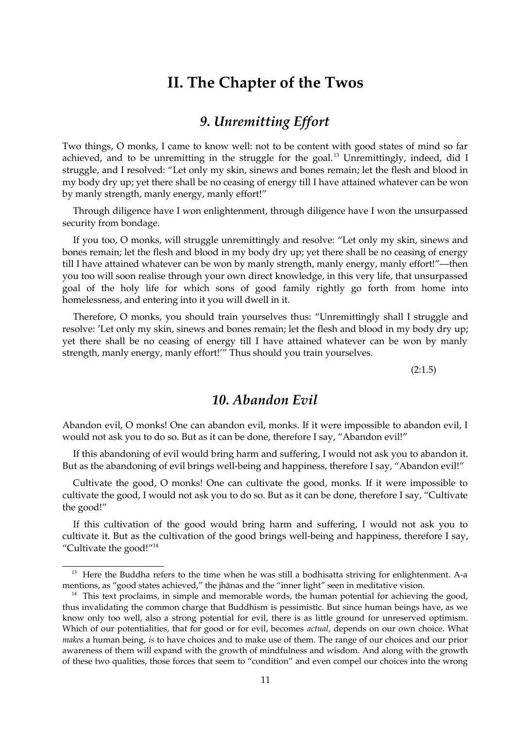## <span id="page-10-2"></span>**II. The Chapter of the Twos**

### <span id="page-10-1"></span>*9. Unremitting Effort*

Two things, O monks, I came to know well: not to be content with good states of mind so far achieved, and to be unremitting in the struggle for the goal.<sup>[13](#page-10-3)</sup> Unremittingly, indeed, did I struggle, and I resolved: "Let only my skin, sinews and bones remain; let the flesh and blood in my body dry up; yet there shall be no ceasing of energy till I have attained whatever can be won by manly strength, manly energy, manly effort!"

Through diligence have I won enlightenment, through diligence have I won the unsurpassed security from bondage.

If you too, O monks, will struggle unremittingly and resolve: "Let only my skin, sinews and bones remain; let the flesh and blood in my body dry up; yet there shall be no ceasing of energy till I have attained whatever can be won by manly strength, manly energy, manly effort!"—then you too will soon realise through your own direct knowledge, in this very life, that unsurpassed goal of the holy life for which sons of good family rightly go forth from home into homelessness, and entering into it you will dwell in it.

Therefore, O monks, you should train yourselves thus: "Unremittingly shall I struggle and resolve: 'Let only my skin, sinews and bones remain; let the flesh and blood in my body dry up; yet there shall be no ceasing of energy till I have attained whatever can be won by manly strength, manly energy, manly effort!'" Thus should you train yourselves.

(2:1.5)

#### <span id="page-10-0"></span>*10. Abandon Evil*

Abandon evil, O monks! One can abandon evil, monks. If it were impossible to abandon evil, I would not ask you to do so. But as it can be done, therefore I say, "Abandon evil!"

If this abandoning of evil would bring harm and suffering, I would not ask you to abandon it. But as the abandoning of evil brings well-being and happiness, therefore I say, "Abandon evil!"

Cultivate the good, O monks! One can cultivate the good, monks. If it were impossible to cultivate the good, I would not ask you to do so. But as it can be done, therefore I say, "Cultivate the good!"

If this cultivation of the good would bring harm and suffering, I would not ask you to cultivate it. But as the cultivation of the good brings well-being and happiness, therefore I say, "Cultivate the good!"[14](#page-10-4)

<span id="page-10-3"></span><sup>&</sup>lt;sup>13</sup> Here the Buddha refers to the time when he was still a bodhisatta striving for enlightenment. A-a mentions, as "good states achieved," the jhānas and the "inner light" seen in meditative vision.

<span id="page-10-4"></span> $14$  This text proclaims, in simple and memorable words, the human potential for achieving the good, thus invalidating the common charge that Buddhism is pessimistic. But since human beings have, as we know only too well, also a strong potential for evil, there is as little ground for unreserved optimism. Which of our potentialities, that for good or for evil, becomes *actual*, depends on our own choice. What *makes* a human being, *is* to have choices and to make use of them. The range of our choices and our prior awareness of them will expand with the growth of mindfulness and wisdom. And along with the growth of these two qualities, those forces that seem to "condition" and even compel our choices into the wrong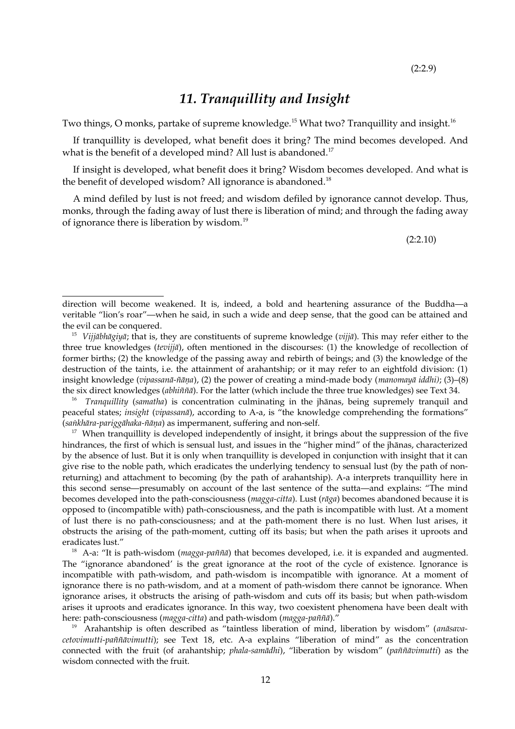#### <span id="page-11-0"></span>*11. Tranquillity and Insight*

Two things, O monks, partake of supreme knowledge.<sup>[15](#page-11-1)</sup> What two? Tranquillity and insight.<sup>[16](#page-11-2)</sup>

If tranquillity is developed, what benefit does it bring? The mind becomes developed. And what is the benefit of a developed mind? All lust is abandoned.<sup>[17](#page-11-3)</sup>

If insight is developed, what benefit does it bring? Wisdom becomes developed. And what is the benefit of developed wisdom? All ignorance is abandoned.<sup>[18](#page-11-4)</sup>

A mind defiled by lust is not freed; and wisdom defiled by ignorance cannot develop. Thus, monks, through the fading away of lust there is liberation of mind; and through the fading away of ignorance there is liberation by wisdom.[19](#page-11-5)

(2:2.10)

<span id="page-11-2"></span>16 *Tranquillity* (*samatha*) is concentration culminating in the jhānas, being supremely tranquil and peaceful states; *insight* (*vipassanā*), according to A-a, is "the knowledge comprehending the formations" (*saṅkhāra-pariggāhaka-ñāṇa*) as impermanent, suffering and non-self.

<span id="page-11-3"></span><sup>17</sup> When tranquillity is developed independently of insight, it brings about the suppression of the five hindrances, the first of which is sensual lust, and issues in the "higher mind" of the jhānas, characterized by the absence of lust. But it is only when tranquillity is developed in conjunction with insight that it can give rise to the noble path, which eradicates the underlying tendency to sensual lust (by the path of nonreturning) and attachment to becoming (by the path of arahantship). A-a interprets tranquillity here in this second sense—presumably on account of the last sentence of the sutta—and explains: "The mind becomes developed into the path-consciousness (*magga-citta*). Lust (*rāga*) becomes abandoned because it is opposed to (incompatible with) path-consciousness, and the path is incompatible with lust. At a moment of lust there is no path-consciousness; and at the path-moment there is no lust. When lust arises, it obstructs the arising of the path-moment, cutting off its basis; but when the path arises it uproots and eradicates lust."

<span id="page-11-4"></span><sup>18</sup> A-a: "It is path-wisdom (*magga-paññā*) that becomes developed, i.e. it is expanded and augmented. The "ignorance abandoned' is the great ignorance at the root of the cycle of existence. Ignorance is incompatible with path-wisdom, and path-wisdom is incompatible with ignorance. At a moment of ignorance there is no path-wisdom, and at a moment of path-wisdom there cannot be ignorance. When ignorance arises, it obstructs the arising of path-wisdom and cuts off its basis; but when path-wisdom arises it uproots and eradicates ignorance. In this way, two coexistent phenomena have been dealt with here: path-consciousness (*magga-citta*) and path-wisdom (*magga-paññā*)."

<span id="page-11-5"></span>19 Arahantship is often described as "taintless liberation of mind, liberation by wisdom" (*anāsavacetovimutti-paññāvimutti*); see Text 18, etc. A-a explains "liberation of mind" as the concentration connected with the fruit (of arahantship; *phala-samādhi*), "liberation by wisdom" (*paññāvimutti*) as the wisdom connected with the fruit.

direction will become weakened. It is, indeed, a bold and heartening assurance of the Buddha—a veritable "lion's roar"—when he said, in such a wide and deep sense, that the good can be attained and the evil can be conquered.

<span id="page-11-1"></span><sup>15</sup> *Vijjābhāgiyā*; that is, they are constituents of supreme knowledge (*vijjā*). This may refer either to the three true knowledges (*tevijjā*), often mentioned in the discourses: (1) the knowledge of recollection of former births; (2) the knowledge of the passing away and rebirth of beings; and (3) the knowledge of the destruction of the taints, i.e. the attainment of arahantship; or it may refer to an eightfold division: (1) insight knowledge (*vipassanā-ñāṇa*), (2) the power of creating a mind-made body (*manomayā iddhi)*; (3)–(8) the six direct knowledges (*abhiññā*). For the latter (which include the three true knowledges) see Text 34.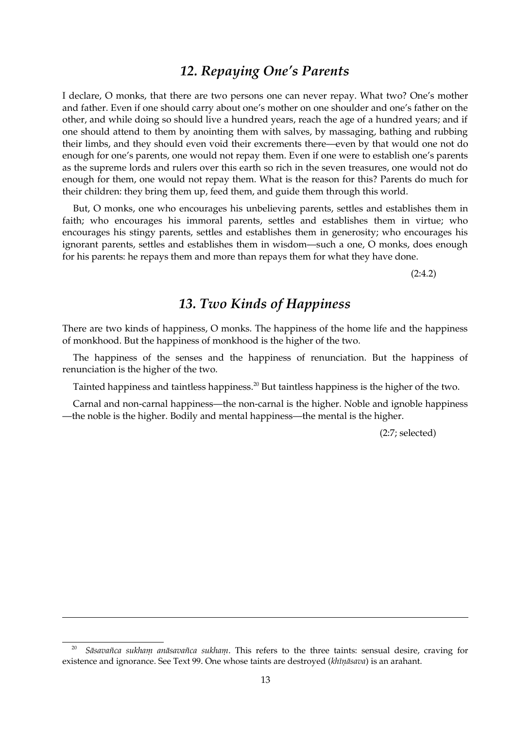#### <span id="page-12-1"></span>*12. Repaying One's Parents*

I declare, O monks, that there are two persons one can never repay. What two? One's mother and father. Even if one should carry about one's mother on one shoulder and one's father on the other, and while doing so should live a hundred years, reach the age of a hundred years; and if one should attend to them by anointing them with salves, by massaging, bathing and rubbing their limbs, and they should even void their excrements there—even by that would one not do enough for one's parents, one would not repay them. Even if one were to establish one's parents as the supreme lords and rulers over this earth so rich in the seven treasures, one would not do enough for them, one would not repay them. What is the reason for this? Parents do much for their children: they bring them up, feed them, and guide them through this world.

But, O monks, one who encourages his unbelieving parents, settles and establishes them in faith; who encourages his immoral parents, settles and establishes them in virtue; who encourages his stingy parents, settles and establishes them in generosity; who encourages his ignorant parents, settles and establishes them in wisdom—such a one, O monks, does enough for his parents: he repays them and more than repays them for what they have done.

(2:4.2)

#### <span id="page-12-0"></span>*13. Two Kinds of Happiness*

There are two kinds of happiness, O monks. The happiness of the home life and the happiness of monkhood. But the happiness of monkhood is the higher of the two.

The happiness of the senses and the happiness of renunciation. But the happiness of renunciation is the higher of the two.

Tainted happiness and taintless happiness.<sup>[20](#page-12-2)</sup> But taintless happiness is the higher of the two.

Carnal and non-carnal happiness—the non-carnal is the higher. Noble and ignoble happiness —the noble is the higher. Bodily and mental happiness—the mental is the higher.

(2:7; selected)

<span id="page-12-2"></span><sup>20</sup> *Sāsavañca sukhaṃ anāsavañca sukhaṃ*. This refers to the three taints: sensual desire, craving for existence and ignorance. See Text 99. One whose taints are destroyed (*khīṇāsava*) is an arahant.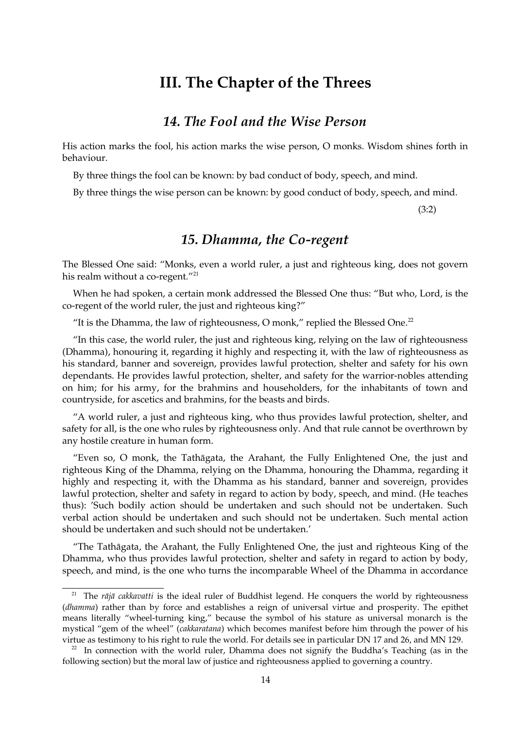#### <span id="page-13-2"></span>**III. The Chapter of the Threes**

#### <span id="page-13-1"></span>*14. The Fool and the Wise Person*

His action marks the fool, his action marks the wise person, O monks. Wisdom shines forth in behaviour.

By three things the fool can be known: by bad conduct of body, speech, and mind.

By three things the wise person can be known: by good conduct of body, speech, and mind.

(3:2)

#### <span id="page-13-0"></span>*15. Dhamma, the Co-regent*

The Blessed One said: "Monks, even a world ruler, a just and righteous king, does not govern his realm without a co-regent."<sup>[21](#page-13-3)</sup>

When he had spoken, a certain monk addressed the Blessed One thus: "But who, Lord, is the co-regent of the world ruler, the just and righteous king?"

"It is the Dhamma, the law of righteousness, O monk," replied the Blessed One. $^{22}$  $^{22}$  $^{22}$ 

"In this case, the world ruler, the just and righteous king, relying on the law of righteousness (Dhamma), honouring it, regarding it highly and respecting it, with the law of righteousness as his standard, banner and sovereign, provides lawful protection, shelter and safety for his own dependants. He provides lawful protection, shelter, and safety for the warrior-nobles attending on him; for his army, for the brahmins and householders, for the inhabitants of town and countryside, for ascetics and brahmins, for the beasts and birds.

"A world ruler, a just and righteous king, who thus provides lawful protection, shelter, and safety for all, is the one who rules by righteousness only. And that rule cannot be overthrown by any hostile creature in human form.

"Even so, O monk, the Tathāgata, the Arahant, the Fully Enlightened One, the just and righteous King of the Dhamma, relying on the Dhamma, honouring the Dhamma, regarding it highly and respecting it, with the Dhamma as his standard, banner and sovereign, provides lawful protection, shelter and safety in regard to action by body, speech, and mind. (He teaches thus): 'Such bodily action should be undertaken and such should not be undertaken. Such verbal action should be undertaken and such should not be undertaken. Such mental action should be undertaken and such should not be undertaken.'

"The Tathāgata, the Arahant, the Fully Enlightened One, the just and righteous King of the Dhamma, who thus provides lawful protection, shelter and safety in regard to action by body, speech, and mind, is the one who turns the incomparable Wheel of the Dhamma in accordance

<span id="page-13-3"></span><sup>&</sup>lt;sup>21</sup> The *rājā cakkavatti* is the ideal ruler of Buddhist legend. He conquers the world by righteousness (*dhamma*) rather than by force and establishes a reign of universal virtue and prosperity. The epithet means literally "wheel-turning king," because the symbol of his stature as universal monarch is the mystical "gem of the wheel" (*cakkaratana*) which becomes manifest before him through the power of his virtue as testimony to his right to rule the world. For details see in particular DN 17 and 26, and MN 129.

<span id="page-13-4"></span> $22$  In connection with the world ruler, Dhamma does not signify the Buddha's Teaching (as in the following section) but the moral law of justice and righteousness applied to governing a country.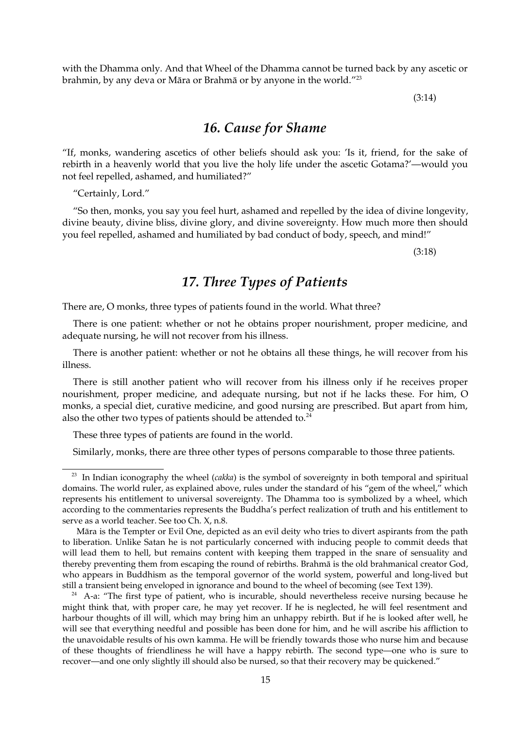with the Dhamma only. And that Wheel of the Dhamma cannot be turned back by any ascetic or brahmin, by any deva or Māra or Brahmā or by anyone in the world."[23](#page-14-2)

(3:14)

#### <span id="page-14-1"></span>*16. Cause for Shame*

"If, monks, wandering ascetics of other beliefs should ask you: 'Is it, friend, for the sake of rebirth in a heavenly world that you live the holy life under the ascetic Gotama?'—would you not feel repelled, ashamed, and humiliated?"

"Certainly, Lord."

"So then, monks, you say you feel hurt, ashamed and repelled by the idea of divine longevity, divine beauty, divine bliss, divine glory, and divine sovereignty. How much more then should you feel repelled, ashamed and humiliated by bad conduct of body, speech, and mind!"

(3:18)

## <span id="page-14-0"></span>*17. Three Types of Patients*

There are, O monks, three types of patients found in the world. What three?

There is one patient: whether or not he obtains proper nourishment, proper medicine, and adequate nursing, he will not recover from his illness.

There is another patient: whether or not he obtains all these things, he will recover from his illness.

There is still another patient who will recover from his illness only if he receives proper nourishment, proper medicine, and adequate nursing, but not if he lacks these. For him, O monks, a special diet, curative medicine, and good nursing are prescribed. But apart from him, also the other two types of patients should be attended to.<sup>[24](#page-14-3)</sup>

These three types of patients are found in the world.

Similarly, monks, there are three other types of persons comparable to those three patients.

<span id="page-14-2"></span><sup>23</sup> In Indian iconography the wheel (*cakka*) is the symbol of sovereignty in both temporal and spiritual domains. The world ruler, as explained above, rules under the standard of his "gem of the wheel," which represents his entitlement to universal sovereignty. The Dhamma too is symbolized by a wheel, which according to the commentaries represents the Buddha's perfect realization of truth and his entitlement to serve as a world teacher. See too Ch. X, n.8.

Māra is the Tempter or Evil One, depicted as an evil deity who tries to divert aspirants from the path to liberation. Unlike Satan he is not particularly concerned with inducing people to commit deeds that will lead them to hell, but remains content with keeping them trapped in the snare of sensuality and thereby preventing them from escaping the round of rebirths. Brahmā is the old brahmanical creator God, who appears in Buddhism as the temporal governor of the world system, powerful and long-lived but still a transient being enveloped in ignorance and bound to the wheel of becoming (see Text 139).

<span id="page-14-3"></span> $24$  A-a: "The first type of patient, who is incurable, should nevertheless receive nursing because he might think that, with proper care, he may yet recover. If he is neglected, he will feel resentment and harbour thoughts of ill will, which may bring him an unhappy rebirth. But if he is looked after well, he will see that everything needful and possible has been done for him, and he will ascribe his affliction to the unavoidable results of his own kamma. He will be friendly towards those who nurse him and because of these thoughts of friendliness he will have a happy rebirth. The second type—one who is sure to recover—and one only slightly ill should also be nursed, so that their recovery may be quickened."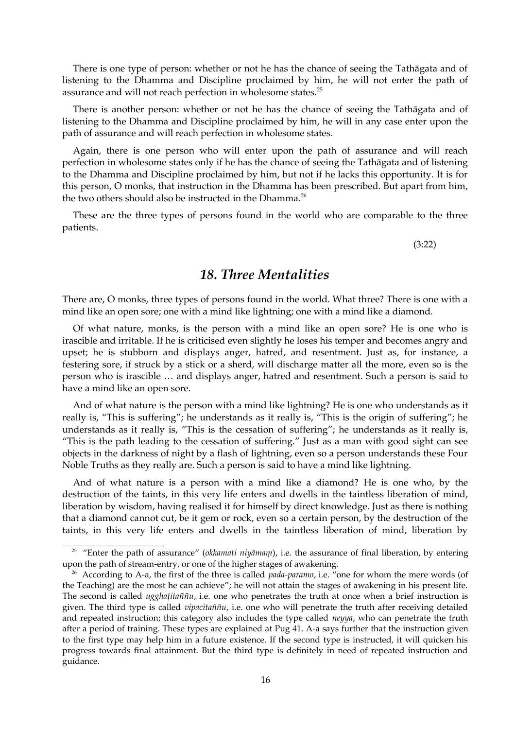There is one type of person: whether or not he has the chance of seeing the Tathāgata and of listening to the Dhamma and Discipline proclaimed by him, he will not enter the path of assurance and will not reach perfection in wholesome states.<sup>[25](#page-15-1)</sup>

There is another person: whether or not he has the chance of seeing the Tathāgata and of listening to the Dhamma and Discipline proclaimed by him, he will in any case enter upon the path of assurance and will reach perfection in wholesome states.

Again, there is one person who will enter upon the path of assurance and will reach perfection in wholesome states only if he has the chance of seeing the Tathāgata and of listening to the Dhamma and Discipline proclaimed by him, but not if he lacks this opportunity. It is for this person, O monks, that instruction in the Dhamma has been prescribed. But apart from him, the two others should also be instructed in the Dhamma.<sup>[26](#page-15-2)</sup>

These are the three types of persons found in the world who are comparable to the three patients.

(3:22)

#### <span id="page-15-0"></span>*18. Three Mentalities*

There are, O monks, three types of persons found in the world. What three? There is one with a mind like an open sore; one with a mind like lightning; one with a mind like a diamond.

Of what nature, monks, is the person with a mind like an open sore? He is one who is irascible and irritable. If he is criticised even slightly he loses his temper and becomes angry and upset; he is stubborn and displays anger, hatred, and resentment. Just as, for instance, a festering sore, if struck by a stick or a sherd, will discharge matter all the more, even so is the person who is irascible … and displays anger, hatred and resentment. Such a person is said to have a mind like an open sore.

And of what nature is the person with a mind like lightning? He is one who understands as it really is, "This is suffering"; he understands as it really is, "This is the origin of suffering"; he understands as it really is, "This is the cessation of suffering"; he understands as it really is, "This is the path leading to the cessation of suffering." Just as a man with good sight can see objects in the darkness of night by a flash of lightning, even so a person understands these Four Noble Truths as they really are. Such a person is said to have a mind like lightning.

And of what nature is a person with a mind like a diamond? He is one who, by the destruction of the taints, in this very life enters and dwells in the taintless liberation of mind, liberation by wisdom, having realised it for himself by direct knowledge. Just as there is nothing that a diamond cannot cut, be it gem or rock, even so a certain person, by the destruction of the taints, in this very life enters and dwells in the taintless liberation of mind, liberation by

<span id="page-15-1"></span><sup>25</sup> "Enter the path of assurance" (*okkamati niyāmaṃ*), i.e. the assurance of final liberation, by entering upon the path of stream-entry, or one of the higher stages of awakening.

<span id="page-15-2"></span><sup>&</sup>lt;sup>26</sup> According to A-a, the first of the three is called *pada-paramo*, i.e. "one for whom the mere words (of the Teaching) are the most he can achieve"; he will not attain the stages of awakening in his present life. The second is called *ugghaṭitaññu*, i.e. one who penetrates the truth at once when a brief instruction is given. The third type is called *vipacitaññu*, i.e. one who will penetrate the truth after receiving detailed and repeated instruction; this category also includes the type called *neyya*, who can penetrate the truth after a period of training. These types are explained at Pug 41. A-a says further that the instruction given to the first type may help him in a future existence. If the second type is instructed, it will quicken his progress towards final attainment. But the third type is definitely in need of repeated instruction and guidance.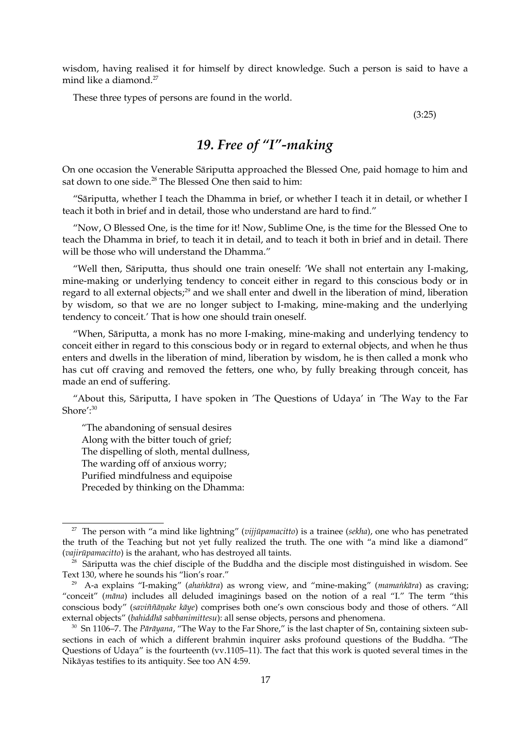wisdom, having realised it for himself by direct knowledge. Such a person is said to have a mind like a diamond.<sup>[27](#page-16-1)</sup>

These three types of persons are found in the world.

(3:25)

#### <span id="page-16-0"></span>*19. Free of "I"-making*

On one occasion the Venerable Sāriputta approached the Blessed One, paid homage to him and sat down to one side.<sup>[28](#page-16-2)</sup> The Blessed One then said to him:

"Sāriputta, whether I teach the Dhamma in brief, or whether I teach it in detail, or whether I teach it both in brief and in detail, those who understand are hard to find."

"Now, O Blessed One, is the time for it! Now, Sublime One, is the time for the Blessed One to teach the Dhamma in brief, to teach it in detail, and to teach it both in brief and in detail. There will be those who will understand the Dhamma."

"Well then, Sāriputta, thus should one train oneself: 'We shall not entertain any I-making, mine-making or underlying tendency to conceit either in regard to this conscious body or in regard to all external objects;<sup>[29](#page-16-3)</sup> and we shall enter and dwell in the liberation of mind, liberation by wisdom, so that we are no longer subject to I-making, mine-making and the underlying tendency to conceit.' That is how one should train oneself.

"When, Sāriputta, a monk has no more I-making, mine-making and underlying tendency to conceit either in regard to this conscious body or in regard to external objects, and when he thus enters and dwells in the liberation of mind, liberation by wisdom, he is then called a monk who has cut off craving and removed the fetters, one who, by fully breaking through conceit, has made an end of suffering.

"About this, Sāriputta, I have spoken in 'The Questions of Udaya' in 'The Way to the Far Shore':<sup>[30](#page-16-4)</sup>

"The abandoning of sensual desires Along with the bitter touch of grief; The dispelling of sloth, mental dullness, The warding off of anxious worry; Purified mindfulness and equipoise Preceded by thinking on the Dhamma:

<span id="page-16-1"></span><sup>27</sup> The person with "a mind like lightning" (*vijjūpamacitto*) is a trainee (*sekha*), one who has penetrated the truth of the Teaching but not yet fully realized the truth. The one with "a mind like a diamond" (*vajirūpamacitto*) is the arahant, who has destroyed all taints.

<span id="page-16-2"></span> $28$  Sariputta was the chief disciple of the Buddha and the disciple most distinguished in wisdom. See Text 130, where he sounds his "lion's roar."

<span id="page-16-3"></span><sup>29</sup> A-a explains "I-making" (*ahaṅkāra*) as wrong view, and "mine-making" (*mamaṅkāra*) as craving; "conceit" (*māna*) includes all deluded imaginings based on the notion of a real "I." The term "this conscious body" (*saviññāṇake kāye*) comprises both one's own conscious body and those of others. "All external objects" (*bahiddhā sabbanimittesu*): all sense objects, persons and phenomena.

<span id="page-16-4"></span><sup>30</sup> Sn 1106–7. The *Pārāyana*, "The Way to the Far Shore," is the last chapter of Sn, containing sixteen subsections in each of which a different brahmin inquirer asks profound questions of the Buddha. "The Questions of Udaya" is the fourteenth (vv.1105–11). The fact that this work is quoted several times in the Nikāyas testifies to its antiquity. See too AN 4:59.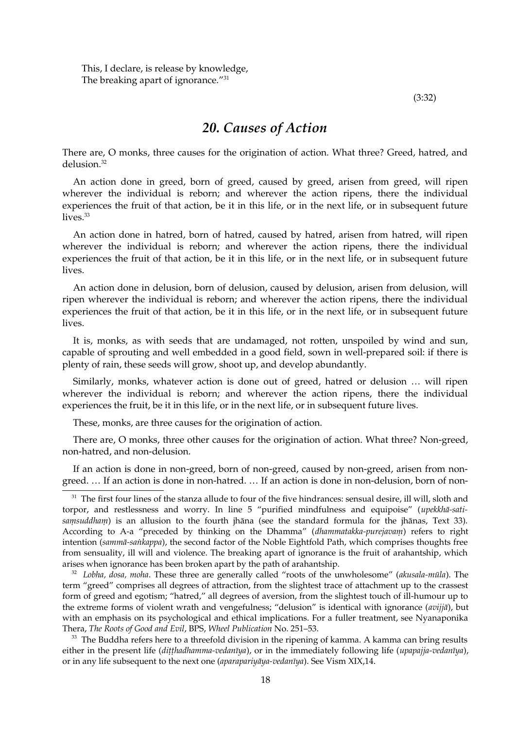This, I declare, is release by knowledge, The breaking apart of ignorance."[31](#page-17-1)

(3:32)

#### <span id="page-17-0"></span>*20. Causes of Action*

There are, O monks, three causes for the origination of action. What three? Greed, hatred, and delusion.<sup>[32](#page-17-2)</sup>

An action done in greed, born of greed, caused by greed, arisen from greed, will ripen wherever the individual is reborn; and wherever the action ripens, there the individual experiences the fruit of that action, be it in this life, or in the next life, or in subsequent future  $lives.$ <sup>[33](#page-17-3)</sup>

An action done in hatred, born of hatred, caused by hatred, arisen from hatred, will ripen wherever the individual is reborn; and wherever the action ripens, there the individual experiences the fruit of that action, be it in this life, or in the next life, or in subsequent future lives.

An action done in delusion, born of delusion, caused by delusion, arisen from delusion, will ripen wherever the individual is reborn; and wherever the action ripens, there the individual experiences the fruit of that action, be it in this life, or in the next life, or in subsequent future lives.

It is, monks, as with seeds that are undamaged, not rotten, unspoiled by wind and sun, capable of sprouting and well embedded in a good field, sown in well-prepared soil: if there is plenty of rain, these seeds will grow, shoot up, and develop abundantly.

Similarly, monks, whatever action is done out of greed, hatred or delusion … will ripen wherever the individual is reborn; and wherever the action ripens, there the individual experiences the fruit, be it in this life, or in the next life, or in subsequent future lives.

These, monks, are three causes for the origination of action.

There are, O monks, three other causes for the origination of action. What three? Non-greed, non-hatred, and non-delusion.

If an action is done in non-greed, born of non-greed, caused by non-greed, arisen from nongreed. … If an action is done in non-hatred. … If an action is done in non-delusion, born of non-

<span id="page-17-1"></span><sup>&</sup>lt;sup>31</sup> The first four lines of the stanza allude to four of the five hindrances: sensual desire, ill will, sloth and torpor, and restlessness and worry. In line 5 "purified mindfulness and equipoise" (*upekkhā-satisaṃsuddhaṃ*) is an allusion to the fourth jhāna (see the standard formula for the jhānas, Text 33). According to A-a "preceded by thinking on the Dhamma" (*dhammatakka-purejavaṃ*) refers to right intention (*sammā-saṅkappa*), the second factor of the Noble Eightfold Path, which comprises thoughts free from sensuality, ill will and violence. The breaking apart of ignorance is the fruit of arahantship, which arises when ignorance has been broken apart by the path of arahantship.

<span id="page-17-2"></span><sup>32</sup> *Lobha, dosa, moha*. These three are generally called "roots of the unwholesome" (*akusala-mūla*). The term "greed" comprises all degrees of attraction, from the slightest trace of attachment up to the crassest form of greed and egotism; "hatred," all degrees of aversion, from the slightest touch of ill-humour up to the extreme forms of violent wrath and vengefulness; "delusion" is identical with ignorance (*avijjā*), but with an emphasis on its psychological and ethical implications. For a fuller treatment, see Nyanaponika Thera, *The Roots of Good and Evil*, BPS, *Wheel Publication* No. 251–53.

<span id="page-17-3"></span> $33$  The Buddha refers here to a threefold division in the ripening of kamma. A kamma can bring results either in the present life (*diṭṭhadhamma-vedanīya*), or in the immediately following life (*upapajja-vedanīya*), or in any life subsequent to the next one (*aparapariyāya-vedanīya*). See Vism XIX,14.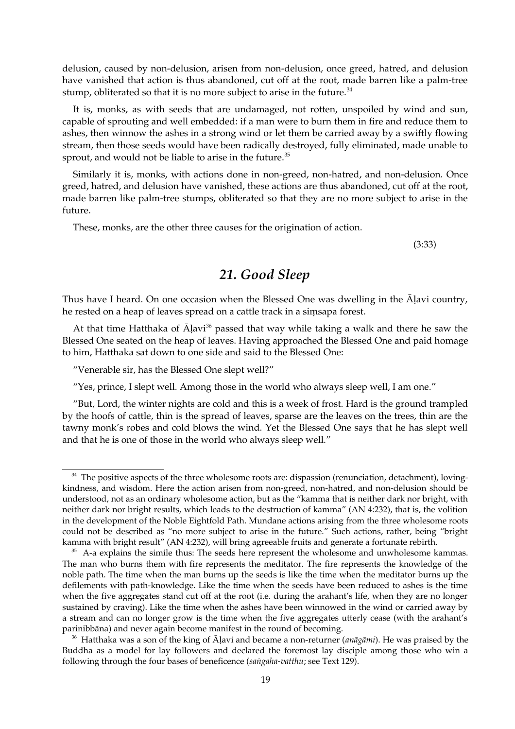delusion, caused by non-delusion, arisen from non-delusion, once greed, hatred, and delusion have vanished that action is thus abandoned, cut off at the root, made barren like a palm-tree stump, obliterated so that it is no more subject to arise in the future.<sup>[34](#page-18-1)</sup>

It is, monks, as with seeds that are undamaged, not rotten, unspoiled by wind and sun, capable of sprouting and well embedded: if a man were to burn them in fire and reduce them to ashes, then winnow the ashes in a strong wind or let them be carried away by a swiftly flowing stream, then those seeds would have been radically destroyed, fully eliminated, made unable to sprout, and would not be liable to arise in the future.<sup>[35](#page-18-2)</sup>

Similarly it is, monks, with actions done in non-greed, non-hatred, and non-delusion. Once greed, hatred, and delusion have vanished, these actions are thus abandoned, cut off at the root, made barren like palm-tree stumps, obliterated so that they are no more subject to arise in the future.

These, monks, are the other three causes for the origination of action.

(3:33)

# <span id="page-18-0"></span>*21. Good Sleep*

Thus have I heard. On one occasion when the Blessed One was dwelling in the Āḷavi country, he rested on a heap of leaves spread on a cattle track in a siṃsapa forest.

At that time Hatthaka of  $\bar{A}$ lavi<sup>[36](#page-18-3)</sup> passed that way while taking a walk and there he saw the Blessed One seated on the heap of leaves. Having approached the Blessed One and paid homage to him, Hatthaka sat down to one side and said to the Blessed One:

"Venerable sir, has the Blessed One slept well?"

"Yes, prince, I slept well. Among those in the world who always sleep well, I am one."

"But, Lord, the winter nights are cold and this is a week of frost. Hard is the ground trampled by the hoofs of cattle, thin is the spread of leaves, sparse are the leaves on the trees, thin are the tawny monk's robes and cold blows the wind. Yet the Blessed One says that he has slept well and that he is one of those in the world who always sleep well."

<span id="page-18-1"></span><sup>&</sup>lt;sup>34</sup> The positive aspects of the three wholesome roots are: dispassion (renunciation, detachment), lovingkindness, and wisdom. Here the action arisen from non-greed, non-hatred, and non-delusion should be understood, not as an ordinary wholesome action, but as the "kamma that is neither dark nor bright, with neither dark nor bright results, which leads to the destruction of kamma" (AN 4:232), that is, the volition in the development of the Noble Eightfold Path. Mundane actions arising from the three wholesome roots could not be described as "no more subject to arise in the future." Such actions, rather, being "bright kamma with bright result" (AN 4:232), will bring agreeable fruits and generate a fortunate rebirth.

<span id="page-18-2"></span> $35$  A-a explains the simile thus: The seeds here represent the wholesome and unwholesome kammas. The man who burns them with fire represents the meditator. The fire represents the knowledge of the noble path. The time when the man burns up the seeds is like the time when the meditator burns up the defilements with path-knowledge. Like the time when the seeds have been reduced to ashes is the time when the five aggregates stand cut off at the root (i.e. during the arahant's life, when they are no longer sustained by craving). Like the time when the ashes have been winnowed in the wind or carried away by a stream and can no longer grow is the time when the five aggregates utterly cease (with the arahant's parinibbāna) and never again become manifest in the round of becoming.

<span id="page-18-3"></span><sup>36</sup> Hatthaka was a son of the king of Āḷavi and became a non-returner (*anāgāmi*). He was praised by the Buddha as a model for lay followers and declared the foremost lay disciple among those who win a following through the four bases of beneficence (*saṅgaha-vatthu*; see Text 129).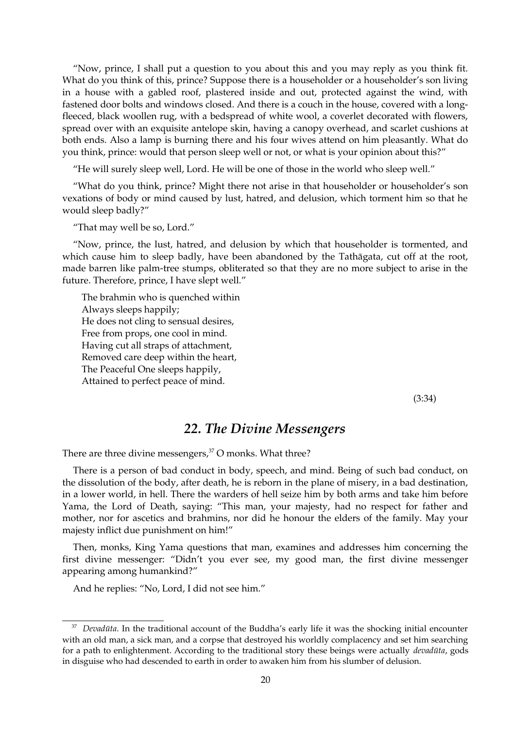"Now, prince, I shall put a question to you about this and you may reply as you think fit. What do you think of this, prince? Suppose there is a householder or a householder's son living in a house with a gabled roof, plastered inside and out, protected against the wind, with fastened door bolts and windows closed. And there is a couch in the house, covered with a longfleeced, black woollen rug, with a bedspread of white wool, a coverlet decorated with flowers, spread over with an exquisite antelope skin, having a canopy overhead, and scarlet cushions at both ends. Also a lamp is burning there and his four wives attend on him pleasantly. What do you think, prince: would that person sleep well or not, or what is your opinion about this?"

"He will surely sleep well, Lord. He will be one of those in the world who sleep well."

"What do you think, prince? Might there not arise in that householder or householder's son vexations of body or mind caused by lust, hatred, and delusion, which torment him so that he would sleep badly?"

"That may well be so, Lord."

"Now, prince, the lust, hatred, and delusion by which that householder is tormented, and which cause him to sleep badly, have been abandoned by the Tathāgata, cut off at the root, made barren like palm-tree stumps, obliterated so that they are no more subject to arise in the future. Therefore, prince, I have slept well."

The brahmin who is quenched within Always sleeps happily; He does not cling to sensual desires, Free from props, one cool in mind. Having cut all straps of attachment, Removed care deep within the heart, The Peaceful One sleeps happily, Attained to perfect peace of mind.

(3:34)

#### <span id="page-19-0"></span>*22. The Divine Messengers*

There are three divine messengers, $37$  O monks. What three?

There is a person of bad conduct in body, speech, and mind. Being of such bad conduct, on the dissolution of the body, after death, he is reborn in the plane of misery, in a bad destination, in a lower world, in hell. There the warders of hell seize him by both arms and take him before Yama, the Lord of Death, saying: "This man, your majesty, had no respect for father and mother, nor for ascetics and brahmins, nor did he honour the elders of the family. May your majesty inflict due punishment on him!"

Then, monks, King Yama questions that man, examines and addresses him concerning the first divine messenger: "Didn't you ever see, my good man, the first divine messenger appearing among humankind?"

And he replies: "No, Lord, I did not see him."

<span id="page-19-1"></span><sup>37</sup> *Devadūta*. In the traditional account of the Buddha's early life it was the shocking initial encounter with an old man, a sick man, and a corpse that destroyed his worldly complacency and set him searching for a path to enlightenment. According to the traditional story these beings were actually *devadūta*, gods in disguise who had descended to earth in order to awaken him from his slumber of delusion.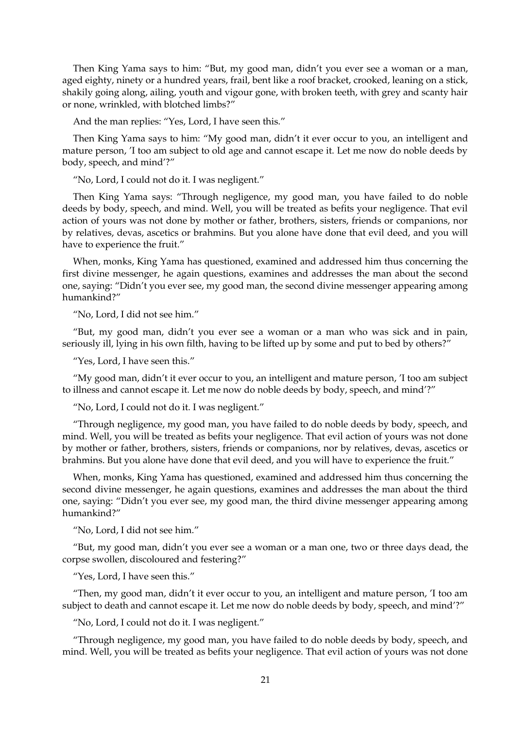Then King Yama says to him: "But, my good man, didn't you ever see a woman or a man, aged eighty, ninety or a hundred years, frail, bent like a roof bracket, crooked, leaning on a stick, shakily going along, ailing, youth and vigour gone, with broken teeth, with grey and scanty hair or none, wrinkled, with blotched limbs?"

And the man replies: "Yes, Lord, I have seen this."

Then King Yama says to him: "My good man, didn't it ever occur to you, an intelligent and mature person, 'I too am subject to old age and cannot escape it. Let me now do noble deeds by body, speech, and mind'?"

"No, Lord, I could not do it. I was negligent."

Then King Yama says: "Through negligence, my good man, you have failed to do noble deeds by body, speech, and mind. Well, you will be treated as befits your negligence. That evil action of yours was not done by mother or father, brothers, sisters, friends or companions, nor by relatives, devas, ascetics or brahmins. But you alone have done that evil deed, and you will have to experience the fruit."

When, monks, King Yama has questioned, examined and addressed him thus concerning the first divine messenger, he again questions, examines and addresses the man about the second one, saying: "Didn't you ever see, my good man, the second divine messenger appearing among humankind?"

"No, Lord, I did not see him."

"But, my good man, didn't you ever see a woman or a man who was sick and in pain, seriously ill, lying in his own filth, having to be lifted up by some and put to bed by others?"

"Yes, Lord, I have seen this."

"My good man, didn't it ever occur to you, an intelligent and mature person, 'I too am subject to illness and cannot escape it. Let me now do noble deeds by body, speech, and mind'?"

"No, Lord, I could not do it. I was negligent."

"Through negligence, my good man, you have failed to do noble deeds by body, speech, and mind. Well, you will be treated as befits your negligence. That evil action of yours was not done by mother or father, brothers, sisters, friends or companions, nor by relatives, devas, ascetics or brahmins. But you alone have done that evil deed, and you will have to experience the fruit."

When, monks, King Yama has questioned, examined and addressed him thus concerning the second divine messenger, he again questions, examines and addresses the man about the third one, saying: "Didn't you ever see, my good man, the third divine messenger appearing among humankind?"

"No, Lord, I did not see him."

"But, my good man, didn't you ever see a woman or a man one, two or three days dead, the corpse swollen, discoloured and festering?"

"Yes, Lord, I have seen this."

"Then, my good man, didn't it ever occur to you, an intelligent and mature person, 'I too am subject to death and cannot escape it. Let me now do noble deeds by body, speech, and mind'?"

"No, Lord, I could not do it. I was negligent."

"Through negligence, my good man, you have failed to do noble deeds by body, speech, and mind. Well, you will be treated as befits your negligence. That evil action of yours was not done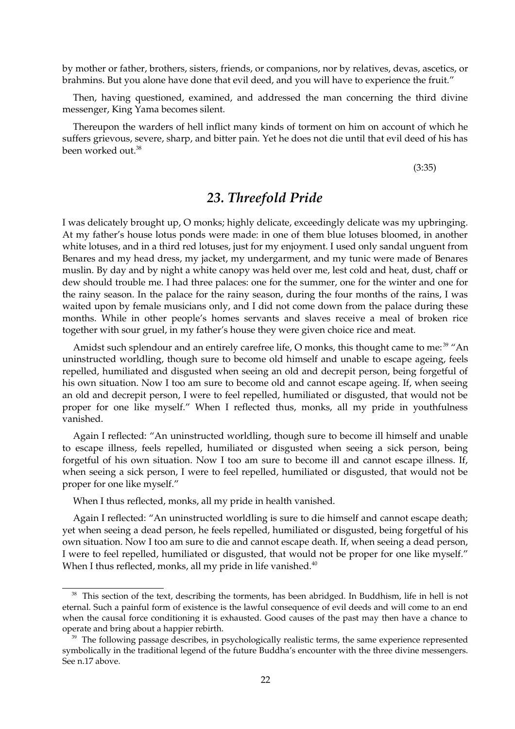by mother or father, brothers, sisters, friends, or companions, nor by relatives, devas, ascetics, or brahmins. But you alone have done that evil deed, and you will have to experience the fruit."

Then, having questioned, examined, and addressed the man concerning the third divine messenger, King Yama becomes silent.

Thereupon the warders of hell inflict many kinds of torment on him on account of which he suffers grievous, severe, sharp, and bitter pain. Yet he does not die until that evil deed of his has been worked out.[38](#page-21-1)

(3:35)

#### <span id="page-21-0"></span>*23. Threefold Pride*

I was delicately brought up, O monks; highly delicate, exceedingly delicate was my upbringing. At my father's house lotus ponds were made: in one of them blue lotuses bloomed, in another white lotuses, and in a third red lotuses, just for my enjoyment. I used only sandal unguent from Benares and my head dress, my jacket, my undergarment, and my tunic were made of Benares muslin. By day and by night a white canopy was held over me, lest cold and heat, dust, chaff or dew should trouble me. I had three palaces: one for the summer, one for the winter and one for the rainy season. In the palace for the rainy season, during the four months of the rains, I was waited upon by female musicians only, and I did not come down from the palace during these months. While in other people's homes servants and slaves receive a meal of broken rice together with sour gruel, in my father's house they were given choice rice and meat.

Amidst such splendour and an entirely carefree life, O monks, this thought came to me:<sup>[39](#page-21-2)</sup> "An uninstructed worldling, though sure to become old himself and unable to escape ageing, feels repelled, humiliated and disgusted when seeing an old and decrepit person, being forgetful of his own situation. Now I too am sure to become old and cannot escape ageing. If, when seeing an old and decrepit person, I were to feel repelled, humiliated or disgusted, that would not be proper for one like myself." When I reflected thus, monks, all my pride in youthfulness vanished.

Again I reflected: "An uninstructed worldling, though sure to become ill himself and unable to escape illness, feels repelled, humiliated or disgusted when seeing a sick person, being forgetful of his own situation. Now I too am sure to become ill and cannot escape illness. If, when seeing a sick person, I were to feel repelled, humiliated or disgusted, that would not be proper for one like myself."

When I thus reflected, monks, all my pride in health vanished.

Again I reflected: "An uninstructed worldling is sure to die himself and cannot escape death; yet when seeing a dead person, he feels repelled, humiliated or disgusted, being forgetful of his own situation. Now I too am sure to die and cannot escape death. If, when seeing a dead person, I were to feel repelled, humiliated or disgusted, that would not be proper for one like myself." When I thus reflected, monks, all my pride in life vanished. $40$ 

<span id="page-21-1"></span><sup>&</sup>lt;sup>38</sup> This section of the text, describing the torments, has been abridged. In Buddhism, life in hell is not eternal. Such a painful form of existence is the lawful consequence of evil deeds and will come to an end when the causal force conditioning it is exhausted. Good causes of the past may then have a chance to operate and bring about a happier rebirth.

<span id="page-21-2"></span><sup>&</sup>lt;sup>39</sup> The following passage describes, in psychologically realistic terms, the same experience represented symbolically in the traditional legend of the future Buddha's encounter with the three divine messengers. See n.17 above.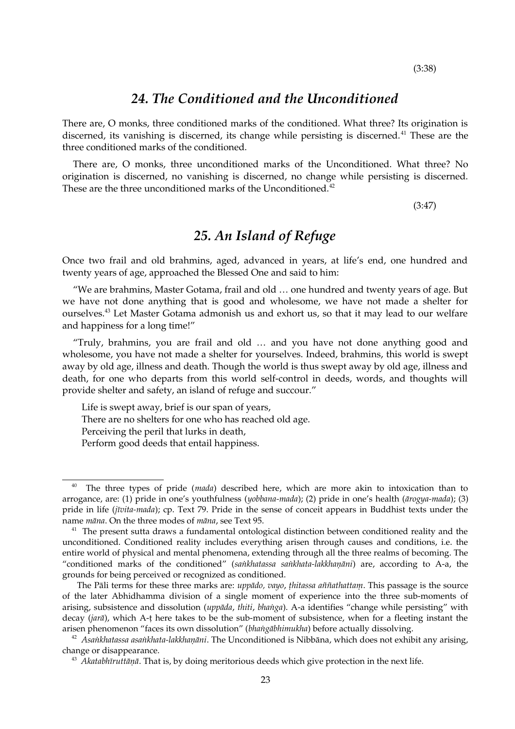#### (3:38)

#### <span id="page-22-1"></span>*24. The Conditioned and the Unconditioned*

There are, O monks, three conditioned marks of the conditioned. What three? Its origination is discerned, its vanishing is discerned, its change while persisting is discerned. $41$  These are the three conditioned marks of the conditioned.

There are, O monks, three unconditioned marks of the Unconditioned. What three? No origination is discerned, no vanishing is discerned, no change while persisting is discerned. These are the three unconditioned marks of the Unconditioned.<sup>[42](#page-22-4)</sup>

(3:47)

#### <span id="page-22-0"></span>*25. An Island of Refuge*

Once two frail and old brahmins, aged, advanced in years, at life's end, one hundred and twenty years of age, approached the Blessed One and said to him:

"We are brahmins, Master Gotama, frail and old … one hundred and twenty years of age. But we have not done anything that is good and wholesome, we have not made a shelter for ourselves.[43](#page-22-5) Let Master Gotama admonish us and exhort us, so that it may lead to our welfare and happiness for a long time!"

"Truly, brahmins, you are frail and old … and you have not done anything good and wholesome, you have not made a shelter for yourselves. Indeed, brahmins, this world is swept away by old age, illness and death. Though the world is thus swept away by old age, illness and death, for one who departs from this world self-control in deeds, words, and thoughts will provide shelter and safety, an island of refuge and succour."

Life is swept away, brief is our span of years, There are no shelters for one who has reached old age. Perceiving the peril that lurks in death, Perform good deeds that entail happiness.

<span id="page-22-2"></span><sup>40</sup> The three types of pride (*mada*) described here, which are more akin to intoxication than to arrogance, are: (1) pride in one's youthfulness (*yobbana-mada*); (2) pride in one's health (*ārogya-mada*); (3) pride in life (*jīvita-mada*); cp. Text 79. Pride in the sense of conceit appears in Buddhist texts under the name *māna*. On the three modes of *māna*, see Text 95.

<span id="page-22-3"></span><sup>&</sup>lt;sup>41</sup> The present sutta draws a fundamental ontological distinction between conditioned reality and the unconditioned. Conditioned reality includes everything arisen through causes and conditions, i.e. the entire world of physical and mental phenomena, extending through all the three realms of becoming. The "conditioned marks of the conditioned" (*saṅkhatassa saṅkhata-lakkhaṇāni*) are, according to A-a, the grounds for being perceived or recognized as conditioned.

The Pāli terms for these three marks are: *uppādo, vayo*, *ṭhitassa aññathattaṃ*. This passage is the source of the later Abhidhamma division of a single moment of experience into the three sub-moments of arising, subsistence and dissolution (*uppāda*, *thiti*, *bhaṅga*). A-a identifies "change while persisting" with decay (*jarā*), which A-ṭ here takes to be the sub-moment of subsistence, when for a fleeting instant the arisen phenomenon "faces its own dissolution" (*bhaṅgābhimukha*) before actually dissolving.

<span id="page-22-4"></span><sup>42</sup> *Asaṅkhatassa asaṅkhata-lakkhaṇāni*. The Unconditioned is Nibbāna, which does not exhibit any arising, change or disappearance.

<span id="page-22-5"></span><sup>43</sup> *Akatabhīruttāṇā*. That is, by doing meritorious deeds which give protection in the next life.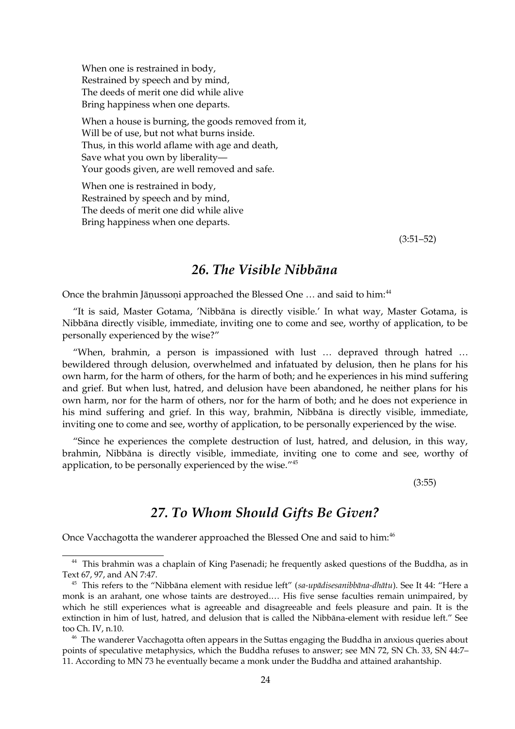When one is restrained in body, Restrained by speech and by mind, The deeds of merit one did while alive Bring happiness when one departs.

When a house is burning, the goods removed from it, Will be of use, but not what burns inside. Thus, in this world aflame with age and death, Save what you own by liberality— Your goods given, are well removed and safe.

When one is restrained in body, Restrained by speech and by mind, The deeds of merit one did while alive Bring happiness when one departs.

(3:51–52)

#### <span id="page-23-1"></span>*26. The Visible Nibbāna*

Once the brahmin Jānussoni approached the Blessed One ... and said to him:<sup>[44](#page-23-2)</sup>

"It is said, Master Gotama, 'Nibbāna is directly visible.' In what way, Master Gotama, is Nibbāna directly visible, immediate, inviting one to come and see, worthy of application, to be personally experienced by the wise?"

"When, brahmin, a person is impassioned with lust … depraved through hatred … bewildered through delusion, overwhelmed and infatuated by delusion, then he plans for his own harm, for the harm of others, for the harm of both; and he experiences in his mind suffering and grief. But when lust, hatred, and delusion have been abandoned, he neither plans for his own harm, nor for the harm of others, nor for the harm of both; and he does not experience in his mind suffering and grief. In this way, brahmin, Nibbāna is directly visible, immediate, inviting one to come and see, worthy of application, to be personally experienced by the wise.

"Since he experiences the complete destruction of lust, hatred, and delusion, in this way, brahmin, Nibbāna is directly visible, immediate, inviting one to come and see, worthy of application, to be personally experienced by the wise."[45](#page-23-3)

(3:55)

#### <span id="page-23-0"></span>*27. To Whom Should Gifts Be Given?*

Once Vacchagotta the wanderer approached the Blessed One and said to him:<sup>[46](#page-23-4)</sup>

<span id="page-23-2"></span><sup>&</sup>lt;sup>44</sup> This brahmin was a chaplain of King Pasenadi; he frequently asked questions of the Buddha, as in Text 67, 97, and AN 7:47.

<span id="page-23-3"></span><sup>45</sup> This refers to the "Nibbāna element with residue left" (*sa-upādisesanibbāna-dhātu*). See It 44: "Here a monk is an arahant, one whose taints are destroyed.… His five sense faculties remain unimpaired, by which he still experiences what is agreeable and disagreeable and feels pleasure and pain. It is the extinction in him of lust, hatred, and delusion that is called the Nibbāna-element with residue left." See too Ch. IV, n.10.

<span id="page-23-4"></span><sup>&</sup>lt;sup>46</sup> The wanderer Vacchagotta often appears in the Suttas engaging the Buddha in anxious queries about points of speculative metaphysics, which the Buddha refuses to answer; see MN 72, SN Ch. 33, SN 44:7– 11. According to MN 73 he eventually became a monk under the Buddha and attained arahantship.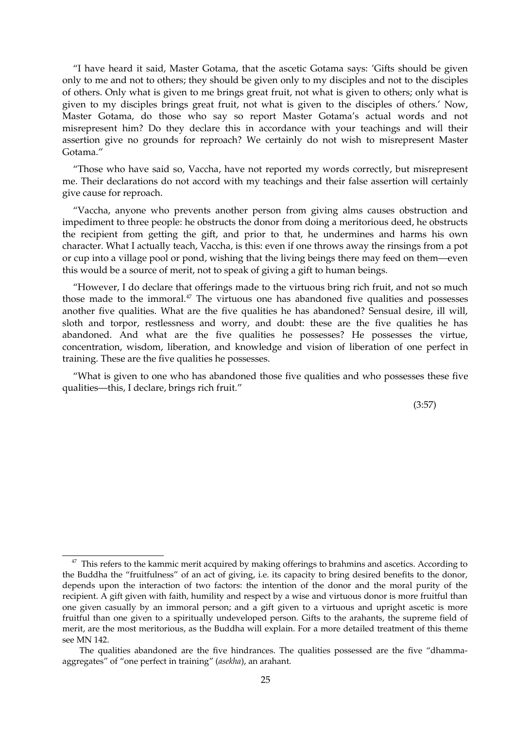"I have heard it said, Master Gotama, that the ascetic Gotama says: 'Gifts should be given only to me and not to others; they should be given only to my disciples and not to the disciples of others. Only what is given to me brings great fruit, not what is given to others; only what is given to my disciples brings great fruit, not what is given to the disciples of others.' Now, Master Gotama, do those who say so report Master Gotama's actual words and not misrepresent him? Do they declare this in accordance with your teachings and will their assertion give no grounds for reproach? We certainly do not wish to misrepresent Master Gotama."

"Those who have said so, Vaccha, have not reported my words correctly, but misrepresent me. Their declarations do not accord with my teachings and their false assertion will certainly give cause for reproach.

"Vaccha, anyone who prevents another person from giving alms causes obstruction and impediment to three people: he obstructs the donor from doing a meritorious deed, he obstructs the recipient from getting the gift, and prior to that, he undermines and harms his own character. What I actually teach, Vaccha, is this: even if one throws away the rinsings from a pot or cup into a village pool or pond, wishing that the living beings there may feed on them—even this would be a source of merit, not to speak of giving a gift to human beings.

"However, I do declare that offerings made to the virtuous bring rich fruit, and not so much those made to the immoral. $47$  The virtuous one has abandoned five qualities and possesses another five qualities. What are the five qualities he has abandoned? Sensual desire, ill will, sloth and torpor, restlessness and worry, and doubt: these are the five qualities he has abandoned. And what are the five qualities he possesses? He possesses the virtue, concentration, wisdom, liberation, and knowledge and vision of liberation of one perfect in training. These are the five qualities he possesses.

"What is given to one who has abandoned those five qualities and who possesses these five qualities—this, I declare, brings rich fruit."

(3:57)

<span id="page-24-0"></span><sup>&</sup>lt;sup>47</sup> This refers to the kammic merit acquired by making offerings to brahmins and ascetics. According to the Buddha the "fruitfulness" of an act of giving, i.e. its capacity to bring desired benefits to the donor, depends upon the interaction of two factors: the intention of the donor and the moral purity of the recipient. A gift given with faith, humility and respect by a wise and virtuous donor is more fruitful than one given casually by an immoral person; and a gift given to a virtuous and upright ascetic is more fruitful than one given to a spiritually undeveloped person. Gifts to the arahants, the supreme field of merit, are the most meritorious, as the Buddha will explain. For a more detailed treatment of this theme see MN 142.

The qualities abandoned are the five hindrances. The qualities possessed are the five "dhammaaggregates" of "one perfect in training" (*asekha*), an arahant.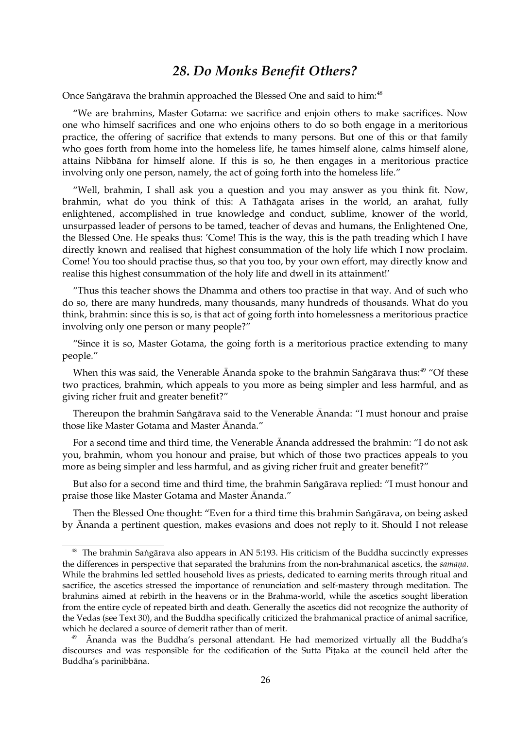#### <span id="page-25-0"></span>*28. Do Monks Benefit Others?*

Once Saṅgārava the brahmin approached the Blessed One and said to him:<sup>[48](#page-25-1)</sup>

"We are brahmins, Master Gotama: we sacrifice and enjoin others to make sacrifices. Now one who himself sacrifices and one who enjoins others to do so both engage in a meritorious practice, the offering of sacrifice that extends to many persons. But one of this or that family who goes forth from home into the homeless life, he tames himself alone, calms himself alone, attains Nibbāna for himself alone. If this is so, he then engages in a meritorious practice involving only one person, namely, the act of going forth into the homeless life."

"Well, brahmin, I shall ask you a question and you may answer as you think fit. Now, brahmin, what do you think of this: A Tathāgata arises in the world, an arahat, fully enlightened, accomplished in true knowledge and conduct, sublime, knower of the world, unsurpassed leader of persons to be tamed, teacher of devas and humans, the Enlightened One, the Blessed One. He speaks thus: 'Come! This is the way, this is the path treading which I have directly known and realised that highest consummation of the holy life which I now proclaim. Come! You too should practise thus, so that you too, by your own effort, may directly know and realise this highest consummation of the holy life and dwell in its attainment!'

"Thus this teacher shows the Dhamma and others too practise in that way. And of such who do so, there are many hundreds, many thousands, many hundreds of thousands. What do you think, brahmin: since this is so, is that act of going forth into homelessness a meritorious practice involving only one person or many people?"

"Since it is so, Master Gotama, the going forth is a meritorious practice extending to many people."

When this was said, the Venerable Ānanda spoke to the brahmin Saṅgārava thus:<sup>[49](#page-25-2)</sup> "Of these two practices, brahmin, which appeals to you more as being simpler and less harmful, and as giving richer fruit and greater benefit?"

Thereupon the brahmin Saṅgārava said to the Venerable Ānanda: "I must honour and praise those like Master Gotama and Master Ānanda."

For a second time and third time, the Venerable Ānanda addressed the brahmin: "I do not ask you, brahmin, whom you honour and praise, but which of those two practices appeals to you more as being simpler and less harmful, and as giving richer fruit and greater benefit?"

But also for a second time and third time, the brahmin Saṅgārava replied: "I must honour and praise those like Master Gotama and Master Ānanda."

Then the Blessed One thought: "Even for a third time this brahmin Saṅgārava, on being asked by Ānanda a pertinent question, makes evasions and does not reply to it. Should I not release

<span id="page-25-1"></span><sup>&</sup>lt;sup>48</sup> The brahmin Saṅgārava also appears in AN 5:193. His criticism of the Buddha succinctly expresses the differences in perspective that separated the brahmins from the non-brahmanical ascetics, the *samaṇa*. While the brahmins led settled household lives as priests, dedicated to earning merits through ritual and sacrifice, the ascetics stressed the importance of renunciation and self-mastery through meditation. The brahmins aimed at rebirth in the heavens or in the Brahma-world, while the ascetics sought liberation from the entire cycle of repeated birth and death. Generally the ascetics did not recognize the authority of the Vedas (see Text 30), and the Buddha specifically criticized the brahmanical practice of animal sacrifice, which he declared a source of demerit rather than of merit.

<span id="page-25-2"></span><sup>49</sup> Ānanda was the Buddha's personal attendant. He had memorized virtually all the Buddha's discourses and was responsible for the codification of the Sutta Piṭaka at the council held after the Buddha's parinibbāna.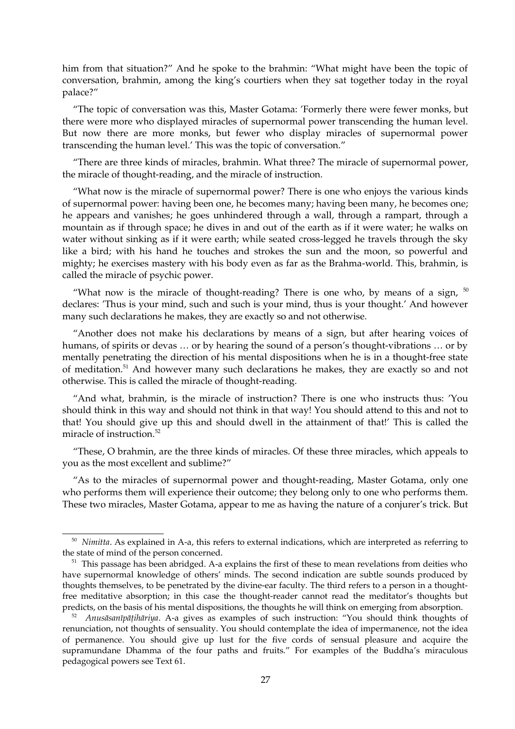him from that situation?" And he spoke to the brahmin: "What might have been the topic of conversation, brahmin, among the king's courtiers when they sat together today in the royal palace?"

"The topic of conversation was this, Master Gotama: 'Formerly there were fewer monks, but there were more who displayed miracles of supernormal power transcending the human level. But now there are more monks, but fewer who display miracles of supernormal power transcending the human level.' This was the topic of conversation."

"There are three kinds of miracles, brahmin. What three? The miracle of supernormal power, the miracle of thought-reading, and the miracle of instruction.

"What now is the miracle of supernormal power? There is one who enjoys the various kinds of supernormal power: having been one, he becomes many; having been many, he becomes one; he appears and vanishes; he goes unhindered through a wall, through a rampart, through a mountain as if through space; he dives in and out of the earth as if it were water; he walks on water without sinking as if it were earth; while seated cross-legged he travels through the sky like a bird; with his hand he touches and strokes the sun and the moon, so powerful and mighty; he exercises mastery with his body even as far as the Brahma-world. This, brahmin, is called the miracle of psychic power.

"Whatnow is the miracle of thought-reading? There is one who, by means of a sign,  $50$ declares: 'Thus is your mind, such and such is your mind, thus is your thought.' And however many such declarations he makes, they are exactly so and not otherwise.

"Another does not make his declarations by means of a sign, but after hearing voices of humans, of spirits or devas … or by hearing the sound of a person's thought-vibrations … or by mentally penetrating the direction of his mental dispositions when he is in a thought-free state of meditation.[51](#page-26-1) And however many such declarations he makes, they are exactly so and not otherwise. This is called the miracle of thought-reading.

"And what, brahmin, is the miracle of instruction? There is one who instructs thus: 'You should think in this way and should not think in that way! You should attend to this and not to that! You should give up this and should dwell in the attainment of that!' This is called the miracle of instruction.<sup>[52](#page-26-2)</sup>

"These, O brahmin, are the three kinds of miracles. Of these three miracles, which appeals to you as the most excellent and sublime?"

"As to the miracles of supernormal power and thought-reading, Master Gotama, only one who performs them will experience their outcome; they belong only to one who performs them. These two miracles, Master Gotama, appear to me as having the nature of a conjurer's trick. But

<span id="page-26-0"></span><sup>&</sup>lt;sup>50</sup> Nimitta. As explained in A-a, this refers to external indications, which are interpreted as referring to the state of mind of the person concerned.

<span id="page-26-1"></span> $51$  This passage has been abridged. A-a explains the first of these to mean revelations from deities who have supernormal knowledge of others' minds. The second indication are subtle sounds produced by thoughts themselves, to be penetrated by the divine-ear faculty. The third refers to a person in a thoughtfree meditative absorption; in this case the thought-reader cannot read the meditator's thoughts but predicts, on the basis of his mental dispositions, the thoughts he will think on emerging from absorption.

<span id="page-26-2"></span><sup>52</sup> *Anusāsanīpāṭihāriya*. A-a gives as examples of such instruction: "You should think thoughts of renunciation, not thoughts of sensuality. You should contemplate the idea of impermanence, not the idea of permanence. You should give up lust for the five cords of sensual pleasure and acquire the supramundane Dhamma of the four paths and fruits." For examples of the Buddha's miraculous pedagogical powers see Text 61.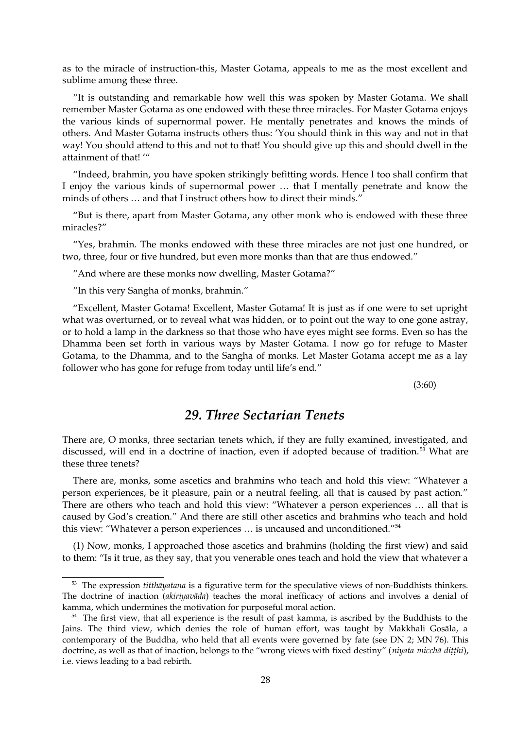as to the miracle of instruction-this, Master Gotama, appeals to me as the most excellent and sublime among these three.

"It is outstanding and remarkable how well this was spoken by Master Gotama. We shall remember Master Gotama as one endowed with these three miracles. For Master Gotama enjoys the various kinds of supernormal power. He mentally penetrates and knows the minds of others. And Master Gotama instructs others thus: 'You should think in this way and not in that way! You should attend to this and not to that! You should give up this and should dwell in the attainment of that! '"

"Indeed, brahmin, you have spoken strikingly befitting words. Hence I too shall confirm that I enjoy the various kinds of supernormal power … that I mentally penetrate and know the minds of others … and that I instruct others how to direct their minds."

"But is there, apart from Master Gotama, any other monk who is endowed with these three miracles?"

"Yes, brahmin. The monks endowed with these three miracles are not just one hundred, or two, three, four or five hundred, but even more monks than that are thus endowed."

"And where are these monks now dwelling, Master Gotama?"

"In this very Sangha of monks, brahmin."

"Excellent, Master Gotama! Excellent, Master Gotama! It is just as if one were to set upright what was overturned, or to reveal what was hidden, or to point out the way to one gone astray, or to hold a lamp in the darkness so that those who have eyes might see forms. Even so has the Dhamma been set forth in various ways by Master Gotama. I now go for refuge to Master Gotama, to the Dhamma, and to the Sangha of monks. Let Master Gotama accept me as a lay follower who has gone for refuge from today until life's end."

(3:60)

#### <span id="page-27-0"></span>*29. Three Sectarian Tenets*

There are, O monks, three sectarian tenets which, if they are fully examined, investigated, and discussed, will end in a doctrine of inaction, even if adopted because of tradition.<sup>[53](#page-27-1)</sup> What are these three tenets?

There are, monks, some ascetics and brahmins who teach and hold this view: "Whatever a person experiences, be it pleasure, pain or a neutral feeling, all that is caused by past action." There are others who teach and hold this view: "Whatever a person experiences … all that is caused by God's creation." And there are still other ascetics and brahmins who teach and hold this view: "Whatever a person experiences … is uncaused and unconditioned."[54](#page-27-2)

(1) Now, monks, I approached those ascetics and brahmins (holding the first view) and said to them: "Is it true, as they say, that you venerable ones teach and hold the view that whatever a

<span id="page-27-1"></span><sup>53</sup> The expression *titthāyatana* is a figurative term for the speculative views of non-Buddhists thinkers. The doctrine of inaction (*akiriyavāda*) teaches the moral inefficacy of actions and involves a denial of kamma, which undermines the motivation for purposeful moral action.

<span id="page-27-2"></span><sup>&</sup>lt;sup>54</sup> The first view, that all experience is the result of past kamma, is ascribed by the Buddhists to the Jains. The third view, which denies the role of human effort, was taught by Makkhali Gosāla, a contemporary of the Buddha, who held that all events were governed by fate (see DN 2; MN 76). This doctrine, as well as that of inaction, belongs to the "wrong views with fixed destiny" (*niyata-micchā-diṭṭhi*), i.e. views leading to a bad rebirth.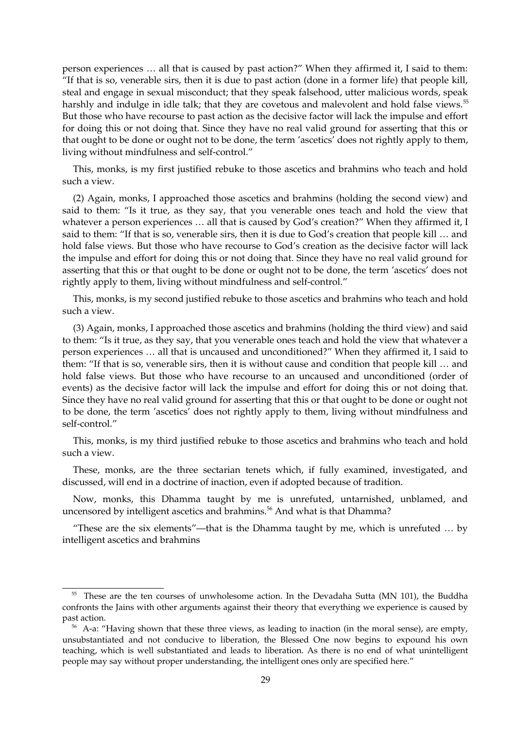person experiences … all that is caused by past action?" When they affirmed it, I said to them: "If that is so, venerable sirs, then it is due to past action (done in a former life) that people kill, steal and engage in sexual misconduct; that they speak falsehood, utter malicious words, speak harshly and indulge in idle talk; that they are covetous and malevolent and hold false views.<sup>[55](#page-28-0)</sup> But those who have recourse to past action as the decisive factor will lack the impulse and effort for doing this or not doing that. Since they have no real valid ground for asserting that this or that ought to be done or ought not to be done, the term 'ascetics' does not rightly apply to them, living without mindfulness and self-control."

This, monks, is my first justified rebuke to those ascetics and brahmins who teach and hold such a view.

(2) Again, monks, I approached those ascetics and brahmins (holding the second view) and said to them: "Is it true, as they say, that you venerable ones teach and hold the view that whatever a person experiences … all that is caused by God's creation?" When they affirmed it, I said to them: "If that is so, venerable sirs, then it is due to God's creation that people kill … and hold false views. But those who have recourse to God's creation as the decisive factor will lack the impulse and effort for doing this or not doing that. Since they have no real valid ground for asserting that this or that ought to be done or ought not to be done, the term 'ascetics' does not rightly apply to them, living without mindfulness and self-control."

This, monks, is my second justified rebuke to those ascetics and brahmins who teach and hold such a view.

(3) Again, monks, I approached those ascetics and brahmins (holding the third view) and said to them: "Is it true, as they say, that you venerable ones teach and hold the view that whatever a person experiences … all that is uncaused and unconditioned?" When they affirmed it, I said to them: "If that is so, venerable sirs, then it is without cause and condition that people kill … and hold false views. But those who have recourse to an uncaused and unconditioned (order of events) as the decisive factor will lack the impulse and effort for doing this or not doing that. Since they have no real valid ground for asserting that this or that ought to be done or ought not to be done, the term 'ascetics' does not rightly apply to them, living without mindfulness and self-control."

This, monks, is my third justified rebuke to those ascetics and brahmins who teach and hold such a view.

These, monks, are the three sectarian tenets which, if fully examined, investigated, and discussed, will end in a doctrine of inaction, even if adopted because of tradition.

Now, monks, this Dhamma taught by me is unrefuted, untarnished, unblamed, and uncensored by intelligent ascetics and brahmins.<sup>[56](#page-28-1)</sup> And what is that Dhamma?

"These are the six elements"—that is the Dhamma taught by me, which is unrefuted … by intelligent ascetics and brahmins

<span id="page-28-0"></span><sup>&</sup>lt;sup>55</sup> These are the ten courses of unwholesome action. In the Devadaha Sutta (MN 101), the Buddha confronts the Jains with other arguments against their theory that everything we experience is caused by past action.

<span id="page-28-1"></span><sup>&</sup>lt;sup>56</sup> A-a: "Having shown that these three views, as leading to inaction (in the moral sense), are empty, unsubstantiated and not conducive to liberation, the Blessed One now begins to expound his own teaching, which is well substantiated and leads to liberation. As there is no end of what unintelligent people may say without proper understanding, the intelligent ones only are specified here."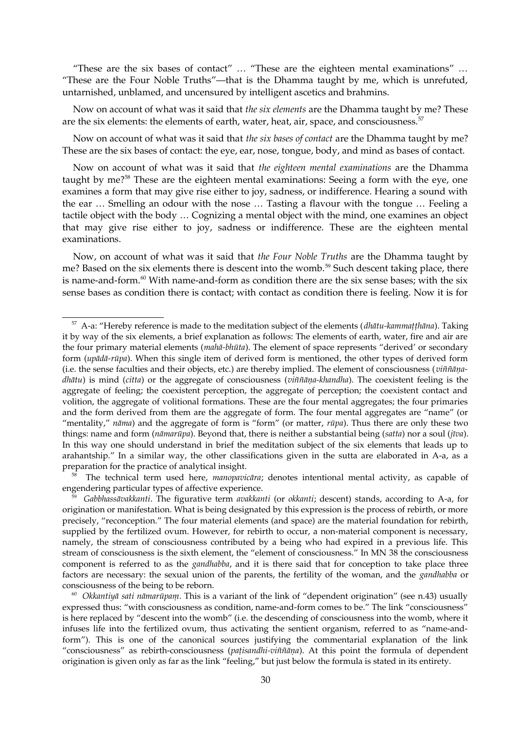"These are the six bases of contact" … "These are the eighteen mental examinations" … "These are the Four Noble Truths"—that is the Dhamma taught by me, which is unrefuted, untarnished, unblamed, and uncensured by intelligent ascetics and brahmins.

Now on account of what was it said that *the six elements* are the Dhamma taught by me? These are the six elements: the elements of earth, water, heat, air, space, and consciousness.<sup>[57](#page-29-0)</sup>

Now on account of what was it said that *the six bases of contact* are the Dhamma taught by me? These are the six bases of contact: the eye, ear, nose, tongue, body, and mind as bases of contact.

Now on account of what was it said that *the eighteen mental examinations* are the Dhamma taught by me?<sup>[58](#page-29-1)</sup> These are the eighteen mental examinations: Seeing a form with the eye, one examines a form that may give rise either to joy, sadness, or indifference. Hearing a sound with the ear … Smelling an odour with the nose … Tasting a flavour with the tongue … Feeling a tactile object with the body … Cognizing a mental object with the mind, one examines an object that may give rise either to joy, sadness or indifference. These are the eighteen mental examinations.

Now, on account of what was it said that *the Four Noble Truths* are the Dhamma taught by me? Based on the six elements there is descent into the womb.<sup>[59](#page-29-2)</sup> Such descent taking place, there is name-and-form.<sup>[60](#page-29-3)</sup> With name-and-form as condition there are the six sense bases; with the six sense bases as condition there is contact; with contact as condition there is feeling. Now it is for

<span id="page-29-1"></span><sup>58</sup> The technical term used here, *manopavicāra*; denotes intentional mental activity, as capable of engendering particular types of affective experience.

<span id="page-29-0"></span><sup>57</sup> A-a: "Hereby reference is made to the meditation subject of the elements (*dhātu-kammaṭṭhāna*). Taking it by way of the six elements, a brief explanation as follows: The elements of earth, water, fire and air are the four primary material elements (*mahā-bhūta*). The element of space represents "derived' or secondary form (*upādā-rūpa*). When this single item of derived form is mentioned, the other types of derived form (i.e. the sense faculties and their objects, etc.) are thereby implied. The element of consciousness (*viññāṇadhātu*) is mind (*citta*) or the aggregate of consciousness (*viññāṇa-khandha*). The coexistent feeling is the aggregate of feeling; the coexistent perception, the aggregate of perception; the coexistent contact and volition, the aggregate of volitional formations. These are the four mental aggregates; the four primaries and the form derived from them are the aggregate of form. The four mental aggregates are "name" (or "mentality," *nāma*) and the aggregate of form is "form" (or matter, *rūpa*). Thus there are only these two things: name and form (*nāmarūpa*). Beyond that, there is neither a substantial being (*satta*) nor a soul (*jīva*). In this way one should understand in brief the meditation subject of the six elements that leads up to arahantship." In a similar way, the other classifications given in the sutta are elaborated in A-a, as a preparation for the practice of analytical insight.

<span id="page-29-2"></span><sup>59</sup> *Gabbhassāvakkanti*. The figurative term *avakkanti* (or *okkanti*; descent) stands, according to A-a, for origination or manifestation. What is being designated by this expression is the process of rebirth, or more precisely, "reconception." The four material elements (and space) are the material foundation for rebirth, supplied by the fertilized ovum. However, for rebirth to occur, a non-material component is necessary, namely, the stream of consciousness contributed by a being who had expired in a previous life. This stream of consciousness is the sixth element, the "element of consciousness." In MN 38 the consciousness component is referred to as the *gandhabba*, and it is there said that for conception to take place three factors are necessary: the sexual union of the parents, the fertility of the woman, and the *gandhabba* or consciousness of the being to be reborn.

<span id="page-29-3"></span><sup>60</sup> *Okkantiyā sati nāmarūpaṃ*. This is a variant of the link of "dependent origination" (see n.43) usually expressed thus: "with consciousness as condition, name-and-form comes to be." The link "consciousness" is here replaced by "descent into the womb" (i.e. the descending of consciousness into the womb, where it infuses life into the fertilized ovum, thus activating the sentient organism, referred to as "name-andform"). This is one of the canonical sources justifying the commentarial explanation of the link "consciousness" as rebirth-consciousness (*paṭisandhi-viññāṇa*). At this point the formula of dependent origination is given only as far as the link "feeling," but just below the formula is stated in its entirety.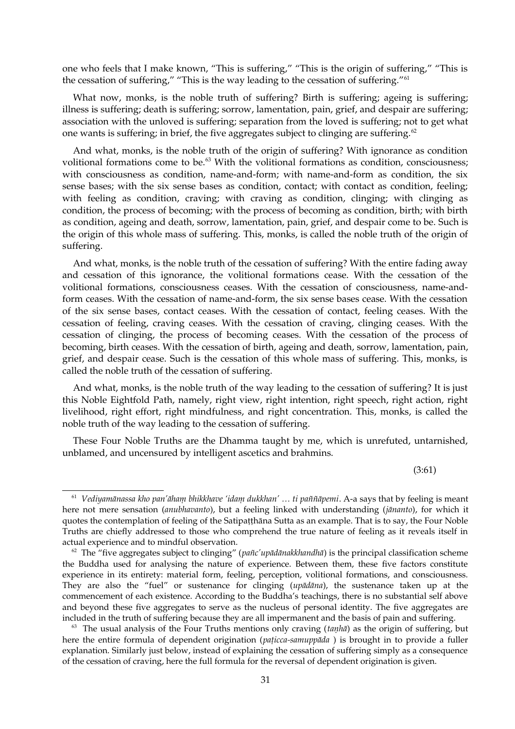one who feels that I make known, "This is suffering," "This is the origin of suffering," "This is the cessation of suffering," "This is the way leading to the cessation of suffering."<sup>[61](#page-30-0)</sup>

What now, monks, is the noble truth of suffering? Birth is suffering; ageing is suffering; illness is suffering; death is suffering; sorrow, lamentation, pain, grief, and despair are suffering; association with the unloved is suffering; separation from the loved is suffering; not to get what one wants is suffering; in brief, the five aggregates subject to clinging are suffering.<sup>[62](#page-30-1)</sup>

And what, monks, is the noble truth of the origin of suffering? With ignorance as condition volitional formations come to be.<sup>[63](#page-30-2)</sup> With the volitional formations as condition, consciousness; with consciousness as condition, name-and-form; with name-and-form as condition, the six sense bases; with the six sense bases as condition, contact; with contact as condition, feeling; with feeling as condition, craving; with craving as condition, clinging; with clinging as condition, the process of becoming; with the process of becoming as condition, birth; with birth as condition, ageing and death, sorrow, lamentation, pain, grief, and despair come to be. Such is the origin of this whole mass of suffering. This, monks, is called the noble truth of the origin of suffering.

And what, monks, is the noble truth of the cessation of suffering? With the entire fading away and cessation of this ignorance, the volitional formations cease. With the cessation of the volitional formations, consciousness ceases. With the cessation of consciousness, name-andform ceases. With the cessation of name-and-form, the six sense bases cease. With the cessation of the six sense bases, contact ceases. With the cessation of contact, feeling ceases. With the cessation of feeling, craving ceases. With the cessation of craving, clinging ceases. With the cessation of clinging, the process of becoming ceases. With the cessation of the process of becoming, birth ceases. With the cessation of birth, ageing and death, sorrow, lamentation, pain, grief, and despair cease. Such is the cessation of this whole mass of suffering. This, monks, is called the noble truth of the cessation of suffering.

And what, monks, is the noble truth of the way leading to the cessation of suffering? It is just this Noble Eightfold Path, namely, right view, right intention, right speech, right action, right livelihood, right effort, right mindfulness, and right concentration. This, monks, is called the noble truth of the way leading to the cessation of suffering.

These Four Noble Truths are the Dhamma taught by me, which is unrefuted, untarnished, unblamed, and uncensured by intelligent ascetics and brahmins.

(3:61)

<span id="page-30-0"></span><sup>61</sup> *Vediyamānassa kho pan'āhaṃ bhikkhave 'idaṃ dukkhan' … ti paññāpemi*. A-a says that by feeling is meant here not mere sensation (*anubhavanto*), but a feeling linked with understanding (*jānanto*), for which it quotes the contemplation of feeling of the Satipaṭṭhāna Sutta as an example. That is to say, the Four Noble Truths are chiefly addressed to those who comprehend the true nature of feeling as it reveals itself in actual experience and to mindful observation.

<span id="page-30-1"></span><sup>62</sup> The "five aggregates subject to clinging" (*pañc'upādānakkhandhā*) is the principal classification scheme the Buddha used for analysing the nature of experience. Between them, these five factors constitute experience in its entirety: material form, feeling, perception, volitional formations, and consciousness. They are also the "fuel" or sustenance for clinging (*upādāna*), the sustenance taken up at the commencement of each existence. According to the Buddha's teachings, there is no substantial self above and beyond these five aggregates to serve as the nucleus of personal identity. The five aggregates are included in the truth of suffering because they are all impermanent and the basis of pain and suffering.

<span id="page-30-2"></span><sup>63</sup> The usual analysis of the Four Truths mentions only craving (*taṇhā*) as the origin of suffering, but here the entire formula of dependent origination (*paṭicca-samuppāda* ) is brought in to provide a fuller explanation. Similarly just below, instead of explaining the cessation of suffering simply as a consequence of the cessation of craving, here the full formula for the reversal of dependent origination is given.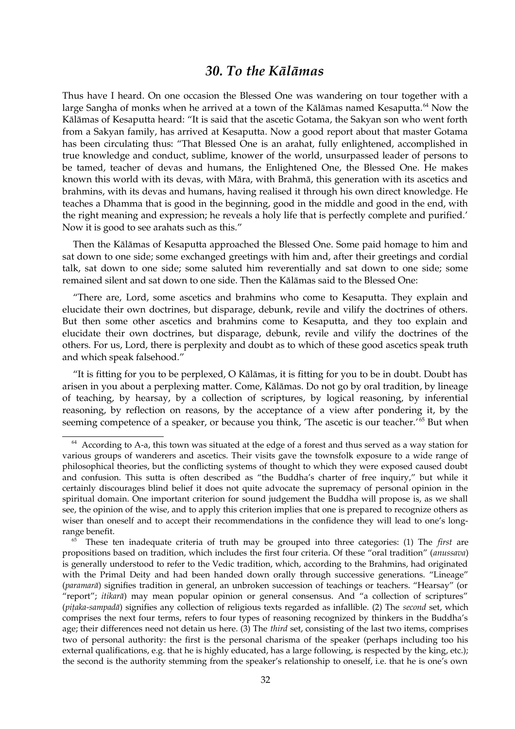#### <span id="page-31-0"></span>*30. To the Kālāmas*

Thus have I heard. On one occasion the Blessed One was wandering on tour together with a large Sangha of monks when he arrived at a town of the Kālāmas named Kesaputta.<sup>[64](#page-31-1)</sup> Now the Kālāmas of Kesaputta heard: "It is said that the ascetic Gotama, the Sakyan son who went forth from a Sakyan family, has arrived at Kesaputta. Now a good report about that master Gotama has been circulating thus: "That Blessed One is an arahat, fully enlightened, accomplished in true knowledge and conduct, sublime, knower of the world, unsurpassed leader of persons to be tamed, teacher of devas and humans, the Enlightened One, the Blessed One. He makes known this world with its devas, with Māra, with Brahmā, this generation with its ascetics and brahmins, with its devas and humans, having realised it through his own direct knowledge. He teaches a Dhamma that is good in the beginning, good in the middle and good in the end, with the right meaning and expression; he reveals a holy life that is perfectly complete and purified.' Now it is good to see arahats such as this."

Then the Kālāmas of Kesaputta approached the Blessed One. Some paid homage to him and sat down to one side; some exchanged greetings with him and, after their greetings and cordial talk, sat down to one side; some saluted him reverentially and sat down to one side; some remained silent and sat down to one side. Then the Kālāmas said to the Blessed One:

"There are, Lord, some ascetics and brahmins who come to Kesaputta. They explain and elucidate their own doctrines, but disparage, debunk, revile and vilify the doctrines of others. But then some other ascetics and brahmins come to Kesaputta, and they too explain and elucidate their own doctrines, but disparage, debunk, revile and vilify the doctrines of the others. For us, Lord, there is perplexity and doubt as to which of these good ascetics speak truth and which speak falsehood."

"It is fitting for you to be perplexed, O Kālāmas, it is fitting for you to be in doubt. Doubt has arisen in you about a perplexing matter. Come, Kālāmas. Do not go by oral tradition, by lineage of teaching, by hearsay, by a collection of scriptures, by logical reasoning, by inferential reasoning, by reflection on reasons, by the acceptance of a view after pondering it, by the seeming competence of a speaker, or because you think, 'The ascetic is our teacher.' <sup>[65](#page-31-2)</sup> But when

<span id="page-31-1"></span> $64$  According to A-a, this town was situated at the edge of a forest and thus served as a way station for various groups of wanderers and ascetics. Their visits gave the townsfolk exposure to a wide range of philosophical theories, but the conflicting systems of thought to which they were exposed caused doubt and confusion. This sutta is often described as "the Buddha's charter of free inquiry," but while it certainly discourages blind belief it does not quite advocate the supremacy of personal opinion in the spiritual domain. One important criterion for sound judgement the Buddha will propose is, as we shall see, the opinion of the wise, and to apply this criterion implies that one is prepared to recognize others as wiser than oneself and to accept their recommendations in the confidence they will lead to one's longrange benefit.

<span id="page-31-2"></span><sup>65</sup> These ten inadequate criteria of truth may be grouped into three categories: (1) The *first* are propositions based on tradition, which includes the first four criteria. Of these "oral tradition" (*anussava*) is generally understood to refer to the Vedic tradition, which, according to the Brahmins, had originated with the Primal Deity and had been handed down orally through successive generations. "Lineage" (*paramarā*) signifies tradition in general, an unbroken succession of teachings or teachers. "Hearsay" (or "report"; *itikarā*) may mean popular opinion or general consensus. And "a collection of scriptures" (*piṭaka-sampadā*) signifies any collection of religious texts regarded as infallible. (2) The *second* set, which comprises the next four terms, refers to four types of reasoning recognized by thinkers in the Buddha's age; their differences need not detain us here. (3) The *third* set, consisting of the last two items, comprises two of personal authority: the first is the personal charisma of the speaker (perhaps including too his external qualifications, e.g. that he is highly educated, has a large following, is respected by the king, etc.); the second is the authority stemming from the speaker's relationship to oneself, i.e. that he is one's own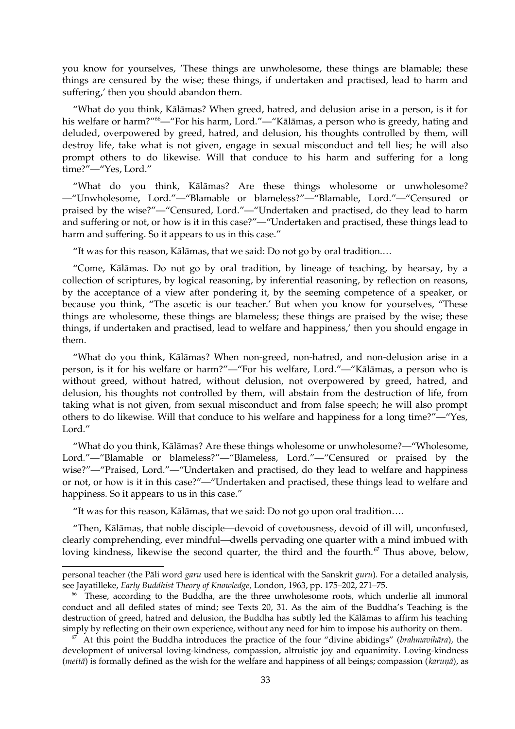you know for yourselves, 'These things are unwholesome, these things are blamable; these things are censured by the wise; these things, if undertaken and practised, lead to harm and suffering,' then you should abandon them.

"What do you think, Kālāmas? When greed, hatred, and delusion arise in a person, is it for his welfare or harm?"<sup>[66](#page-32-0)</sup>—"For his harm, Lord."—"Kālāmas, a person who is greedy, hating and deluded, overpowered by greed, hatred, and delusion, his thoughts controlled by them, will destroy life, take what is not given, engage in sexual misconduct and tell lies; he will also prompt others to do likewise. Will that conduce to his harm and suffering for a long time?"—"Yes, Lord."

"What do you think, Kālāmas? Are these things wholesome or unwholesome? —"Unwholesome, Lord."—"Blamable or blameless?"—"Blamable, Lord."—"Censured or praised by the wise?"—"Censured, Lord."—"Undertaken and practised, do they lead to harm and suffering or not, or how is it in this case?"—"Undertaken and practised, these things lead to harm and suffering. So it appears to us in this case."

"It was for this reason, Kālāmas, that we said: Do not go by oral tradition.…

"Come, Kālāmas. Do not go by oral tradition, by lineage of teaching, by hearsay, by a collection of scriptures, by logical reasoning, by inferential reasoning, by reflection on reasons, by the acceptance of a view after pondering it, by the seeming competence of a speaker, or because you think, "The ascetic is our teacher.' But when you know for yourselves, "These things are wholesome, these things are blameless; these things are praised by the wise; these things, if undertaken and practised, lead to welfare and happiness,' then you should engage in them.

"What do you think, Kālāmas? When non-greed, non-hatred, and non-delusion arise in a person, is it for his welfare or harm?"—"For his welfare, Lord."—"Kālāmas, a person who is without greed, without hatred, without delusion, not overpowered by greed, hatred, and delusion, his thoughts not controlled by them, will abstain from the destruction of life, from taking what is not given, from sexual misconduct and from false speech; he will also prompt others to do likewise. Will that conduce to his welfare and happiness for a long time?"—"Yes, Lord."

"What do you think, Kālāmas? Are these things wholesome or unwholesome?—"Wholesome, Lord."—"Blamable or blameless?"—"Blameless, Lord."—"Censured or praised by the wise?"—"Praised, Lord."—"Undertaken and practised, do they lead to welfare and happiness or not, or how is it in this case?"—"Undertaken and practised, these things lead to welfare and happiness. So it appears to us in this case."

"It was for this reason, Kālāmas, that we said: Do not go upon oral tradition….

"Then, Kālāmas, that noble disciple—devoid of covetousness, devoid of ill will, unconfused, clearly comprehending, ever mindful—dwells pervading one quarter with a mind imbued with loving kindness, likewise the second quarter, the third and the fourth.<sup>[67](#page-32-1)</sup> Thus above, below,

personal teacher (the Pāli word *garu* used here is identical with the Sanskrit *guru*). For a detailed analysis, see Jayatilleke, *Early Buddhist Theory of Knowledge,* London, 1963, pp. 175–202, 271–75.

<span id="page-32-0"></span><sup>&</sup>lt;sup>66</sup> These, according to the Buddha, are the three unwholesome roots, which underlie all immoral conduct and all defiled states of mind; see Texts 20, 31. As the aim of the Buddha's Teaching is the destruction of greed, hatred and delusion, the Buddha has subtly led the Kālāmas to affirm his teaching simply by reflecting on their own experience, without any need for him to impose his authority on them.

<span id="page-32-1"></span><sup>67</sup> At this point the Buddha introduces the practice of the four "divine abidings" (*brahmavihāra*), the development of universal loving-kindness, compassion, altruistic joy and equanimity. Loving-kindness (*mettā*) is formally defined as the wish for the welfare and happiness of all beings; compassion (*karuṇā*), as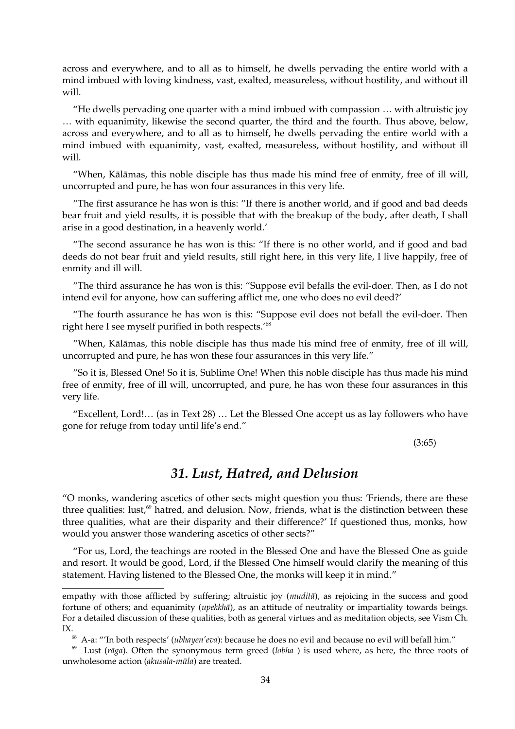across and everywhere, and to all as to himself, he dwells pervading the entire world with a mind imbued with loving kindness, vast, exalted, measureless, without hostility, and without ill will.

"He dwells pervading one quarter with a mind imbued with compassion … with altruistic joy … with equanimity, likewise the second quarter, the third and the fourth. Thus above, below, across and everywhere, and to all as to himself, he dwells pervading the entire world with a mind imbued with equanimity, vast, exalted, measureless, without hostility, and without ill will.

"When, Kālāmas, this noble disciple has thus made his mind free of enmity, free of ill will, uncorrupted and pure, he has won four assurances in this very life.

"The first assurance he has won is this: "If there is another world, and if good and bad deeds bear fruit and yield results, it is possible that with the breakup of the body, after death, I shall arise in a good destination, in a heavenly world.'

"The second assurance he has won is this: "If there is no other world, and if good and bad deeds do not bear fruit and yield results, still right here, in this very life, I live happily, free of enmity and ill will.

"The third assurance he has won is this: "Suppose evil befalls the evil-doer. Then, as I do not intend evil for anyone, how can suffering afflict me, one who does no evil deed?'

"The fourth assurance he has won is this: "Suppose evil does not befall the evil-doer. Then right here I see myself purified in both respects.'[68](#page-33-1)

"When, Kālāmas, this noble disciple has thus made his mind free of enmity, free of ill will, uncorrupted and pure, he has won these four assurances in this very life."

"So it is, Blessed One! So it is, Sublime One! When this noble disciple has thus made his mind free of enmity, free of ill will, uncorrupted, and pure, he has won these four assurances in this very life.

"Excellent, Lord!… (as in Text 28) … Let the Blessed One accept us as lay followers who have gone for refuge from today until life's end."

 $(3:65)$ 

#### <span id="page-33-0"></span>*31. Lust, Hatred, and Delusion*

"O monks, wandering ascetics of other sects might question you thus: 'Friends, there are these three qualities: lust, $69$  hatred, and delusion. Now, friends, what is the distinction between these three qualities, what are their disparity and their difference?' If questioned thus, monks, how would you answer those wandering ascetics of other sects?"

"For us, Lord, the teachings are rooted in the Blessed One and have the Blessed One as guide and resort. It would be good, Lord, if the Blessed One himself would clarify the meaning of this statement. Having listened to the Blessed One, the monks will keep it in mind."

empathy with those afflicted by suffering; altruistic joy (*muditā*), as rejoicing in the success and good fortune of others; and equanimity (*upekkhā*), as an attitude of neutrality or impartiality towards beings. For a detailed discussion of these qualities, both as general virtues and as meditation objects, see Vism Ch. IX.

<span id="page-33-2"></span><span id="page-33-1"></span><sup>68</sup> A-a: "'In both respects' (*ubhayen'eva*): because he does no evil and because no evil will befall him."

<sup>69</sup> Lust (*rāga*). Often the synonymous term greed (*lobha* ) is used where, as here, the three roots of unwholesome action (*akusala-mūla*) are treated.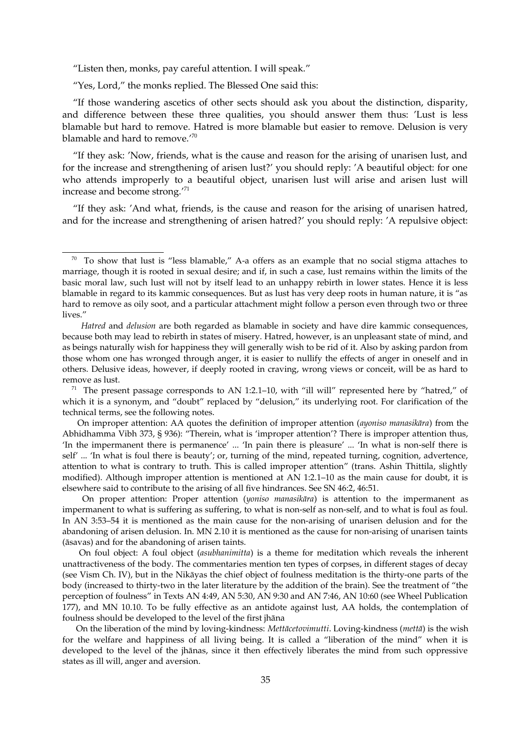"Listen then, monks, pay careful attention. I will speak."

"Yes, Lord," the monks replied. The Blessed One said this:

"If those wandering ascetics of other sects should ask you about the distinction, disparity, and difference between these three qualities, you should answer them thus: 'Lust is less blamable but hard to remove. Hatred is more blamable but easier to remove. Delusion is very blamable and hard to remove.<sup>'[70](#page-34-0)</sup>

"If they ask: 'Now, friends, what is the cause and reason for the arising of unarisen lust, and for the increase and strengthening of arisen lust?' you should reply: 'A beautiful object: for one who attends improperly to a beautiful object, unarisen lust will arise and arisen lust will increase and become strong.'[71](#page-34-1)

"If they ask: 'And what, friends, is the cause and reason for the arising of unarisen hatred, and for the increase and strengthening of arisen hatred?' you should reply: 'A repulsive object:

 On the liberation of the mind by loving-kindness: *Mettācetovimutti*. Loving-kindness (*mettā*) is the wish for the welfare and happiness of all living being. It is called a "liberation of the mind" when it is developed to the level of the jhānas, since it then effectively liberates the mind from such oppressive states as ill will, anger and aversion.

<span id="page-34-0"></span> $70$  To show that lust is "less blamable," A-a offers as an example that no social stigma attaches to marriage, though it is rooted in sexual desire; and if, in such a case, lust remains within the limits of the basic moral law, such lust will not by itself lead to an unhappy rebirth in lower states. Hence it is less blamable in regard to its kammic consequences. But as lust has very deep roots in human nature, it is "as hard to remove as oily soot, and a particular attachment might follow a person even through two or three lives."

*Hatred* and *delusion* are both regarded as blamable in society and have dire kammic consequences, because both may lead to rebirth in states of misery. Hatred, however, is an unpleasant state of mind, and as beings naturally wish for happiness they will generally wish to be rid of it. Also by asking pardon from those whom one has wronged through anger, it is easier to nullify the effects of anger in oneself and in others. Delusive ideas, however, if deeply rooted in craving, wrong views or conceit, will be as hard to remove as lust.

<span id="page-34-1"></span><sup>&</sup>lt;sup>71</sup> The present passage corresponds to AN 1:2.1–10, with "ill will" represented here by "hatred," of which it is a synonym, and "doubt" replaced by "delusion," its underlying root. For clarification of the technical terms, see the following notes.

On improper attention: AA quotes the definition of improper attention (*ayoniso manasikāra*) from the Abhidhamma Vibh 373, § 936): "Therein, what is 'improper attention'? There is improper attention thus, 'In the impermanent there is permanence' ... 'In pain there is pleasure' ... 'In what is non-self there is self' ... 'In what is foul there is beauty'; or, turning of the mind, repeated turning, cognition, advertence, attention to what is contrary to truth. This is called improper attention" (trans. Ashin Thittila, slightly modified). Although improper attention is mentioned at AN 1:2.1–10 as the main cause for doubt, it is elsewhere said to contribute to the arising of all five hindrances. See SN 46:2, 46:51.

On proper attention: Proper attention (*yoniso manasikāra*) is attention to the impermanent as impermanent to what is suffering as suffering, to what is non-self as non-self, and to what is foul as foul. In AN 3:53–54 it is mentioned as the main cause for the non-arising of unarisen delusion and for the abandoning of arisen delusion. In. MN 2.10 it is mentioned as the cause for non-arising of unarisen taints (āsavas) and for the abandoning of arisen taints.

On foul object: A foul object (*asubhanimitta*) is a theme for meditation which reveals the inherent unattractiveness of the body. The commentaries mention ten types of corpses, in different stages of decay (see Vism Ch. IV), but in the Nikāyas the chief object of foulness meditation is the thirty-one parts of the body (increased to thirty-two in the later literature by the addition of the brain). See the treatment of "the perception of foulness" in Texts AN 4:49, AN 5:30, AN 9:30 and AN 7:46, AN 10:60 (see Wheel Publication 177), and MN 10.10. To be fully effective as an antidote against lust, AA holds, the contemplation of foulness should be developed to the level of the first jhāna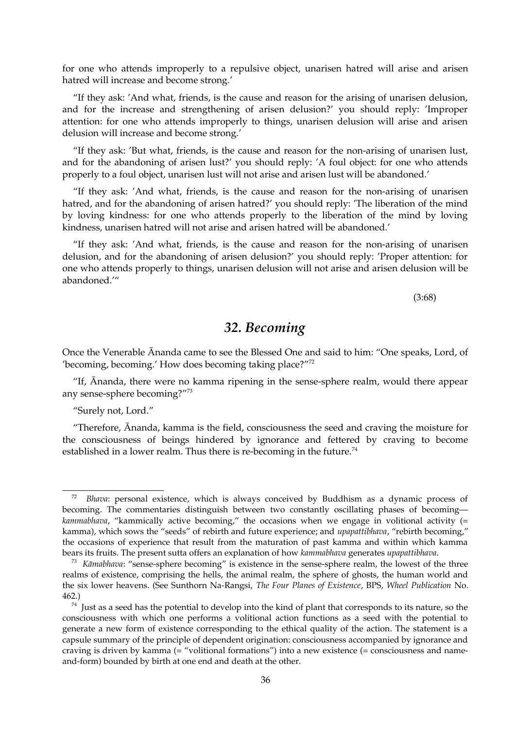for one who attends improperly to a repulsive object, unarisen hatred will arise and arisen hatred will increase and become strong.'

"If they ask: 'And what, friends, is the cause and reason for the arising of unarisen delusion, and for the increase and strengthening of arisen delusion?' you should reply: 'Improper attention: for one who attends improperly to things, unarisen delusion will arise and arisen delusion will increase and become strong.'

"If they ask: 'But what, friends, is the cause and reason for the non-arising of unarisen lust, and for the abandoning of arisen lust?' you should reply: 'A foul object: for one who attends properly to a foul object, unarisen lust will not arise and arisen lust will be abandoned.'

"If they ask: 'And what, friends, is the cause and reason for the non-arising of unarisen hatred, and for the abandoning of arisen hatred?' you should reply: 'The liberation of the mind by loving kindness: for one who attends properly to the liberation of the mind by loving kindness, unarisen hatred will not arise and arisen hatred will be abandoned.'

"If they ask: 'And what, friends, is the cause and reason for the non-arising of unarisen delusion, and for the abandoning of arisen delusion?' you should reply: 'Proper attention: for one who attends properly to things, unarisen delusion will not arise and arisen delusion will be abandoned.'"

(3:68)

#### <span id="page-35-0"></span>*32. Becoming*

Once the Venerable Ānanda came to see the Blessed One and said to him: "One speaks, Lord, of 'becoming, becoming.' How does becoming taking place?"<sup>[72](#page-35-1)</sup>

"If, Ānanda, there were no kamma ripening in the sense-sphere realm, would there appear any sense-sphere becoming?"[73](#page-35-2)

"Surely not, Lord."

"Therefore, Ānanda, kamma is the field, consciousness the seed and craving the moisture for the consciousness of beings hindered by ignorance and fettered by craving to become established in a lower realm. Thus there is re-becoming in the future.<sup>[74](#page-35-3)</sup>

<span id="page-35-1"></span><sup>72</sup> *Bhava*: personal existence, which is always conceived by Buddhism as a dynamic process of becoming. The commentaries distinguish between two constantly oscillating phases of becoming *kammabhava*, "kammically active becoming," the occasions when we engage in volitional activity (= kamma), which sows the "seeds" of rebirth and future experience; and *upapattibhava*, "rebirth becoming," the occasions of experience that result from the maturation of past kamma and within which kamma bears its fruits. The present sutta offers an explanation of how *kammabhava* generates *upapattibhava*.

<span id="page-35-2"></span><sup>73</sup> *Kāmabhava*: "sense-sphere becoming" is existence in the sense-sphere realm, the lowest of the three realms of existence, comprising the hells, the animal realm, the sphere of ghosts, the human world and the six lower heavens. (See Sunthorn Na-Rangsi, *The Four Planes of Existence*, BPS, *Wheel Publication* No. 462.)

<span id="page-35-3"></span> $74$  Just as a seed has the potential to develop into the kind of plant that corresponds to its nature, so the consciousness with which one performs a volitional action functions as a seed with the potential to generate a new form of existence corresponding to the ethical quality of the action. The statement is a capsule summary of the principle of dependent origination: consciousness accompanied by ignorance and craving is driven by kamma (= "volitional formations") into a new existence (= consciousness and nameand-form) bounded by birth at one end and death at the other.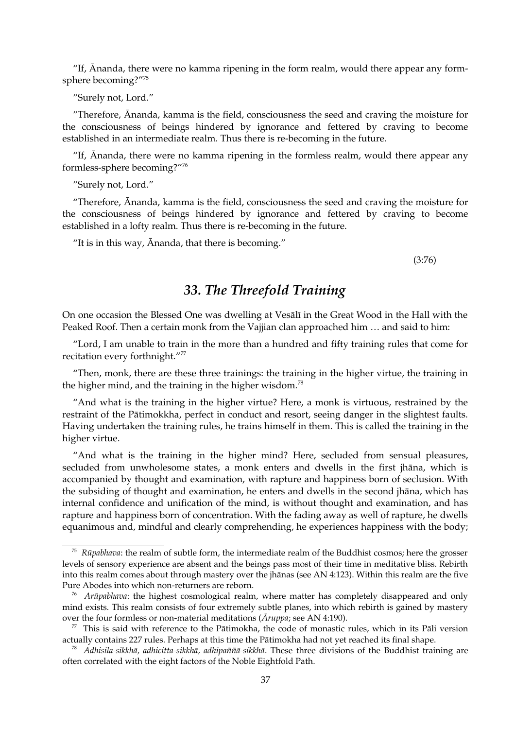"If, Ānanda, there were no kamma ripening in the form realm, would there appear any formsphere becoming?"[75](#page-36-1)

"Surely not, Lord."

"Therefore, Ānanda, kamma is the field, consciousness the seed and craving the moisture for the consciousness of beings hindered by ignorance and fettered by craving to become established in an intermediate realm. Thus there is re-becoming in the future.

"If, Ānanda, there were no kamma ripening in the formless realm, would there appear any formless-sphere becoming?"[76](#page-36-2)

"Surely not, Lord."

"Therefore, Ānanda, kamma is the field, consciousness the seed and craving the moisture for the consciousness of beings hindered by ignorance and fettered by craving to become established in a lofty realm. Thus there is re-becoming in the future.

"It is in this way, Ānanda, that there is becoming."

(3:76)

#### <span id="page-36-0"></span>*33. The Threefold Training*

On one occasion the Blessed One was dwelling at Vesālī in the Great Wood in the Hall with the Peaked Roof. Then a certain monk from the Vajjian clan approached him … and said to him:

"Lord, I am unable to train in the more than a hundred and fifty training rules that come for recitation every forthnight."[77](#page-36-3)

"Then, monk, there are these three trainings: the training in the higher virtue, the training in the higher mind, and the training in the higher wisdom.<sup>[78](#page-36-4)</sup>

"And what is the training in the higher virtue? Here, a monk is virtuous, restrained by the restraint of the Pātimokkha, perfect in conduct and resort, seeing danger in the slightest faults. Having undertaken the training rules, he trains himself in them. This is called the training in the higher virtue.

"And what is the training in the higher mind? Here, secluded from sensual pleasures, secluded from unwholesome states, a monk enters and dwells in the first jhāna, which is accompanied by thought and examination, with rapture and happiness born of seclusion. With the subsiding of thought and examination, he enters and dwells in the second jhāna, which has internal confidence and unification of the mind, is without thought and examination, and has rapture and happiness born of concentration. With the fading away as well of rapture, he dwells equanimous and, mindful and clearly comprehending, he experiences happiness with the body;

<span id="page-36-1"></span><sup>75</sup> *Rūpabhava*: the realm of subtle form, the intermediate realm of the Buddhist cosmos; here the grosser levels of sensory experience are absent and the beings pass most of their time in meditative bliss. Rebirth into this realm comes about through mastery over the jhānas (see AN 4:123). Within this realm are the five Pure Abodes into which non-returners are reborn.

<span id="page-36-2"></span><sup>76</sup> *Arūpabhava*: the highest cosmological realm, where matter has completely disappeared and only mind exists. This realm consists of four extremely subtle planes, into which rebirth is gained by mastery over the four formless or non-material meditations (*Āruppa*; see AN 4:190).

<span id="page-36-3"></span> $\frac{77}{10}$  This is said with reference to the Pātimokha, the code of monastic rules, which in its Pāli version actually contains 227 rules. Perhaps at this time the Pātimokha had not yet reached its final shape.

<span id="page-36-4"></span><sup>78</sup> *Adhisila-sikkhā, adhicitta-sikkhā, adhipaññā-sikkhā*. These three divisions of the Buddhist training are often correlated with the eight factors of the Noble Eightfold Path.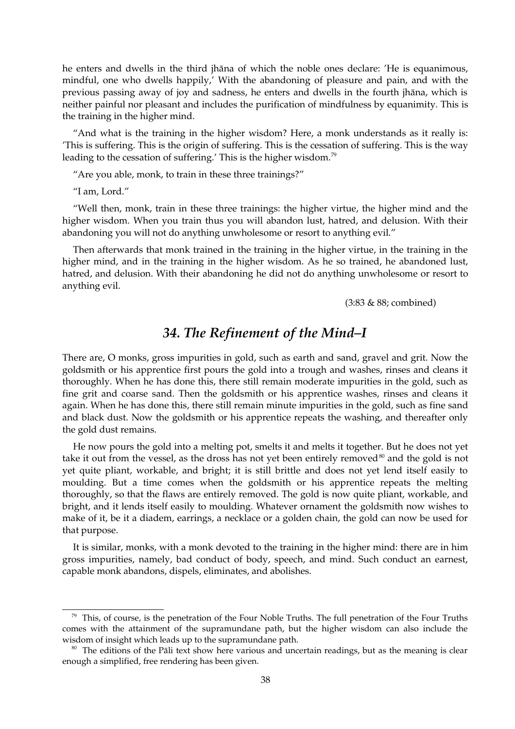he enters and dwells in the third jhāna of which the noble ones declare: 'He is equanimous, mindful, one who dwells happily,' With the abandoning of pleasure and pain, and with the previous passing away of joy and sadness, he enters and dwells in the fourth jhāna, which is neither painful nor pleasant and includes the purification of mindfulness by equanimity. This is the training in the higher mind.

"And what is the training in the higher wisdom? Here, a monk understands as it really is: 'This is suffering. This is the origin of suffering. This is the cessation of suffering. This is the way leading to the cessation of suffering.' This is the higher wisdom.<sup>[79](#page-37-1)</sup>

"Are you able, monk, to train in these three trainings?"

"I am, Lord."

"Well then, monk, train in these three trainings: the higher virtue, the higher mind and the higher wisdom. When you train thus you will abandon lust, hatred, and delusion. With their abandoning you will not do anything unwholesome or resort to anything evil."

Then afterwards that monk trained in the training in the higher virtue, in the training in the higher mind, and in the training in the higher wisdom. As he so trained, he abandoned lust, hatred, and delusion. With their abandoning he did not do anything unwholesome or resort to anything evil.

(3:83 & 88; combined)

#### <span id="page-37-0"></span>*34. The Refinement of the Mind–I*

There are, O monks, gross impurities in gold, such as earth and sand, gravel and grit. Now the goldsmith or his apprentice first pours the gold into a trough and washes, rinses and cleans it thoroughly. When he has done this, there still remain moderate impurities in the gold, such as fine grit and coarse sand. Then the goldsmith or his apprentice washes, rinses and cleans it again. When he has done this, there still remain minute impurities in the gold, such as fine sand and black dust. Now the goldsmith or his apprentice repeats the washing, and thereafter only the gold dust remains.

He now pours the gold into a melting pot, smelts it and melts it together. But he does not yet take it out from the vessel, as the dross has not yet been entirely removed $80$  and the gold is not yet quite pliant, workable, and bright; it is still brittle and does not yet lend itself easily to moulding. But a time comes when the goldsmith or his apprentice repeats the melting thoroughly, so that the flaws are entirely removed. The gold is now quite pliant, workable, and bright, and it lends itself easily to moulding. Whatever ornament the goldsmith now wishes to make of it, be it a diadem, earrings, a necklace or a golden chain, the gold can now be used for that purpose.

It is similar, monks, with a monk devoted to the training in the higher mind: there are in him gross impurities, namely, bad conduct of body, speech, and mind. Such conduct an earnest, capable monk abandons, dispels, eliminates, and abolishes.

<span id="page-37-1"></span> $79$  This, of course, is the penetration of the Four Noble Truths. The full penetration of the Four Truths comes with the attainment of the supramundane path, but the higher wisdom can also include the wisdom of insight which leads up to the supramundane path.

<span id="page-37-2"></span><sup>&</sup>lt;sup>80</sup> The editions of the Pāli text show here various and uncertain readings, but as the meaning is clear enough a simplified, free rendering has been given.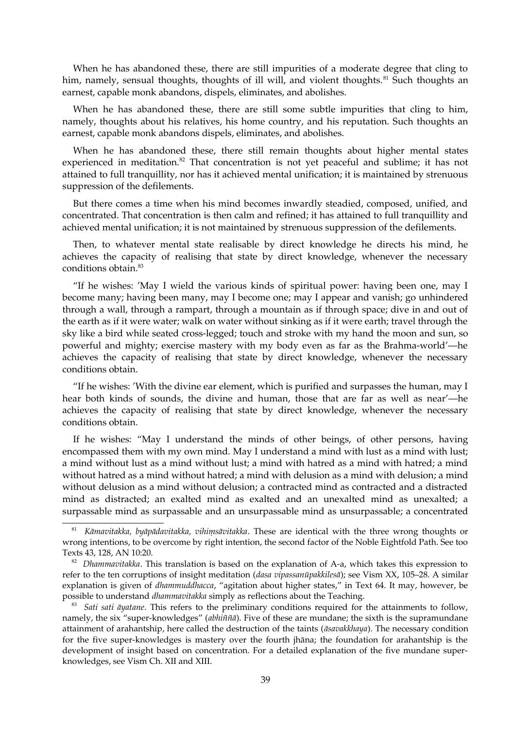When he has abandoned these, there are still impurities of a moderate degree that cling to him, namely, sensual thoughts, thoughts of ill will, and violent thoughts.<sup>[81](#page-38-0)</sup> Such thoughts an earnest, capable monk abandons, dispels, eliminates, and abolishes.

When he has abandoned these, there are still some subtle impurities that cling to him, namely, thoughts about his relatives, his home country, and his reputation. Such thoughts an earnest, capable monk abandons dispels, eliminates, and abolishes.

When he has abandoned these, there still remain thoughts about higher mental states experienced in meditation.<sup>[82](#page-38-1)</sup> That concentration is not yet peaceful and sublime; it has not attained to full tranquillity, nor has it achieved mental unification; it is maintained by strenuous suppression of the defilements.

But there comes a time when his mind becomes inwardly steadied, composed, unified, and concentrated. That concentration is then calm and refined; it has attained to full tranquillity and achieved mental unification; it is not maintained by strenuous suppression of the defilements.

Then, to whatever mental state realisable by direct knowledge he directs his mind, he achieves the capacity of realising that state by direct knowledge, whenever the necessary conditions obtain.[83](#page-38-2)

"If he wishes: 'May I wield the various kinds of spiritual power: having been one, may I become many; having been many, may I become one; may I appear and vanish; go unhindered through a wall, through a rampart, through a mountain as if through space; dive in and out of the earth as if it were water; walk on water without sinking as if it were earth; travel through the sky like a bird while seated cross-legged; touch and stroke with my hand the moon and sun, so powerful and mighty; exercise mastery with my body even as far as the Brahma-world'—he achieves the capacity of realising that state by direct knowledge, whenever the necessary conditions obtain.

"If he wishes: 'With the divine ear element, which is purified and surpasses the human, may I hear both kinds of sounds, the divine and human, those that are far as well as near'—he achieves the capacity of realising that state by direct knowledge, whenever the necessary conditions obtain.

If he wishes: "May I understand the minds of other beings, of other persons, having encompassed them with my own mind. May I understand a mind with lust as a mind with lust; a mind without lust as a mind without lust; a mind with hatred as a mind with hatred; a mind without hatred as a mind without hatred; a mind with delusion as a mind with delusion; a mind without delusion as a mind without delusion; a contracted mind as contracted and a distracted mind as distracted; an exalted mind as exalted and an unexalted mind as unexalted; a surpassable mind as surpassable and an unsurpassable mind as unsurpassable; a concentrated

<span id="page-38-0"></span><sup>81</sup> *Kāmavitakka, byāpādavitakka, vihiṃsāvitakka*. These are identical with the three wrong thoughts or wrong intentions, to be overcome by right intention, the second factor of the Noble Eightfold Path. See too Texts 43, 128, AN 10:20.

<span id="page-38-1"></span><sup>82</sup> *Dhammavitakka*. This translation is based on the explanation of A-a, which takes this expression to refer to the ten corruptions of insight meditation (*dasa vipassanūpakkilesā*); see Vism XX, 105–28. A similar explanation is given of *dhammuddhacca*, "agitation about higher states," in Text 64. It may, however, be possible to understand *dhammavitakka* simply as reflections about the Teaching.

<span id="page-38-2"></span><sup>83</sup> *Sati sati āyatane*. This refers to the preliminary conditions required for the attainments to follow, namely, the six "super-knowledges" (*abhiññā*). Five of these are mundane; the sixth is the supramundane attainment of arahantship, here called the destruction of the taints (*āsavakkhaya*). The necessary condition for the five super-knowledges is mastery over the fourth jhāna; the foundation for arahantship is the development of insight based on concentration. For a detailed explanation of the five mundane superknowledges, see Vism Ch. XII and XIII.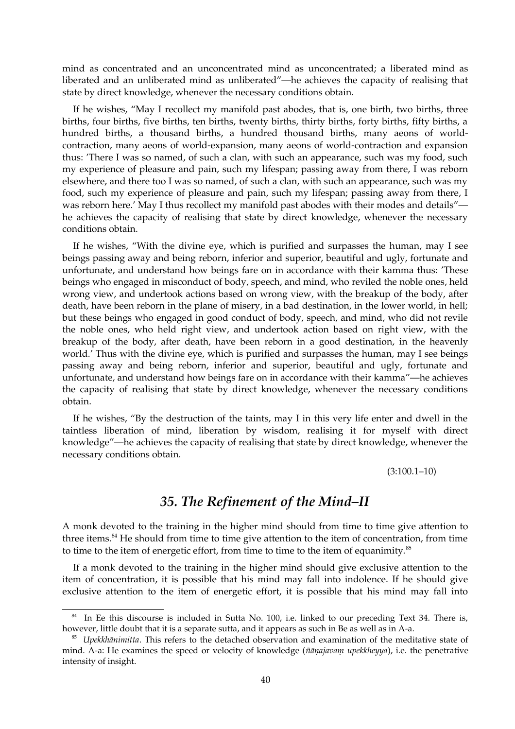mind as concentrated and an unconcentrated mind as unconcentrated; a liberated mind as liberated and an unliberated mind as unliberated"—he achieves the capacity of realising that state by direct knowledge, whenever the necessary conditions obtain.

If he wishes, "May I recollect my manifold past abodes, that is, one birth, two births, three births, four births, five births, ten births, twenty births, thirty births, forty births, fifty births, a hundred births, a thousand births, a hundred thousand births, many aeons of worldcontraction, many aeons of world-expansion, many aeons of world-contraction and expansion thus: 'There I was so named, of such a clan, with such an appearance, such was my food, such my experience of pleasure and pain, such my lifespan; passing away from there, I was reborn elsewhere, and there too I was so named, of such a clan, with such an appearance, such was my food, such my experience of pleasure and pain, such my lifespan; passing away from there, I was reborn here.' May I thus recollect my manifold past abodes with their modes and details" he achieves the capacity of realising that state by direct knowledge, whenever the necessary conditions obtain.

If he wishes, "With the divine eye, which is purified and surpasses the human, may I see beings passing away and being reborn, inferior and superior, beautiful and ugly, fortunate and unfortunate, and understand how beings fare on in accordance with their kamma thus: 'These beings who engaged in misconduct of body, speech, and mind, who reviled the noble ones, held wrong view, and undertook actions based on wrong view, with the breakup of the body, after death, have been reborn in the plane of misery, in a bad destination, in the lower world, in hell; but these beings who engaged in good conduct of body, speech, and mind, who did not revile the noble ones, who held right view, and undertook action based on right view, with the breakup of the body, after death, have been reborn in a good destination, in the heavenly world.' Thus with the divine eye, which is purified and surpasses the human, may I see beings passing away and being reborn, inferior and superior, beautiful and ugly, fortunate and unfortunate, and understand how beings fare on in accordance with their kamma"—he achieves the capacity of realising that state by direct knowledge, whenever the necessary conditions obtain.

If he wishes, "By the destruction of the taints, may I in this very life enter and dwell in the taintless liberation of mind, liberation by wisdom, realising it for myself with direct knowledge"—he achieves the capacity of realising that state by direct knowledge, whenever the necessary conditions obtain.

(3:100.1–10)

#### <span id="page-39-0"></span>*35. The Refinement of the Mind–II*

A monk devoted to the training in the higher mind should from time to time give attention to three items.<sup>[84](#page-39-1)</sup> He should from time to time give attention to the item of concentration, from time to time to the item of energetic effort, from time to time to the item of equanimity.<sup>[85](#page-39-2)</sup>

If a monk devoted to the training in the higher mind should give exclusive attention to the item of concentration, it is possible that his mind may fall into indolence. If he should give exclusive attention to the item of energetic effort, it is possible that his mind may fall into

<span id="page-39-1"></span><sup>&</sup>lt;sup>84</sup> In Ee this discourse is included in Sutta No. 100, i.e. linked to our preceding Text 34. There is, however, little doubt that it is a separate sutta, and it appears as such in Be as well as in A-a.

<span id="page-39-2"></span><sup>85</sup> *Upekkhānimitta*. This refers to the detached observation and examination of the meditative state of mind. A-a: He examines the speed or velocity of knowledge (*ñāṇajavaṃ upekkheyya*), i.e. the penetrative intensity of insight.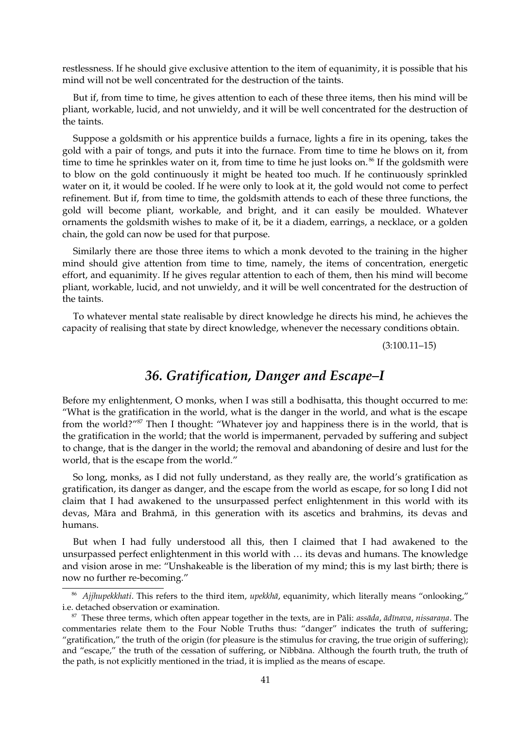restlessness. If he should give exclusive attention to the item of equanimity, it is possible that his mind will not be well concentrated for the destruction of the taints.

But if, from time to time, he gives attention to each of these three items, then his mind will be pliant, workable, lucid, and not unwieldy, and it will be well concentrated for the destruction of the taints.

Suppose a goldsmith or his apprentice builds a furnace, lights a fire in its opening, takes the gold with a pair of tongs, and puts it into the furnace. From time to time he blows on it, from time to time he sprinkles water on it, from time to time he just looks on.<sup>[86](#page-40-1)</sup> If the goldsmith were to blow on the gold continuously it might be heated too much. If he continuously sprinkled water on it, it would be cooled. If he were only to look at it, the gold would not come to perfect refinement. But if, from time to time, the goldsmith attends to each of these three functions, the gold will become pliant, workable, and bright, and it can easily be moulded. Whatever ornaments the goldsmith wishes to make of it, be it a diadem, earrings, a necklace, or a golden chain, the gold can now be used for that purpose.

Similarly there are those three items to which a monk devoted to the training in the higher mind should give attention from time to time, namely, the items of concentration, energetic effort, and equanimity. If he gives regular attention to each of them, then his mind will become pliant, workable, lucid, and not unwieldy, and it will be well concentrated for the destruction of the taints.

To whatever mental state realisable by direct knowledge he directs his mind, he achieves the capacity of realising that state by direct knowledge, whenever the necessary conditions obtain.

(3:100.11–15)

### <span id="page-40-0"></span>*36. Gratification, Danger and Escape–I*

Before my enlightenment, O monks, when I was still a bodhisatta, this thought occurred to me: "What is the gratification in the world, what is the danger in the world, and what is the escape from the world?"<sup>[87](#page-40-2)</sup> Then I thought: "Whatever joy and happiness there is in the world, that is the gratification in the world; that the world is impermanent, pervaded by suffering and subject to change, that is the danger in the world; the removal and abandoning of desire and lust for the world, that is the escape from the world."

So long, monks, as I did not fully understand, as they really are, the world's gratification as gratification, its danger as danger, and the escape from the world as escape, for so long I did not claim that I had awakened to the unsurpassed perfect enlightenment in this world with its devas, Māra and Brahmā, in this generation with its ascetics and brahmins, its devas and humans.

But when I had fully understood all this, then I claimed that I had awakened to the unsurpassed perfect enlightenment in this world with … its devas and humans. The knowledge and vision arose in me: "Unshakeable is the liberation of my mind; this is my last birth; there is now no further re-becoming."

<span id="page-40-1"></span><sup>86</sup> *Ajjhupekkhati*. This refers to the third item, *upekkhā*, equanimity, which literally means "onlooking," i.e. detached observation or examination.

<span id="page-40-2"></span><sup>87</sup> These three terms, which often appear together in the texts, are in Pāli: *assāda*, *ādīnava*, *nissaraṇa*. The commentaries relate them to the Four Noble Truths thus: "danger" indicates the truth of suffering; "gratification," the truth of the origin (for pleasure is the stimulus for craving, the true origin of suffering); and "escape," the truth of the cessation of suffering, or Nibbāna. Although the fourth truth, the truth of the path, is not explicitly mentioned in the triad, it is implied as the means of escape.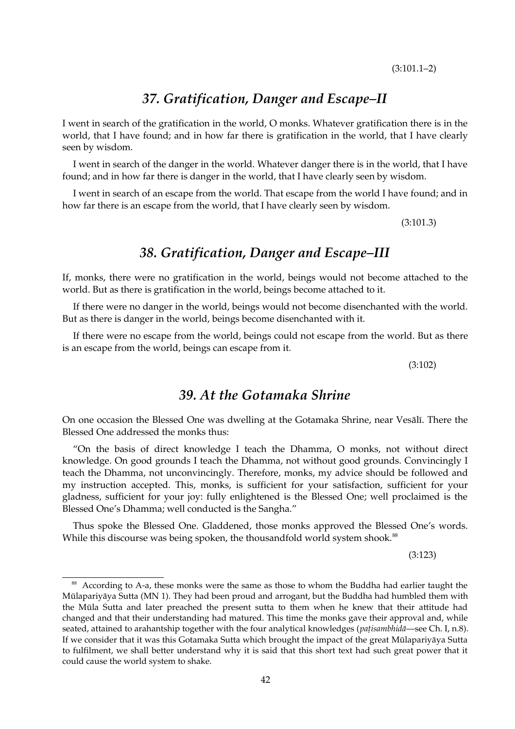#### <span id="page-41-1"></span>*37. Gratification, Danger and Escape–II*

I went in search of the gratification in the world, O monks. Whatever gratification there is in the world, that I have found; and in how far there is gratification in the world, that I have clearly seen by wisdom.

I went in search of the danger in the world. Whatever danger there is in the world, that I have found; and in how far there is danger in the world, that I have clearly seen by wisdom.

I went in search of an escape from the world. That escape from the world I have found; and in how far there is an escape from the world, that I have clearly seen by wisdom.

(3:101.3)

#### <span id="page-41-0"></span>*38. Gratification, Danger and Escape–III*

If, monks, there were no gratification in the world, beings would not become attached to the world. But as there is gratification in the world, beings become attached to it.

If there were no danger in the world, beings would not become disenchanted with the world. But as there is danger in the world, beings become disenchanted with it.

If there were no escape from the world, beings could not escape from the world. But as there is an escape from the world, beings can escape from it.

(3:102)

#### <span id="page-41-2"></span>*39. At the Gotamaka Shrine*

On one occasion the Blessed One was dwelling at the Gotamaka Shrine, near Vesālī. There the Blessed One addressed the monks thus:

"On the basis of direct knowledge I teach the Dhamma, O monks, not without direct knowledge. On good grounds I teach the Dhamma, not without good grounds. Convincingly I teach the Dhamma, not unconvincingly. Therefore, monks, my advice should be followed and my instruction accepted. This, monks, is sufficient for your satisfaction, sufficient for your gladness, sufficient for your joy: fully enlightened is the Blessed One; well proclaimed is the Blessed One's Dhamma; well conducted is the Sangha."

Thus spoke the Blessed One. Gladdened, those monks approved the Blessed One's words. While this discourse was being spoken, the thousandfold world system shook.<sup>[88](#page-41-3)</sup>

(3:123)

<span id="page-41-3"></span><sup>&</sup>lt;sup>88</sup> According to A-a, these monks were the same as those to whom the Buddha had earlier taught the Mūlapariyāya Sutta (MN 1). They had been proud and arrogant, but the Buddha had humbled them with the Mūla Sutta and later preached the present sutta to them when he knew that their attitude had changed and that their understanding had matured. This time the monks gave their approval and, while seated, attained to arahantship together with the four analytical knowledges (*paṭisambhidā*—see Ch. I, n.8). If we consider that it was this Gotamaka Sutta which brought the impact of the great Mūlapariyāya Sutta to fulfilment, we shall better understand why it is said that this short text had such great power that it could cause the world system to shake.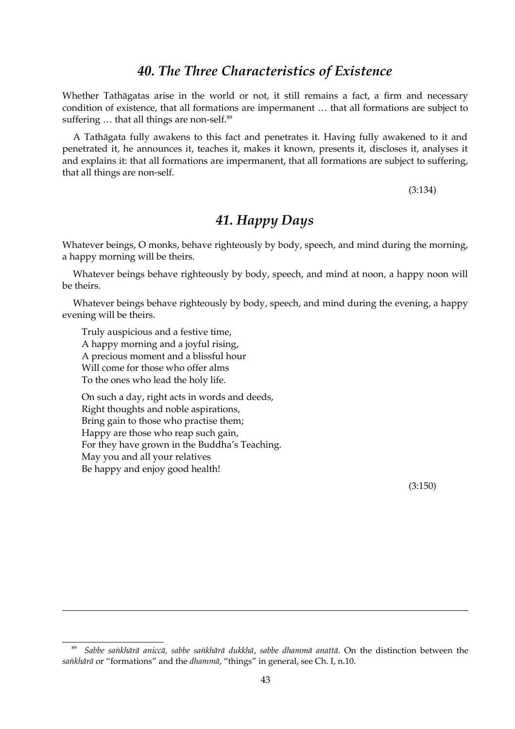#### <span id="page-42-1"></span>*40. The Three Characteristics of Existence*

Whether Tathāgatas arise in the world or not, it still remains a fact, a firm and necessary condition of existence, that all formations are impermanent … that all formations are subject to suffering  $\ldots$  that all things are non-self.<sup>[89](#page-42-2)</sup>

A Tathāgata fully awakens to this fact and penetrates it. Having fully awakened to it and penetrated it, he announces it, teaches it, makes it known, presents it, discloses it, analyses it and explains it: that all formations are impermanent, that all formations are subject to suffering, that all things are non-self.

(3:134)

### <span id="page-42-0"></span>*41. Happy Days*

Whatever beings, O monks, behave righteously by body, speech, and mind during the morning, a happy morning will be theirs.

Whatever beings behave righteously by body, speech, and mind at noon, a happy noon will be theirs.

Whatever beings behave righteously by body, speech, and mind during the evening, a happy evening will be theirs.

Truly auspicious and a festive time, A happy morning and a joyful rising, A precious moment and a blissful hour Will come for those who offer alms To the ones who lead the holy life.

On such a day, right acts in words and deeds, Right thoughts and noble aspirations, Bring gain to those who practise them; Happy are those who reap such gain, For they have grown in the Buddha's Teaching. May you and all your relatives Be happy and enjoy good health!

(3:150)

<span id="page-42-2"></span><sup>89</sup> *Sabbe saṅkhārā aniccā, sabbe saṅkhārā dukkhā*, *sabbe dhammā anattā*. On the distinction between the *saṅkhārā* or "formations" and the *dhammā*, "things" in general, see Ch. I, n.10.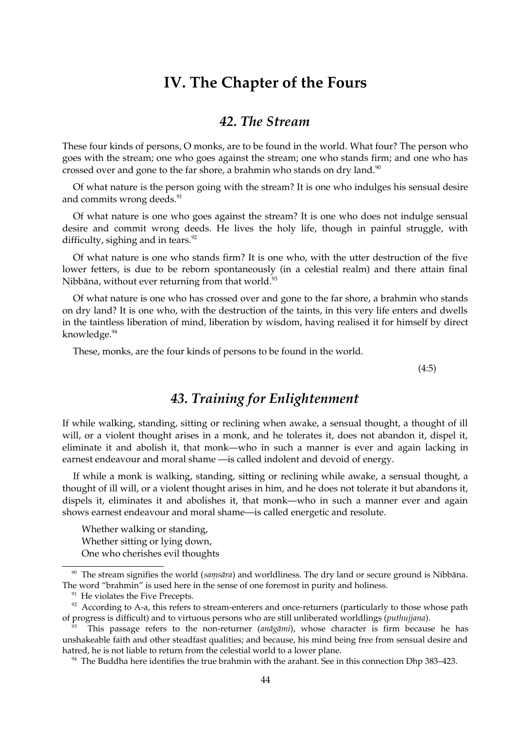# <span id="page-43-2"></span>**IV. The Chapter of the Fours**

#### <span id="page-43-1"></span>*42. The Stream*

These four kinds of persons, O monks, are to be found in the world. What four? The person who goes with the stream; one who goes against the stream; one who stands firm; and one who has crossed over and gone to the far shore, a brahmin who stands on dry land.<sup>[90](#page-43-3)</sup>

Of what nature is the person going with the stream? It is one who indulges his sensual desire and commits wrong deeds.<sup>[91](#page-43-4)</sup>

Of what nature is one who goes against the stream? It is one who does not indulge sensual desire and commit wrong deeds. He lives the holy life, though in painful struggle, with difficulty, sighing and in tears. $92$ 

Of what nature is one who stands firm? It is one who, with the utter destruction of the five lower fetters, is due to be reborn spontaneously (in a celestial realm) and there attain final Nibbāna, without ever returning from that world.<sup>[93](#page-43-6)</sup>

Of what nature is one who has crossed over and gone to the far shore, a brahmin who stands on dry land? It is one who, with the destruction of the taints, in this very life enters and dwells in the taintless liberation of mind, liberation by wisdom, having realised it for himself by direct knowledge.<sup>[94](#page-43-7)</sup>

These, monks, are the four kinds of persons to be found in the world.

(4:5)

#### <span id="page-43-0"></span>*43. Training for Enlightenment*

If while walking, standing, sitting or reclining when awake, a sensual thought, a thought of ill will, or a violent thought arises in a monk, and he tolerates it, does not abandon it, dispel it, eliminate it and abolish it, that monk—who in such a manner is ever and again lacking in earnest endeavour and moral shame —is called indolent and devoid of energy.

If while a monk is walking, standing, sitting or reclining while awake, a sensual thought, a thought of ill will, or a violent thought arises in him, and he does not tolerate it but abandons it, dispels it, eliminates it and abolishes it, that monk—who in such a manner ever and again shows earnest endeavour and moral shame—is called energetic and resolute.

Whether walking or standing, Whether sitting or lying down, One who cherishes evil thoughts

<span id="page-43-7"></span> $94$  The Buddha here identifies the true brahmin with the arahant. See in this connection Dhp 383–423.

<span id="page-43-3"></span><sup>90</sup> The stream signifies the world (*saṃsāra*) and worldliness. The dry land or secure ground is Nibbāna. The word "brahmin" is used here in the sense of one foremost in purity and holiness.

<span id="page-43-5"></span><span id="page-43-4"></span> $91$  He violates the Five Precepts.

<sup>&</sup>lt;sup>92</sup> According to A-a, this refers to stream-enterers and once-returners (particularly to those whose path of progress is difficult) and to virtuous persons who are still unliberated worldlings (*puthujjana*).

<span id="page-43-6"></span><sup>93</sup> This passage refers to the non-returner (*anāgāmi*), whose character is firm because he has unshakeable faith and other steadfast qualities; and because, his mind being free from sensual desire and hatred, he is not liable to return from the celestial world to a lower plane.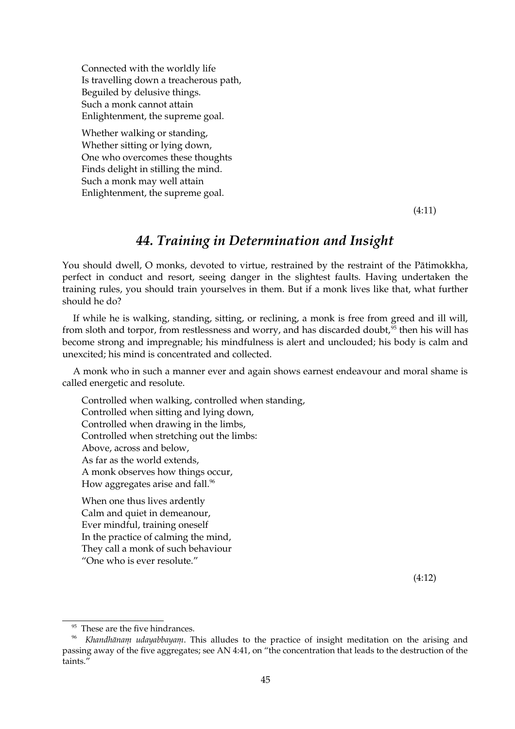Connected with the worldly life Is travelling down a treacherous path, Beguiled by delusive things. Such a monk cannot attain Enlightenment, the supreme goal.

Whether walking or standing, Whether sitting or lying down, One who overcomes these thoughts Finds delight in stilling the mind. Such a monk may well attain Enlightenment, the supreme goal.

(4:11)

#### <span id="page-44-0"></span>*44. Training in Determination and Insight*

You should dwell, O monks, devoted to virtue, restrained by the restraint of the Pātimokkha, perfect in conduct and resort, seeing danger in the slightest faults. Having undertaken the training rules, you should train yourselves in them. But if a monk lives like that, what further should he do?

If while he is walking, standing, sitting, or reclining, a monk is free from greed and ill will, from sloth and torpor, from restlessness and worry, and has discarded doubt,<sup>[95](#page-44-1)</sup> then his will has become strong and impregnable; his mindfulness is alert and unclouded; his body is calm and unexcited; his mind is concentrated and collected.

A monk who in such a manner ever and again shows earnest endeavour and moral shame is called energetic and resolute.

Controlled when walking, controlled when standing, Controlled when sitting and lying down, Controlled when drawing in the limbs, Controlled when stretching out the limbs: Above, across and below, As far as the world extends, A monk observes how things occur, How aggregates arise and fall.<sup>[96](#page-44-2)</sup>

When one thus lives ardently Calm and quiet in demeanour, Ever mindful, training oneself In the practice of calming the mind, They call a monk of such behaviour "One who is ever resolute."

(4:12)

<span id="page-44-2"></span><span id="page-44-1"></span><sup>&</sup>lt;sup>95</sup> These are the five hindrances.

<sup>96</sup> *Khandhānaṃ udayabbayaṃ*. This alludes to the practice of insight meditation on the arising and passing away of the five aggregates; see AN 4:41, on "the concentration that leads to the destruction of the taints."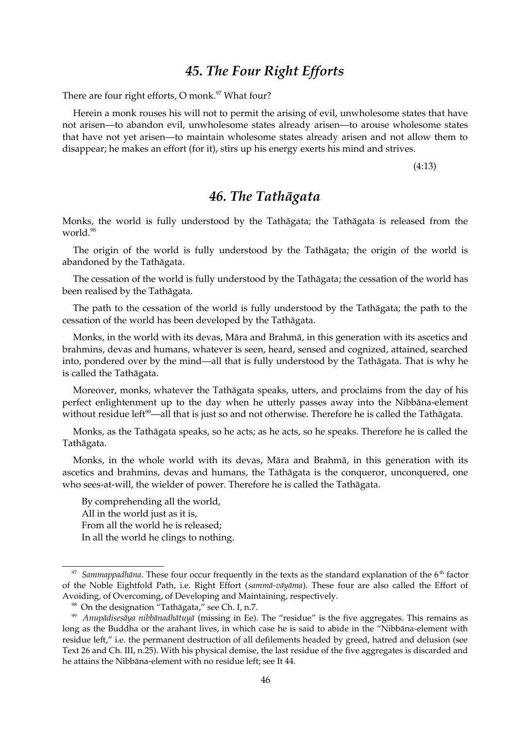#### <span id="page-45-1"></span>*45. The Four Right Efforts*

There are four right efforts, O monk.<sup>[97](#page-45-2)</sup> What four?

Herein a monk rouses his will not to permit the arising of evil, unwholesome states that have not arisen—to abandon evil, unwholesome states already arisen—to arouse wholesome states that have not yet arisen—to maintain wholesome states already arisen and not allow them to disappear; he makes an effort (for it), stirs up his energy exerts his mind and strives.

(4:13)

#### <span id="page-45-0"></span>*46. The Tathāgata*

Monks, the world is fully understood by the Tathāgata; the Tathāgata is released from the world.[98](#page-45-3)

The origin of the world is fully understood by the Tathāgata; the origin of the world is abandoned by the Tathāgata.

The cessation of the world is fully understood by the Tathāgata; the cessation of the world has been realised by the Tathāgata.

The path to the cessation of the world is fully understood by the Tathāgata; the path to the cessation of the world has been developed by the Tathāgata.

Monks, in the world with its devas, Māra and Brahmā, in this generation with its ascetics and brahmins, devas and humans, whatever is seen, heard, sensed and cognized, attained, searched into, pondered over by the mind—all that is fully understood by the Tathāgata. That is why he is called the Tathāgata.

Moreover, monks, whatever the Tathāgata speaks, utters, and proclaims from the day of his perfect enlightenment up to the day when he utterly passes away into the Nibbāna-element without residue left<sup>[99](#page-45-4)</sup>—all that is just so and not otherwise. Therefore he is called the Tathāgata.

Monks, as the Tathāgata speaks, so he acts; as he acts, so he speaks. Therefore he is called the Tathāgata.

Monks, in the whole world with its devas, Māra and Brahmā, in this generation with its ascetics and brahmins, devas and humans, the Tathāgata is the conqueror, unconquered, one who sees-at-will, the wielder of power. Therefore he is called the Tathāgata.

By comprehending all the world, All in the world just as it is, From all the world he is released; In all the world he clings to nothing.

<span id="page-45-2"></span> $97$  *Sammappadhāna*. These four occur frequently in the texts as the standard explanation of the 6<sup>th</sup> factor of the Noble Eightfold Path, i.e. Right Effort (*sammā-vāyāma*). These four are also called the Effort of Avoiding, of Overcoming, of Developing and Maintaining, respectively.

<span id="page-45-4"></span><span id="page-45-3"></span><sup>&</sup>lt;sup>98</sup> On the designation "Tathāgata," see Ch. I, n.7.

<sup>99</sup> *Anupādisesāya nibbānadhātuyā* (missing in Ee). The "residue" is the five aggregates. This remains as long as the Buddha or the arahant lives, in which case he is said to abide in the "Nibbāna-element with residue left," i.e. the permanent destruction of all defilements headed by greed, hatred and delusion (see Text 26 and Ch. III, n.25). With his physical demise, the last residue of the five aggregates is discarded and he attains the Nibbāna-element with no residue left; see It 44.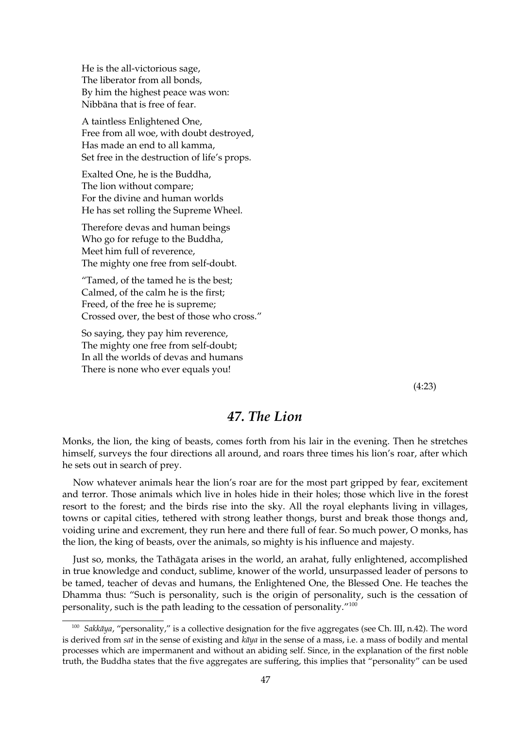He is the all-victorious sage, The liberator from all bonds, By him the highest peace was won: Nibbāna that is free of fear.

A taintless Enlightened One, Free from all woe, with doubt destroyed, Has made an end to all kamma, Set free in the destruction of life's props.

Exalted One, he is the Buddha, The lion without compare; For the divine and human worlds He has set rolling the Supreme Wheel.

Therefore devas and human beings Who go for refuge to the Buddha, Meet him full of reverence, The mighty one free from self-doubt.

"Tamed, of the tamed he is the best; Calmed, of the calm he is the first; Freed, of the free he is supreme; Crossed over, the best of those who cross."

So saying, they pay him reverence, The mighty one free from self-doubt; In all the worlds of devas and humans There is none who ever equals you!

(4:23)

#### <span id="page-46-0"></span>*47. The Lion*

Monks, the lion, the king of beasts, comes forth from his lair in the evening. Then he stretches himself, surveys the four directions all around, and roars three times his lion's roar, after which he sets out in search of prey.

Now whatever animals hear the lion's roar are for the most part gripped by fear, excitement and terror. Those animals which live in holes hide in their holes; those which live in the forest resort to the forest; and the birds rise into the sky. All the royal elephants living in villages, towns or capital cities, tethered with strong leather thongs, burst and break those thongs and, voiding urine and excrement, they run here and there full of fear. So much power, O monks, has the lion, the king of beasts, over the animals, so mighty is his influence and majesty.

Just so, monks, the Tathāgata arises in the world, an arahat, fully enlightened, accomplished in true knowledge and conduct, sublime, knower of the world, unsurpassed leader of persons to be tamed, teacher of devas and humans, the Enlightened One, the Blessed One. He teaches the Dhamma thus: "Such is personality, such is the origin of personality, such is the cessation of personality, such is the path leading to the cessation of personality."[100](#page-46-1)

<span id="page-46-1"></span><sup>&</sup>lt;sup>100</sup> Sakkāya, "personality," is a collective designation for the five aggregates (see Ch. III, n.42). The word is derived from *sat* in the sense of existing and *kāya* in the sense of a mass, i.e. a mass of bodily and mental processes which are impermanent and without an abiding self. Since, in the explanation of the first noble truth, the Buddha states that the five aggregates are suffering, this implies that "personality" can be used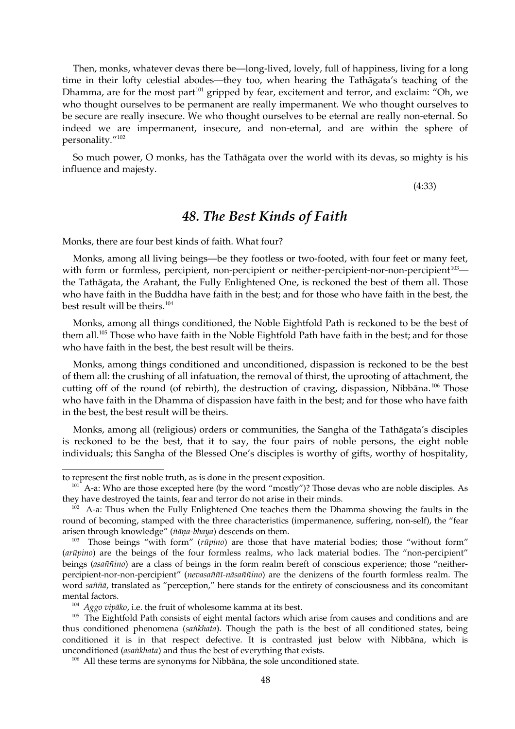Then, monks, whatever devas there be—long-lived, lovely, full of happiness, living for a long time in their lofty celestial abodes—they too, when hearing the Tathāgata's teaching of the Dhamma, are for the most part<sup>[101](#page-47-1)</sup> gripped by fear, excitement and terror, and exclaim: "Oh, we who thought ourselves to be permanent are really impermanent. We who thought ourselves to be secure are really insecure. We who thought ourselves to be eternal are really non-eternal. So indeed we are impermanent, insecure, and non-eternal, and are within the sphere of personality."[102](#page-47-2)

So much power, O monks, has the Tathāgata over the world with its devas, so mighty is his influence and majesty.

(4:33)

#### <span id="page-47-0"></span>*48. The Best Kinds of Faith*

Monks, there are four best kinds of faith. What four?

Monks, among all living beings—be they footless or two-footed, with four feet or many feet, with form or formless, percipient, non-percipient or neither-percipient-nor-non-percipient<sup>[103](#page-47-3)</sup> the Tathāgata, the Arahant, the Fully Enlightened One, is reckoned the best of them all. Those who have faith in the Buddha have faith in the best; and for those who have faith in the best, the best result will be theirs.<sup>[104](#page-47-4)</sup>

Monks, among all things conditioned, the Noble Eightfold Path is reckoned to be the best of them all.<sup>[105](#page-47-5)</sup> Those who have faith in the Noble Eightfold Path have faith in the best; and for those who have faith in the best, the best result will be theirs.

Monks, among things conditioned and unconditioned, dispassion is reckoned to be the best of them all: the crushing of all infatuation, the removal of thirst, the uprooting of attachment, the cutting off of the round (of rebirth), the destruction of craving, dispassion, Nibbāna.<sup>[106](#page-47-6)</sup> Those who have faith in the Dhamma of dispassion have faith in the best; and for those who have faith in the best, the best result will be theirs.

Monks, among all (religious) orders or communities, the Sangha of the Tathāgata's disciples is reckoned to be the best, that it to say, the four pairs of noble persons, the eight noble individuals; this Sangha of the Blessed One's disciples is worthy of gifts, worthy of hospitality,

to represent the first noble truth, as is done in the present exposition.

<span id="page-47-1"></span> $101$  A-a: Who are those excepted here (by the word "mostly")? Those devas who are noble disciples. As they have destroyed the taints, fear and terror do not arise in their minds.

<span id="page-47-2"></span><sup>&</sup>lt;sup>102</sup> A-a: Thus when the Fully Enlightened One teaches them the Dhamma showing the faults in the round of becoming, stamped with the three characteristics (impermanence, suffering, non-self), the "fear arisen through knowledge" (*ñāṇa-bhaya*) descends on them.

<span id="page-47-3"></span><sup>&</sup>lt;sup>103</sup> Those beings "with form" (*rūpino*) are those that have material bodies; those "without form" (*arūpino*) are the beings of the four formless realms, who lack material bodies. The "non-percipient" beings (*asaññino*) are a class of beings in the form realm bereft of conscious experience; those "neitherpercipient-nor-non-percipient" (*nevasaññī-nāsaññino*) are the denizens of the fourth formless realm. The word *saññā*, translated as "perception," here stands for the entirety of consciousness and its concomitant mental factors.

<span id="page-47-5"></span><span id="page-47-4"></span><sup>104</sup> *Aggo vipāko*, i.e. the fruit of wholesome kamma at its best.

<sup>&</sup>lt;sup>105</sup> The Eightfold Path consists of eight mental factors which arise from causes and conditions and are thus conditioned phenomena (*saṅkhata*). Though the path is the best of all conditioned states, being conditioned it is in that respect defective. It is contrasted just below with Nibbāna, which is unconditioned (*asaṅkhata*) and thus the best of everything that exists.

<span id="page-47-6"></span><sup>&</sup>lt;sup>106</sup> All these terms are synonyms for Nibbāna, the sole unconditioned state.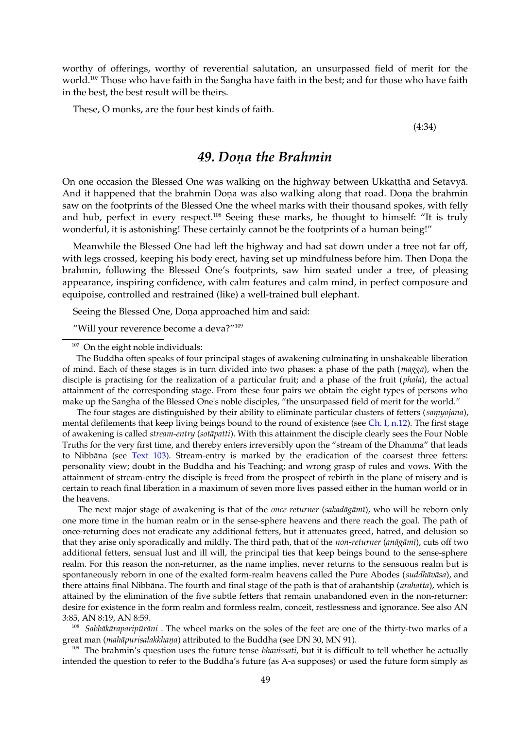worthy of offerings, worthy of reverential salutation, an unsurpassed field of merit for the world.<sup>[107](#page-48-1)</sup> Those who have faith in the Sangha have faith in the best; and for those who have faith in the best, the best result will be theirs.

These, O monks, are the four best kinds of faith.

(4:34)

#### <span id="page-48-0"></span>*49. Doṇa the Brahmin*

On one occasion the Blessed One was walking on the highway between Ukkaṭṭhā and Setavyā. And it happened that the brahmin Doṇa was also walking along that road. Doṇa the brahmin saw on the footprints of the Blessed One the wheel marks with their thousand spokes, with felly and hub, perfect in every respect.<sup>[108](#page-48-2)</sup> Seeing these marks, he thought to himself: "It is truly wonderful, it is astonishing! These certainly cannot be the footprints of a human being!"

Meanwhile the Blessed One had left the highway and had sat down under a tree not far off, with legs crossed, keeping his body erect, having set up mindfulness before him. Then Doṇa the brahmin, following the Blessed One's footprints, saw him seated under a tree, of pleasing appearance, inspiring confidence, with calm features and calm mind, in perfect composure and equipoise, controlled and restrained (like) a well-trained bull elephant.

Seeing the Blessed One, Doṇa approached him and said:

"Will your reverence become a deva?"<sup>[109](#page-48-3)</sup>

<span id="page-48-1"></span> $107$  On the eight noble individuals:

 The Buddha often speaks of four principal stages of awakening culminating in unshakeable liberation of mind. Each of these stages is in turn divided into two phases: a phase of the path (*magga*), when the disciple is practising for the realization of a particular fruit; and a phase of the fruit (*phala*), the actual attainment of the corresponding stage. From these four pairs we obtain the eight types of persons who make up the Sangha of the Blessed One's noble disciples, "the unsurpassed field of merit for the world."

 The four stages are distinguished by their ability to eliminate particular clusters of fetters (*saṃyojana*), mental defilements that keep living beings bound to the round of existence (see Ch. I, n.12). The first stage of awakening is called *stream-entry* (*sotāpatti*). With this attainment the disciple clearly sees the Four Noble Truths for the very first time, and thereby enters irreversibly upon the "stream of the Dhamma" that leads to Nibbāna (see Text 103). Stream-entry is marked by the eradication of the coarsest three fetters: personality view; doubt in the Buddha and his Teaching; and wrong grasp of rules and vows. With the attainment of stream-entry the disciple is freed from the prospect of rebirth in the plane of misery and is certain to reach final liberation in a maximum of seven more lives passed either in the human world or in the heavens.

 The next major stage of awakening is that of the *once-returner* (*sakadāgāmī*), who will be reborn only one more time in the human realm or in the sense-sphere heavens and there reach the goal. The path of once-returning does not eradicate any additional fetters, but it attenuates greed, hatred, and delusion so that they arise only sporadically and mildly. The third path, that of the *non-returner* (*anāgāmī*), cuts off two additional fetters, sensual lust and ill will, the principal ties that keep beings bound to the sense-sphere realm. For this reason the non-returner, as the name implies, never returns to the sensuous realm but is spontaneously reborn in one of the exalted form-realm heavens called the Pure Abodes (*suddhāvāsa*), and there attains final Nibbāna. The fourth and final stage of the path is that of arahantship (*arahatta*), which is attained by the elimination of the five subtle fetters that remain unabandoned even in the non-returner: desire for existence in the form realm and formless realm, conceit, restlessness and ignorance. See also AN 3:85, AN 8:19, AN 8:59.

<span id="page-48-2"></span>108 *Sabbākāraparipūrāni* . The wheel marks on the soles of the feet are one of the thirty-two marks of a great man (*mahāpurisalakkhaṇa*) attributed to the Buddha (see DN 30, MN 91).

<span id="page-48-3"></span><sup>109</sup> The brahmin's question uses the future tense *bhavissati*, but it is difficult to tell whether he actually intended the question to refer to the Buddha's future (as A-a supposes) or used the future form simply as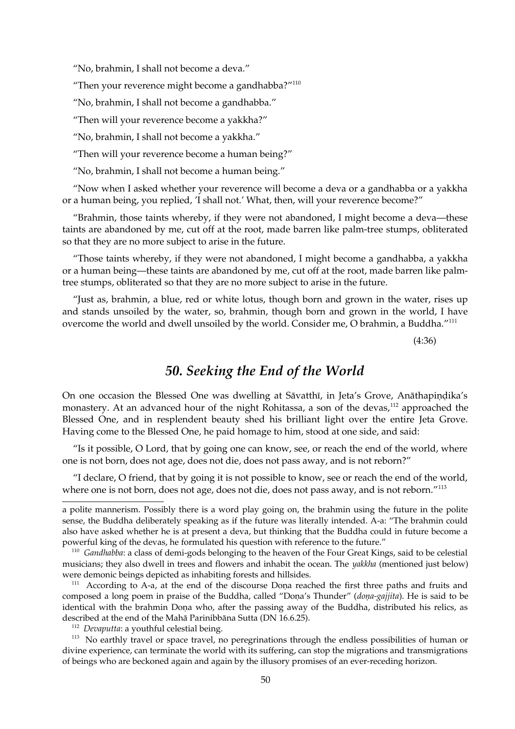"No, brahmin, I shall not become a deva."

"Then your reverence might become a gandhabba?"[110](#page-49-1)

"No, brahmin, I shall not become a gandhabba."

"Then will your reverence become a yakkha?"

"No, brahmin, I shall not become a yakkha."

"Then will your reverence become a human being?"

"No, brahmin, I shall not become a human being."

"Now when I asked whether your reverence will become a deva or a gandhabba or a yakkha or a human being, you replied, 'I shall not.' What, then, will your reverence become?"

"Brahmin, those taints whereby, if they were not abandoned, I might become a deva—these taints are abandoned by me, cut off at the root, made barren like palm-tree stumps, obliterated so that they are no more subject to arise in the future.

"Those taints whereby, if they were not abandoned, I might become a gandhabba, a yakkha or a human being—these taints are abandoned by me, cut off at the root, made barren like palmtree stumps, obliterated so that they are no more subject to arise in the future.

"Just as, brahmin, a blue, red or white lotus, though born and grown in the water, rises up and stands unsoiled by the water, so, brahmin, though born and grown in the world, I have overcome the world and dwell unsoiled by the world. Consider me, O brahmin, a Buddha."[111](#page-49-2)

(4:36)

#### <span id="page-49-0"></span>*50. Seeking the End of the World*

On one occasion the Blessed One was dwelling at Sāvatthī, in Jeta's Grove, Anāthapindika's monastery. At an advanced hour of the night Rohitassa, a son of the devas,<sup>[112](#page-49-3)</sup> approached the Blessed One, and in resplendent beauty shed his brilliant light over the entire Jeta Grove. Having come to the Blessed One, he paid homage to him, stood at one side, and said:

"Is it possible, O Lord, that by going one can know, see, or reach the end of the world, where one is not born, does not age, does not die, does not pass away, and is not reborn?"

"I declare, O friend, that by going it is not possible to know, see or reach the end of the world, where one is not born, does not age, does not die, does not pass away, and is not reborn."<sup>[113](#page-49-4)</sup>

a polite mannerism. Possibly there is a word play going on, the brahmin using the future in the polite sense, the Buddha deliberately speaking as if the future was literally intended. A-a: "The brahmin could also have asked whether he is at present a deva, but thinking that the Buddha could in future become a powerful king of the devas, he formulated his question with reference to the future."

<span id="page-49-1"></span><sup>&</sup>lt;sup>110</sup> Gandhabba: a class of demi-gods belonging to the heaven of the Four Great Kings, said to be celestial musicians; they also dwell in trees and flowers and inhabit the ocean. The *yakkha* (mentioned just below) were demonic beings depicted as inhabiting forests and hillsides.

<span id="page-49-2"></span><sup>&</sup>lt;sup>111</sup> According to A-a, at the end of the discourse Dona reached the first three paths and fruits and composed a long poem in praise of the Buddha, called "Doṇa's Thunder" (*doṇa-gajjita*). He is said to be identical with the brahmin Doṇa who, after the passing away of the Buddha, distributed his relics, as described at the end of the Mahā Parinibbāna Sutta (DN 16.6.25).

<span id="page-49-4"></span><span id="page-49-3"></span><sup>112</sup> *Devaputta*: a youthful celestial being.

<sup>&</sup>lt;sup>113</sup> No earthly travel or space travel, no peregrinations through the endless possibilities of human or divine experience, can terminate the world with its suffering, can stop the migrations and transmigrations of beings who are beckoned again and again by the illusory promises of an ever-receding horizon.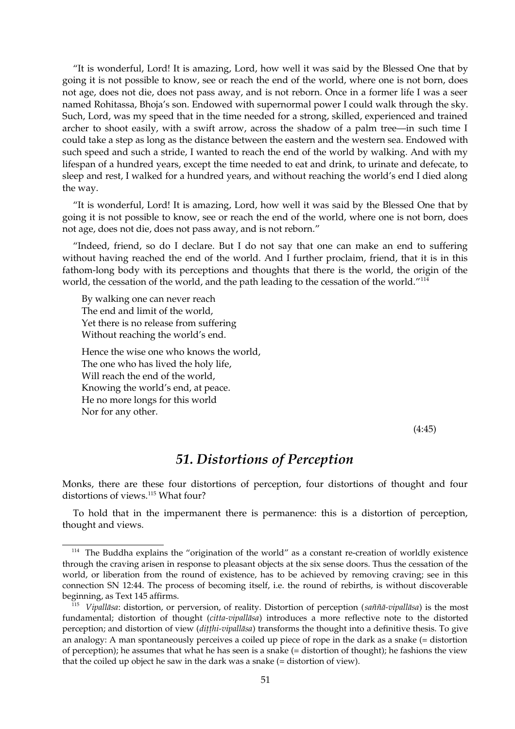"It is wonderful, Lord! It is amazing, Lord, how well it was said by the Blessed One that by going it is not possible to know, see or reach the end of the world, where one is not born, does not age, does not die, does not pass away, and is not reborn. Once in a former life I was a seer named Rohitassa, Bhoja's son. Endowed with supernormal power I could walk through the sky. Such, Lord, was my speed that in the time needed for a strong, skilled, experienced and trained archer to shoot easily, with a swift arrow, across the shadow of a palm tree—in such time I could take a step as long as the distance between the eastern and the western sea. Endowed with such speed and such a stride, I wanted to reach the end of the world by walking. And with my lifespan of a hundred years, except the time needed to eat and drink, to urinate and defecate, to sleep and rest, I walked for a hundred years, and without reaching the world's end I died along the way.

"It is wonderful, Lord! It is amazing, Lord, how well it was said by the Blessed One that by going it is not possible to know, see or reach the end of the world, where one is not born, does not age, does not die, does not pass away, and is not reborn."

"Indeed, friend, so do I declare. But I do not say that one can make an end to suffering without having reached the end of the world. And I further proclaim, friend, that it is in this fathom-long body with its perceptions and thoughts that there is the world, the origin of the world, the cessation of the world, and the path leading to the cessation of the world."[114](#page-50-1)

By walking one can never reach The end and limit of the world, Yet there is no release from suffering Without reaching the world's end.

Hence the wise one who knows the world, The one who has lived the holy life, Will reach the end of the world, Knowing the world's end, at peace. He no more longs for this world Nor for any other.

(4:45)

### <span id="page-50-0"></span>*51. Distortions of Perception*

Monks, there are these four distortions of perception, four distortions of thought and four distortions of views.<sup>[115](#page-50-2)</sup> What four?

To hold that in the impermanent there is permanence: this is a distortion of perception, thought and views.

<span id="page-50-1"></span><sup>&</sup>lt;sup>114</sup> The Buddha explains the "origination of the world" as a constant re-creation of worldly existence through the craving arisen in response to pleasant objects at the six sense doors. Thus the cessation of the world, or liberation from the round of existence, has to be achieved by removing craving; see in this connection SN 12:44. The process of becoming itself, i.e. the round of rebirths, is without discoverable beginning, as Text 145 affirms.

<span id="page-50-2"></span><sup>115</sup> *Vipallāsa*: distortion, or perversion, of reality. Distortion of perception (*saññā-vipallāsa*) is the most fundamental; distortion of thought (*citta-vipallāsa*) introduces a more reflective note to the distorted perception; and distortion of view (*diṭṭhi-vipallāsa*) transforms the thought into a definitive thesis. To give an analogy: A man spontaneously perceives a coiled up piece of rope in the dark as a snake (= distortion of perception); he assumes that what he has seen is a snake (= distortion of thought); he fashions the view that the coiled up object he saw in the dark was a snake (= distortion of view).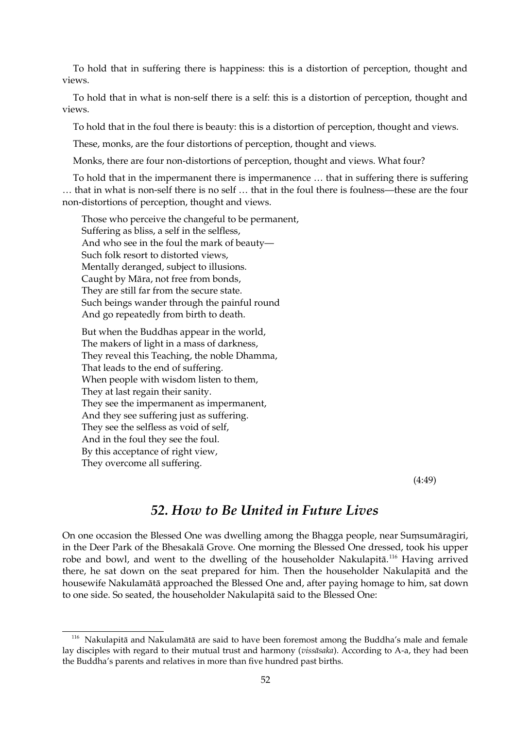To hold that in suffering there is happiness: this is a distortion of perception, thought and views.

To hold that in what is non-self there is a self: this is a distortion of perception, thought and views.

To hold that in the foul there is beauty: this is a distortion of perception, thought and views.

These, monks, are the four distortions of perception, thought and views.

Monks, there are four non-distortions of perception, thought and views. What four?

To hold that in the impermanent there is impermanence … that in suffering there is suffering … that in what is non-self there is no self … that in the foul there is foulness—these are the four non-distortions of perception, thought and views.

Those who perceive the changeful to be permanent, Suffering as bliss, a self in the selfless, And who see in the foul the mark of beauty— Such folk resort to distorted views, Mentally deranged, subject to illusions. Caught by Māra, not free from bonds, They are still far from the secure state. Such beings wander through the painful round And go repeatedly from birth to death.

But when the Buddhas appear in the world, The makers of light in a mass of darkness, They reveal this Teaching, the noble Dhamma, That leads to the end of suffering. When people with wisdom listen to them, They at last regain their sanity. They see the impermanent as impermanent, And they see suffering just as suffering. They see the selfless as void of self, And in the foul they see the foul. By this acceptance of right view, They overcome all suffering.

(4:49)

#### <span id="page-51-0"></span>*52. How to Be United in Future Lives*

On one occasion the Blessed One was dwelling among the Bhagga people, near Suṃsumāragiri, in the Deer Park of the Bhesakalā Grove. One morning the Blessed One dressed, took his upper robe and bowl, and went to the dwelling of the householder Nakulapitā.<sup>[116](#page-51-1)</sup> Having arrived there, he sat down on the seat prepared for him. Then the householder Nakulapitā and the housewife Nakulamātā approached the Blessed One and, after paying homage to him, sat down to one side. So seated, the householder Nakulapitā said to the Blessed One:

<span id="page-51-1"></span><sup>116</sup> Nakulapitā and Nakulamātā are said to have been foremost among the Buddha's male and female lay disciples with regard to their mutual trust and harmony (*vissāsaka*). According to A-a, they had been the Buddha's parents and relatives in more than five hundred past births.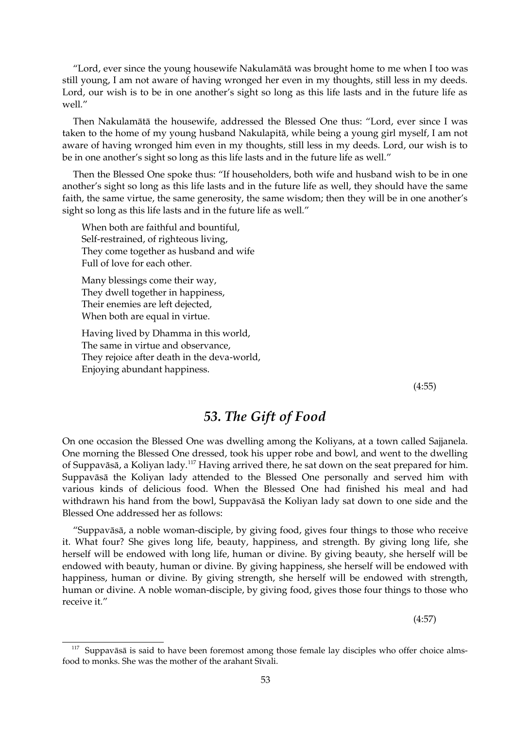"Lord, ever since the young housewife Nakulamātā was brought home to me when I too was still young, I am not aware of having wronged her even in my thoughts, still less in my deeds. Lord, our wish is to be in one another's sight so long as this life lasts and in the future life as well."

Then Nakulamātā the housewife, addressed the Blessed One thus: "Lord, ever since I was taken to the home of my young husband Nakulapitā, while being a young girl myself, I am not aware of having wronged him even in my thoughts, still less in my deeds. Lord, our wish is to be in one another's sight so long as this life lasts and in the future life as well."

Then the Blessed One spoke thus: "If householders, both wife and husband wish to be in one another's sight so long as this life lasts and in the future life as well, they should have the same faith, the same virtue, the same generosity, the same wisdom; then they will be in one another's sight so long as this life lasts and in the future life as well."

When both are faithful and bountiful, Self-restrained, of righteous living, They come together as husband and wife Full of love for each other.

Many blessings come their way, They dwell together in happiness, Their enemies are left dejected, When both are equal in virtue.

Having lived by Dhamma in this world, The same in virtue and observance, They rejoice after death in the deva-world, Enjoying abundant happiness.

(4:55)

#### <span id="page-52-0"></span>*53. The Gift of Food*

On one occasion the Blessed One was dwelling among the Koliyans, at a town called Sajjanela. One morning the Blessed One dressed, took his upper robe and bowl, and went to the dwelling of Suppavāsā, a Koliyan lady.[117](#page-52-1) Having arrived there, he sat down on the seat prepared for him. Suppavāsā the Koliyan lady attended to the Blessed One personally and served him with various kinds of delicious food. When the Blessed One had finished his meal and had withdrawn his hand from the bowl, Suppavāsā the Koliyan lady sat down to one side and the Blessed One addressed her as follows:

"Suppavāsā, a noble woman-disciple, by giving food, gives four things to those who receive it. What four? She gives long life, beauty, happiness, and strength. By giving long life, she herself will be endowed with long life, human or divine. By giving beauty, she herself will be endowed with beauty, human or divine. By giving happiness, she herself will be endowed with happiness, human or divine. By giving strength, she herself will be endowed with strength, human or divine. A noble woman-disciple, by giving food, gives those four things to those who receive it."

(4:57)

<span id="page-52-1"></span> $117$  Suppavāsā is said to have been foremost among those female lay disciples who offer choice almsfood to monks. She was the mother of the arahant Sīvali.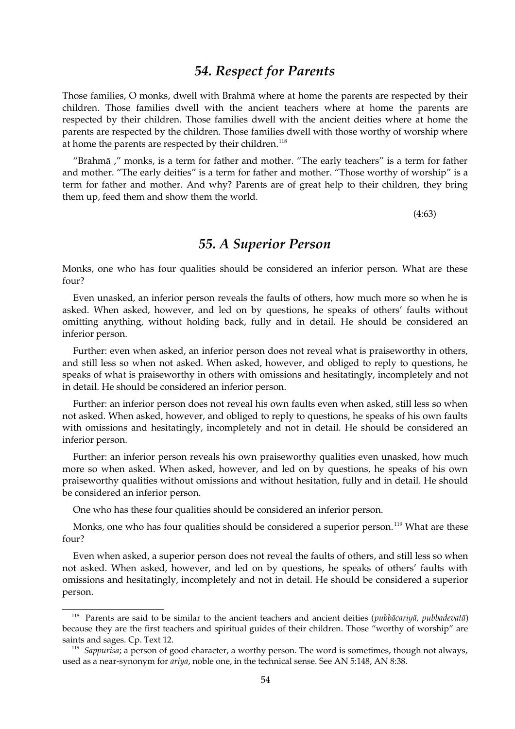#### <span id="page-53-1"></span>*54. Respect for Parents*

Those families, O monks, dwell with Brahmā where at home the parents are respected by their children. Those families dwell with the ancient teachers where at home the parents are respected by their children. Those families dwell with the ancient deities where at home the parents are respected by the children. Those families dwell with those worthy of worship where at home the parents are respected by their children.<sup>[118](#page-53-2)</sup>

"Brahmā ," monks, is a term for father and mother. "The early teachers" is a term for father and mother. "The early deities" is a term for father and mother. "Those worthy of worship" is a term for father and mother. And why? Parents are of great help to their children, they bring them up, feed them and show them the world.

(4:63)

#### <span id="page-53-0"></span>*55. A Superior Person*

Monks, one who has four qualities should be considered an inferior person. What are these four?

Even unasked, an inferior person reveals the faults of others, how much more so when he is asked. When asked, however, and led on by questions, he speaks of others' faults without omitting anything, without holding back, fully and in detail. He should be considered an inferior person.

Further: even when asked, an inferior person does not reveal what is praiseworthy in others, and still less so when not asked. When asked, however, and obliged to reply to questions, he speaks of what is praiseworthy in others with omissions and hesitatingly, incompletely and not in detail. He should be considered an inferior person.

Further: an inferior person does not reveal his own faults even when asked, still less so when not asked. When asked, however, and obliged to reply to questions, he speaks of his own faults with omissions and hesitatingly, incompletely and not in detail. He should be considered an inferior person.

Further: an inferior person reveals his own praiseworthy qualities even unasked, how much more so when asked. When asked, however, and led on by questions, he speaks of his own praiseworthy qualities without omissions and without hesitation, fully and in detail. He should be considered an inferior person.

One who has these four qualities should be considered an inferior person.

Monks, one who has four qualities should be considered a superior person.<sup>[119](#page-53-3)</sup> What are these four?

Even when asked, a superior person does not reveal the faults of others, and still less so when not asked. When asked, however, and led on by questions, he speaks of others' faults with omissions and hesitatingly, incompletely and not in detail. He should be considered a superior person.

<span id="page-53-2"></span><sup>118</sup> Parents are said to be similar to the ancient teachers and ancient deities (*pubbācariyā, pubbadevatā*) because they are the first teachers and spiritual guides of their children. Those "worthy of worship" are saints and sages. Cp. Text 12.

<span id="page-53-3"></span><sup>&</sup>lt;sup>119</sup> Sappurisa; a person of good character, a worthy person. The word is sometimes, though not always, used as a near-synonym for *ariya*, noble one, in the technical sense. See AN 5:148, AN 8:38.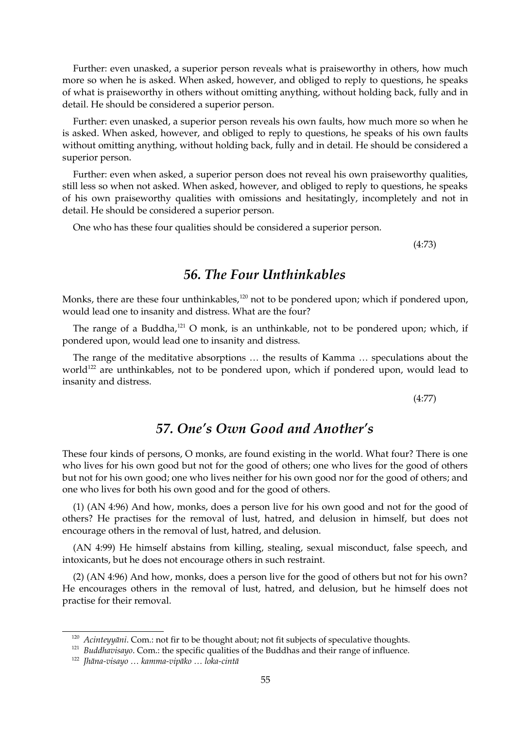Further: even unasked, a superior person reveals what is praiseworthy in others, how much more so when he is asked. When asked, however, and obliged to reply to questions, he speaks of what is praiseworthy in others without omitting anything, without holding back, fully and in detail. He should be considered a superior person.

Further: even unasked, a superior person reveals his own faults, how much more so when he is asked. When asked, however, and obliged to reply to questions, he speaks of his own faults without omitting anything, without holding back, fully and in detail. He should be considered a superior person.

Further: even when asked, a superior person does not reveal his own praiseworthy qualities, still less so when not asked. When asked, however, and obliged to reply to questions, he speaks of his own praiseworthy qualities with omissions and hesitatingly, incompletely and not in detail. He should be considered a superior person.

One who has these four qualities should be considered a superior person.

(4:73)

#### <span id="page-54-1"></span>*56. The Four Unthinkables*

Monks, there are these four unthinkables, $120$  not to be pondered upon; which if pondered upon, would lead one to insanity and distress. What are the four?

The range of a Buddha, $121$  O monk, is an unthinkable, not to be pondered upon; which, if pondered upon, would lead one to insanity and distress.

The range of the meditative absorptions … the results of Kamma … speculations about the world<sup>[122](#page-54-4)</sup> are unthinkables, not to be pondered upon, which if pondered upon, would lead to insanity and distress.

(4:77)

#### <span id="page-54-0"></span>*57. One's Own Good and Another's*

These four kinds of persons, O monks, are found existing in the world. What four? There is one who lives for his own good but not for the good of others; one who lives for the good of others but not for his own good; one who lives neither for his own good nor for the good of others; and one who lives for both his own good and for the good of others.

(1) (AN 4:96) And how, monks, does a person live for his own good and not for the good of others? He practises for the removal of lust, hatred, and delusion in himself, but does not encourage others in the removal of lust, hatred, and delusion.

(AN 4:99) He himself abstains from killing, stealing, sexual misconduct, false speech, and intoxicants, but he does not encourage others in such restraint.

(2) (AN 4:96) And how, monks, does a person live for the good of others but not for his own? He encourages others in the removal of lust, hatred, and delusion, but he himself does not practise for their removal.

<span id="page-54-2"></span><sup>&</sup>lt;sup>120</sup> Acinteyyāni. Com.: not fir to be thought about; not fit subjects of speculative thoughts.

<span id="page-54-3"></span><sup>&</sup>lt;sup>121</sup> Buddhavisayo. Com.: the specific qualities of the Buddhas and their range of influence.

<span id="page-54-4"></span><sup>122</sup> *Jhāna-visayo … kamma-vipāko … loka-cintā*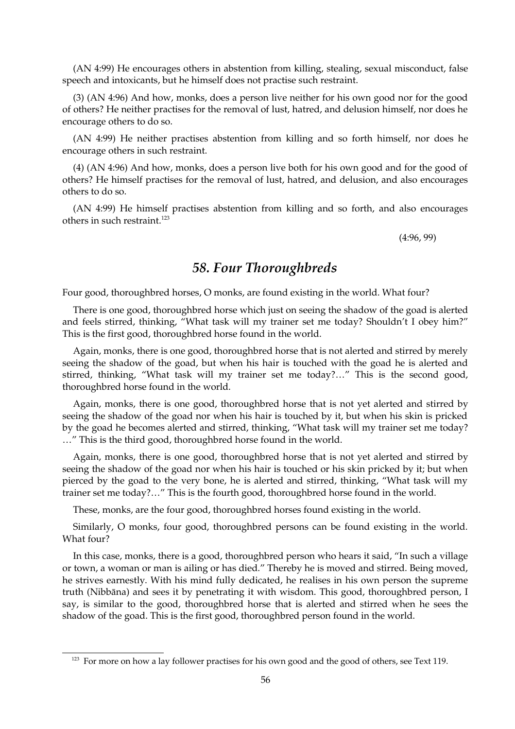(AN 4:99) He encourages others in abstention from killing, stealing, sexual misconduct, false speech and intoxicants, but he himself does not practise such restraint.

(3) (AN 4:96) And how, monks, does a person live neither for his own good nor for the good of others? He neither practises for the removal of lust, hatred, and delusion himself, nor does he encourage others to do so.

(AN 4:99) He neither practises abstention from killing and so forth himself, nor does he encourage others in such restraint.

(4) (AN 4:96) And how, monks, does a person live both for his own good and for the good of others? He himself practises for the removal of lust, hatred, and delusion, and also encourages others to do so.

(AN 4:99) He himself practises abstention from killing and so forth, and also encourages others in such restraint.<sup>[123](#page-55-1)</sup>

(4:96, 99)

#### <span id="page-55-0"></span>*58. Four Thoroughbreds*

Four good, thoroughbred horses, O monks, are found existing in the world. What four?

There is one good, thoroughbred horse which just on seeing the shadow of the goad is alerted and feels stirred, thinking, "What task will my trainer set me today? Shouldn't I obey him?" This is the first good, thoroughbred horse found in the world.

Again, monks, there is one good, thoroughbred horse that is not alerted and stirred by merely seeing the shadow of the goad, but when his hair is touched with the goad he is alerted and stirred, thinking, "What task will my trainer set me today?…" This is the second good, thoroughbred horse found in the world.

Again, monks, there is one good, thoroughbred horse that is not yet alerted and stirred by seeing the shadow of the goad nor when his hair is touched by it, but when his skin is pricked by the goad he becomes alerted and stirred, thinking, "What task will my trainer set me today? …" This is the third good, thoroughbred horse found in the world.

Again, monks, there is one good, thoroughbred horse that is not yet alerted and stirred by seeing the shadow of the goad nor when his hair is touched or his skin pricked by it; but when pierced by the goad to the very bone, he is alerted and stirred, thinking, "What task will my trainer set me today?…" This is the fourth good, thoroughbred horse found in the world.

These, monks, are the four good, thoroughbred horses found existing in the world.

Similarly, O monks, four good, thoroughbred persons can be found existing in the world. What four?

In this case, monks, there is a good, thoroughbred person who hears it said, "In such a village or town, a woman or man is ailing or has died." Thereby he is moved and stirred. Being moved, he strives earnestly. With his mind fully dedicated, he realises in his own person the supreme truth (Nibbāna) and sees it by penetrating it with wisdom. This good, thoroughbred person, I say, is similar to the good, thoroughbred horse that is alerted and stirred when he sees the shadow of the goad. This is the first good, thoroughbred person found in the world.

<span id="page-55-1"></span><sup>&</sup>lt;sup>123</sup> For more on how a lay follower practises for his own good and the good of others, see Text 119.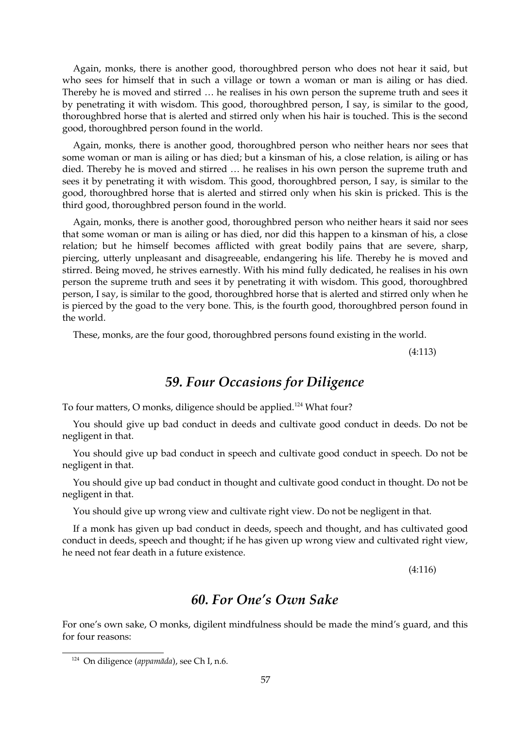Again, monks, there is another good, thoroughbred person who does not hear it said, but who sees for himself that in such a village or town a woman or man is ailing or has died. Thereby he is moved and stirred … he realises in his own person the supreme truth and sees it by penetrating it with wisdom. This good, thoroughbred person, I say, is similar to the good, thoroughbred horse that is alerted and stirred only when his hair is touched. This is the second good, thoroughbred person found in the world.

Again, monks, there is another good, thoroughbred person who neither hears nor sees that some woman or man is ailing or has died; but a kinsman of his, a close relation, is ailing or has died. Thereby he is moved and stirred … he realises in his own person the supreme truth and sees it by penetrating it with wisdom. This good, thoroughbred person, I say, is similar to the good, thoroughbred horse that is alerted and stirred only when his skin is pricked. This is the third good, thoroughbred person found in the world.

Again, monks, there is another good, thoroughbred person who neither hears it said nor sees that some woman or man is ailing or has died, nor did this happen to a kinsman of his, a close relation; but he himself becomes afflicted with great bodily pains that are severe, sharp, piercing, utterly unpleasant and disagreeable, endangering his life. Thereby he is moved and stirred. Being moved, he strives earnestly. With his mind fully dedicated, he realises in his own person the supreme truth and sees it by penetrating it with wisdom. This good, thoroughbred person, I say, is similar to the good, thoroughbred horse that is alerted and stirred only when he is pierced by the goad to the very bone. This, is the fourth good, thoroughbred person found in the world.

These, monks, are the four good, thoroughbred persons found existing in the world.

(4:113)

#### <span id="page-56-1"></span>*59. Four Occasions for Diligence*

To four matters, O monks, diligence should be applied.<sup>[124](#page-56-2)</sup> What four?

You should give up bad conduct in deeds and cultivate good conduct in deeds. Do not be negligent in that.

You should give up bad conduct in speech and cultivate good conduct in speech. Do not be negligent in that.

You should give up bad conduct in thought and cultivate good conduct in thought. Do not be negligent in that.

You should give up wrong view and cultivate right view. Do not be negligent in that.

If a monk has given up bad conduct in deeds, speech and thought, and has cultivated good conduct in deeds, speech and thought; if he has given up wrong view and cultivated right view, he need not fear death in a future existence.

(4:116)

#### <span id="page-56-0"></span>*60. For One's Own Sake*

For one's own sake, O monks, digilent mindfulness should be made the mind's guard, and this for four reasons:

<span id="page-56-2"></span><sup>124</sup> On diligence (*appamāda*), see Ch I, n.6.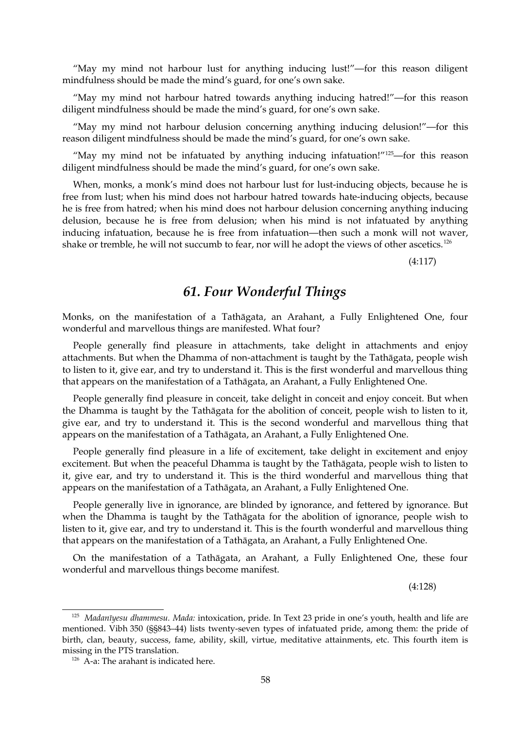"May my mind not harbour lust for anything inducing lust!"—for this reason diligent mindfulness should be made the mind's guard, for one's own sake.

"May my mind not harbour hatred towards anything inducing hatred!"—for this reason diligent mindfulness should be made the mind's guard, for one's own sake.

"May my mind not harbour delusion concerning anything inducing delusion!"—for this reason diligent mindfulness should be made the mind's guard, for one's own sake.

"May my mind not be infatuated by anything inducing infatuation!"[125](#page-57-1)—for this reason diligent mindfulness should be made the mind's guard, for one's own sake.

When, monks, a monk's mind does not harbour lust for lust-inducing objects, because he is free from lust; when his mind does not harbour hatred towards hate-inducing objects, because he is free from hatred; when his mind does not harbour delusion concerning anything inducing delusion, because he is free from delusion; when his mind is not infatuated by anything inducing infatuation, because he is free from infatuation—then such a monk will not waver, shake or tremble, he will not succumb to fear, nor will he adopt the views of other ascetics.<sup>[126](#page-57-2)</sup>

(4:117)

#### <span id="page-57-0"></span>*61. Four Wonderful Things*

Monks, on the manifestation of a Tathāgata, an Arahant, a Fully Enlightened One, four wonderful and marvellous things are manifested. What four?

People generally find pleasure in attachments, take delight in attachments and enjoy attachments. But when the Dhamma of non-attachment is taught by the Tathāgata, people wish to listen to it, give ear, and try to understand it. This is the first wonderful and marvellous thing that appears on the manifestation of a Tathāgata, an Arahant, a Fully Enlightened One.

People generally find pleasure in conceit, take delight in conceit and enjoy conceit. But when the Dhamma is taught by the Tathāgata for the abolition of conceit, people wish to listen to it, give ear, and try to understand it. This is the second wonderful and marvellous thing that appears on the manifestation of a Tathāgata, an Arahant, a Fully Enlightened One.

People generally find pleasure in a life of excitement, take delight in excitement and enjoy excitement. But when the peaceful Dhamma is taught by the Tathāgata, people wish to listen to it, give ear, and try to understand it. This is the third wonderful and marvellous thing that appears on the manifestation of a Tathāgata, an Arahant, a Fully Enlightened One.

People generally live in ignorance, are blinded by ignorance, and fettered by ignorance. But when the Dhamma is taught by the Tathāgata for the abolition of ignorance, people wish to listen to it, give ear, and try to understand it. This is the fourth wonderful and marvellous thing that appears on the manifestation of a Tathāgata, an Arahant, a Fully Enlightened One.

On the manifestation of a Tathāgata, an Arahant, a Fully Enlightened One, these four wonderful and marvellous things become manifest.

(4:128)

<span id="page-57-1"></span><sup>125</sup> *Madanīyesu dhammesu. Mada:* intoxication, pride. In Text 23 pride in one's youth, health and life are mentioned. Vibh 350 (§§843–44) lists twenty-seven types of infatuated pride, among them: the pride of birth, clan, beauty, success, fame, ability, skill, virtue, meditative attainments, etc. This fourth item is missing in the PTS translation.

<span id="page-57-2"></span> $126$  A-a: The arahant is indicated here.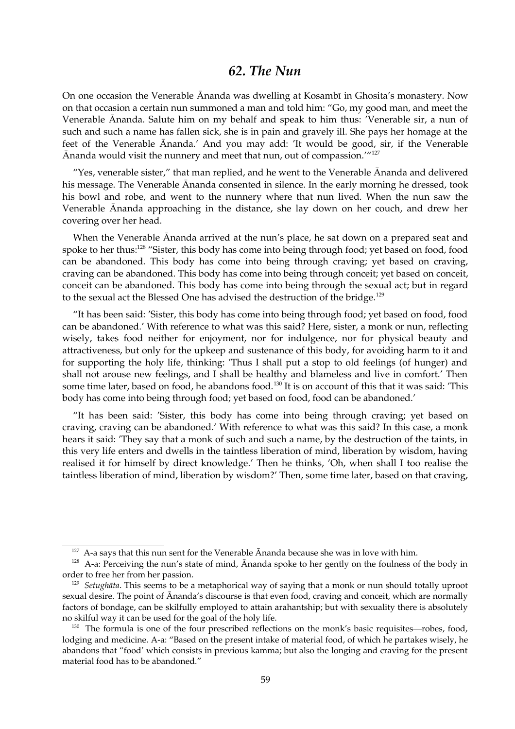#### <span id="page-58-0"></span>*62. The Nun*

On one occasion the Venerable Ānanda was dwelling at Kosambī in Ghosita's monastery. Now on that occasion a certain nun summoned a man and told him: "Go, my good man, and meet the Venerable Ānanda. Salute him on my behalf and speak to him thus: 'Venerable sir, a nun of such and such a name has fallen sick, she is in pain and gravely ill. She pays her homage at the feet of the Venerable Ānanda.' And you may add: 'It would be good, sir, if the Venerable Ānanda would visit the nunnery and meet that nun, out of compassion.'"[127](#page-58-1)

"Yes, venerable sister," that man replied, and he went to the Venerable Ānanda and delivered his message. The Venerable Ānanda consented in silence. In the early morning he dressed, took his bowl and robe, and went to the nunnery where that nun lived. When the nun saw the Venerable Ānanda approaching in the distance, she lay down on her couch, and drew her covering over her head.

When the Venerable Ānanda arrived at the nun's place, he sat down on a prepared seat and spoke to her thus:<sup>[128](#page-58-2)</sup> "Sister, this body has come into being through food; yet based on food, food can be abandoned. This body has come into being through craving; yet based on craving, craving can be abandoned. This body has come into being through conceit; yet based on conceit, conceit can be abandoned. This body has come into being through the sexual act; but in regard to the sexual act the Blessed One has advised the destruction of the bridge.<sup>[129](#page-58-3)</sup>

"It has been said: 'Sister, this body has come into being through food; yet based on food, food can be abandoned.' With reference to what was this said? Here, sister, a monk or nun, reflecting wisely, takes food neither for enjoyment, nor for indulgence, nor for physical beauty and attractiveness, but only for the upkeep and sustenance of this body, for avoiding harm to it and for supporting the holy life, thinking: 'Thus I shall put a stop to old feelings (of hunger) and shall not arouse new feelings, and I shall be healthy and blameless and live in comfort.' Then some time later, based on food, he abandons food.<sup>[130](#page-58-4)</sup> It is on account of this that it was said: 'This body has come into being through food; yet based on food, food can be abandoned.'

"It has been said: 'Sister, this body has come into being through craving; yet based on craving, craving can be abandoned.' With reference to what was this said? In this case, a monk hears it said: 'They say that a monk of such and such a name, by the destruction of the taints, in this very life enters and dwells in the taintless liberation of mind, liberation by wisdom, having realised it for himself by direct knowledge.' Then he thinks, 'Oh, when shall I too realise the taintless liberation of mind, liberation by wisdom?' Then, some time later, based on that craving,

<span id="page-58-2"></span><span id="page-58-1"></span> $127$  A-a says that this nun sent for the Venerable  $\bar{A}$ nanda because she was in love with him.

<sup>&</sup>lt;sup>128</sup> A-a: Perceiving the nun's state of mind, Ānanda spoke to her gently on the foulness of the body in order to free her from her passion.

<span id="page-58-3"></span><sup>129</sup> *Setughāta*. This seems to be a metaphorical way of saying that a monk or nun should totally uproot sexual desire. The point of Ānanda's discourse is that even food, craving and conceit, which are normally factors of bondage, can be skilfully employed to attain arahantship; but with sexuality there is absolutely no skilful way it can be used for the goal of the holy life.

<span id="page-58-4"></span><sup>&</sup>lt;sup>130</sup> The formula is one of the four prescribed reflections on the monk's basic requisites—robes, food, lodging and medicine. A-a: "Based on the present intake of material food, of which he partakes wisely, he abandons that "food' which consists in previous kamma; but also the longing and craving for the present material food has to be abandoned."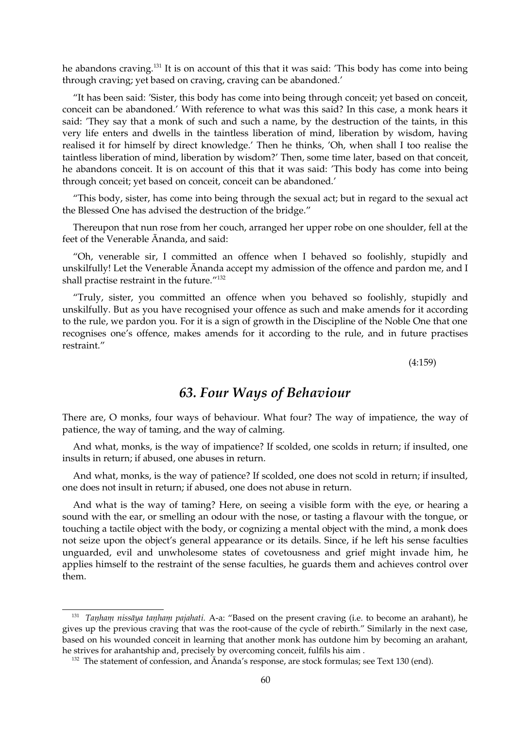he abandons craving.<sup>[131](#page-59-1)</sup> It is on account of this that it was said: 'This body has come into being through craving; yet based on craving, craving can be abandoned.'

"It has been said: 'Sister, this body has come into being through conceit; yet based on conceit, conceit can be abandoned.' With reference to what was this said? In this case, a monk hears it said: 'They say that a monk of such and such a name, by the destruction of the taints, in this very life enters and dwells in the taintless liberation of mind, liberation by wisdom, having realised it for himself by direct knowledge.' Then he thinks, 'Oh, when shall I too realise the taintless liberation of mind, liberation by wisdom?' Then, some time later, based on that conceit, he abandons conceit. It is on account of this that it was said: 'This body has come into being through conceit; yet based on conceit, conceit can be abandoned.'

"This body, sister, has come into being through the sexual act; but in regard to the sexual act the Blessed One has advised the destruction of the bridge."

Thereupon that nun rose from her couch, arranged her upper robe on one shoulder, fell at the feet of the Venerable Ānanda, and said:

"Oh, venerable sir, I committed an offence when I behaved so foolishly, stupidly and unskilfully! Let the Venerable Ānanda accept my admission of the offence and pardon me, and I shall practise restraint in the future."[132](#page-59-2)

"Truly, sister, you committed an offence when you behaved so foolishly, stupidly and unskilfully. But as you have recognised your offence as such and make amends for it according to the rule, we pardon you. For it is a sign of growth in the Discipline of the Noble One that one recognises one's offence, makes amends for it according to the rule, and in future practises restraint."

(4:159)

#### <span id="page-59-0"></span>*63. Four Ways of Behaviour*

There are, O monks, four ways of behaviour. What four? The way of impatience, the way of patience, the way of taming, and the way of calming.

And what, monks, is the way of impatience? If scolded, one scolds in return; if insulted, one insults in return; if abused, one abuses in return.

And what, monks, is the way of patience? If scolded, one does not scold in return; if insulted, one does not insult in return; if abused, one does not abuse in return.

And what is the way of taming? Here, on seeing a visible form with the eye, or hearing a sound with the ear, or smelling an odour with the nose, or tasting a flavour with the tongue, or touching a tactile object with the body, or cognizing a mental object with the mind, a monk does not seize upon the object's general appearance or its details. Since, if he left his sense faculties unguarded, evil and unwholesome states of covetousness and grief might invade him, he applies himself to the restraint of the sense faculties, he guards them and achieves control over them.

<span id="page-59-1"></span><sup>131</sup> *Taṇhaṃ nissāya taṇhaṃ pajahati.* A-a: "Based on the present craving (i.e. to become an arahant), he gives up the previous craving that was the root-cause of the cycle of rebirth." Similarly in the next case, based on his wounded conceit in learning that another monk has outdone him by becoming an arahant, he strives for arahantship and, precisely by overcoming conceit, fulfils his aim .

<span id="page-59-2"></span><sup>&</sup>lt;sup>132</sup> The statement of confession, and Ānanda's response, are stock formulas; see Text 130 (end).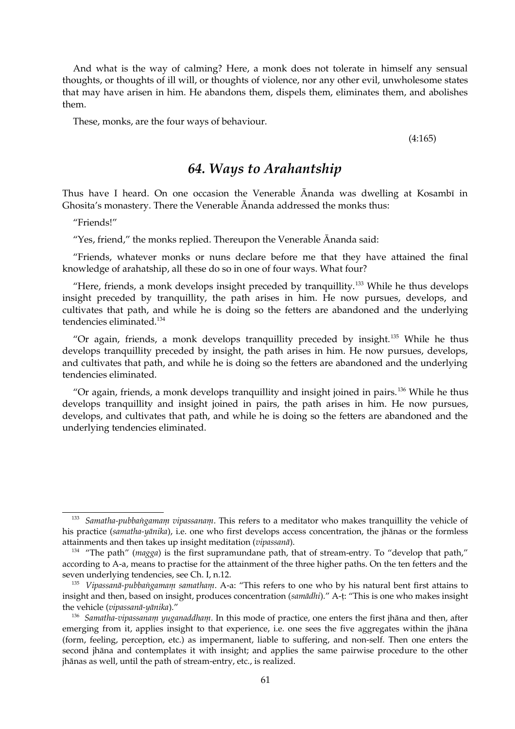And what is the way of calming? Here, a monk does not tolerate in himself any sensual thoughts, or thoughts of ill will, or thoughts of violence, nor any other evil, unwholesome states that may have arisen in him. He abandons them, dispels them, eliminates them, and abolishes them.

These, monks, are the four ways of behaviour.

(4:165)

#### <span id="page-60-0"></span>*64. Ways to Arahantship*

Thus have I heard. On one occasion the Venerable Ānanda was dwelling at Kosambī in Ghosita's monastery. There the Venerable Ānanda addressed the monks thus:

"Friends!"

"Yes, friend," the monks replied. Thereupon the Venerable Ānanda said:

"Friends, whatever monks or nuns declare before me that they have attained the final knowledge of arahatship, all these do so in one of four ways. What four?

"Here, friends, a monk develops insight preceded by tranquillity.<sup>[133](#page-60-1)</sup> While he thus develops insight preceded by tranquillity, the path arises in him. He now pursues, develops, and cultivates that path, and while he is doing so the fetters are abandoned and the underlying tendencies eliminated.[134](#page-60-2)

"Or again, friends, a monk develops tranquillity preceded by insight.<sup>[135](#page-60-3)</sup> While he thus develops tranquillity preceded by insight, the path arises in him. He now pursues, develops, and cultivates that path, and while he is doing so the fetters are abandoned and the underlying tendencies eliminated.

"Or again, friends, a monk develops tranquillity and insight joined in pairs.<sup>[136](#page-60-4)</sup> While he thus develops tranquillity and insight joined in pairs, the path arises in him. He now pursues, develops, and cultivates that path, and while he is doing so the fetters are abandoned and the underlying tendencies eliminated.

<span id="page-60-3"></span><span id="page-60-2"></span><span id="page-60-1"></span><sup>133</sup> *Samatha-pubbaṅgamaṃ vipassanaṃ*. This refers to a meditator who makes tranquillity the vehicle of his practice (*samatha-yānika*), i.e. one who first develops access concentration, the jhānas or the formless attainments and then takes up insight meditation (*vipassanā*).

<span id="page-60-4"></span><sup>&</sup>lt;sup>134</sup> "The path" (*magga*) is the first supramundane path, that of stream-entry. To "develop that path," according to A-a, means to practise for the attainment of the three higher paths. On the ten fetters and the seven underlying tendencies, see Ch. I, n.12.

<sup>135</sup> *Vipassanā-pubbaṅgamaṃ samathaṃ*. A-a: "This refers to one who by his natural bent first attains to insight and then, based on insight, produces concentration (*samādhi*)." A-ṭ: "This is one who makes insight the vehicle (*vipassanā-yānika*)."

<sup>136</sup> *Samatha-vipassanaṃ yuganaddhaṃ*. In this mode of practice, one enters the first jhāna and then, after emerging from it, applies insight to that experience, i.e. one sees the five aggregates within the jhāna (form, feeling, perception, etc.) as impermanent, liable to suffering, and non-self. Then one enters the second jhāna and contemplates it with insight; and applies the same pairwise procedure to the other jhānas as well, until the path of stream-entry, etc., is realized.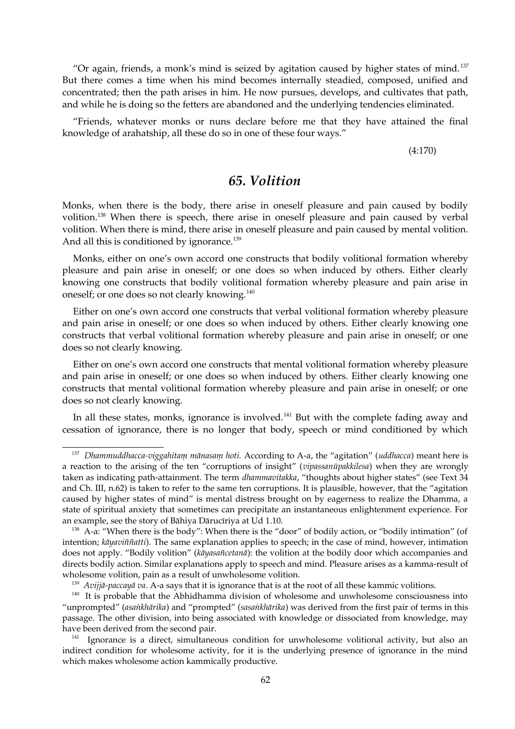"Or again, friends, a monk's mind is seized by agitation caused by higher states of mind.<sup>[137](#page-61-1)</sup> But there comes a time when his mind becomes internally steadied, composed, unified and concentrated; then the path arises in him. He now pursues, develops, and cultivates that path, and while he is doing so the fetters are abandoned and the underlying tendencies eliminated.

"Friends, whatever monks or nuns declare before me that they have attained the final knowledge of arahatship, all these do so in one of these four ways."

(4:170)

#### <span id="page-61-0"></span>*65. Volition*

Monks, when there is the body, there arise in oneself pleasure and pain caused by bodily volition.[138](#page-61-2) When there is speech, there arise in oneself pleasure and pain caused by verbal volition. When there is mind, there arise in oneself pleasure and pain caused by mental volition. And all this is conditioned by ignorance.<sup>[139](#page-61-3)</sup>

Monks, either on one's own accord one constructs that bodily volitional formation whereby pleasure and pain arise in oneself; or one does so when induced by others. Either clearly knowing one constructs that bodily volitional formation whereby pleasure and pain arise in oneself; or one does so not clearly knowing.<sup>[140](#page-61-4)</sup>

Either on one's own accord one constructs that verbal volitional formation whereby pleasure and pain arise in oneself; or one does so when induced by others. Either clearly knowing one constructs that verbal volitional formation whereby pleasure and pain arise in oneself; or one does so not clearly knowing.

Either on one's own accord one constructs that mental volitional formation whereby pleasure and pain arise in oneself; or one does so when induced by others. Either clearly knowing one constructs that mental volitional formation whereby pleasure and pain arise in oneself; or one does so not clearly knowing.

In all these states, monks, ignorance is involved.<sup>[141](#page-61-5)</sup> But with the complete fading away and cessation of ignorance, there is no longer that body, speech or mind conditioned by which

<span id="page-61-1"></span><sup>137</sup> *Dhammuddhacca-viggahitaṃ mānasaṃ hoti.* According to A-a, the "agitation" (*uddhacca*) meant here is a reaction to the arising of the ten "corruptions of insight" (*vipassanūpakkilesa*) when they are wrongly taken as indicating path-attainment. The term *dhammavitakka*, "thoughts about higher states" (see Text 34 and Ch. III, n.62) is taken to refer to the same ten corruptions. It is plausible, however, that the "agitation caused by higher states of mind" is mental distress brought on by eagerness to realize the Dhamma, a state of spiritual anxiety that sometimes can precipitate an instantaneous enlightenment experience. For an example, see the story of Bāhiya Dārucīriya at Ud 1.10.

<span id="page-61-2"></span><sup>&</sup>lt;sup>138</sup> A-a: "When there is the body": When there is the "door" of bodily action, or "bodily intimation" (of intention; *kāyaviññatti*). The same explanation applies to speech; in the case of mind, however, intimation does not apply. "Bodily volition" (*kāyasañcetanā*): the volition at the bodily door which accompanies and directs bodily action. Similar explanations apply to speech and mind. Pleasure arises as a kamma-result of wholesome volition, pain as a result of unwholesome volition.

<span id="page-61-4"></span><span id="page-61-3"></span><sup>139</sup> *Avijjā-paccayā va*. A-a says that it is ignorance that is at the root of all these kammic volitions.

 $140$  It is probable that the Abhidhamma division of wholesome and unwholesome consciousness into "unprompted" (*asaṅkhārika*) and "prompted" (*sasaṅkhārika*) was derived from the first pair of terms in this passage. The other division, into being associated with knowledge or dissociated from knowledge, may have been derived from the second pair.

<span id="page-61-5"></span>Ignorance is a direct, simultaneous condition for unwholesome volitional activity, but also an indirect condition for wholesome activity, for it is the underlying presence of ignorance in the mind which makes wholesome action kammically productive.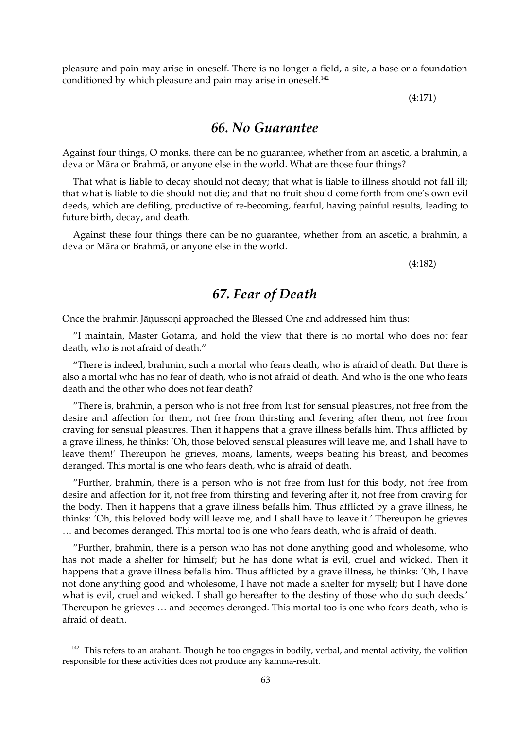pleasure and pain may arise in oneself. There is no longer a field, a site, a base or a foundation conditioned by which pleasure and pain may arise in oneself.<sup>[142](#page-62-2)</sup>

(4:171)

#### <span id="page-62-1"></span>*66. No Guarantee*

Against four things, O monks, there can be no guarantee, whether from an ascetic, a brahmin, a deva or Māra or Brahmā, or anyone else in the world. What are those four things?

That what is liable to decay should not decay; that what is liable to illness should not fall ill; that what is liable to die should not die; and that no fruit should come forth from one's own evil deeds, which are defiling, productive of re-becoming, fearful, having painful results, leading to future birth, decay, and death.

Against these four things there can be no guarantee, whether from an ascetic, a brahmin, a deva or Māra or Brahmā, or anyone else in the world.

(4:182)

#### <span id="page-62-0"></span>*67. Fear of Death*

Once the brahmin Jāṇussoṇi approached the Blessed One and addressed him thus:

"I maintain, Master Gotama, and hold the view that there is no mortal who does not fear death, who is not afraid of death."

"There is indeed, brahmin, such a mortal who fears death, who is afraid of death. But there is also a mortal who has no fear of death, who is not afraid of death. And who is the one who fears death and the other who does not fear death?

"There is, brahmin, a person who is not free from lust for sensual pleasures, not free from the desire and affection for them, not free from thirsting and fevering after them, not free from craving for sensual pleasures. Then it happens that a grave illness befalls him. Thus afflicted by a grave illness, he thinks: 'Oh, those beloved sensual pleasures will leave me, and I shall have to leave them!' Thereupon he grieves, moans, laments, weeps beating his breast, and becomes deranged. This mortal is one who fears death, who is afraid of death.

"Further, brahmin, there is a person who is not free from lust for this body, not free from desire and affection for it, not free from thirsting and fevering after it, not free from craving for the body. Then it happens that a grave illness befalls him. Thus afflicted by a grave illness, he thinks: 'Oh, this beloved body will leave me, and I shall have to leave it.' Thereupon he grieves … and becomes deranged. This mortal too is one who fears death, who is afraid of death.

"Further, brahmin, there is a person who has not done anything good and wholesome, who has not made a shelter for himself; but he has done what is evil, cruel and wicked. Then it happens that a grave illness befalls him. Thus afflicted by a grave illness, he thinks: 'Oh, I have not done anything good and wholesome, I have not made a shelter for myself; but I have done what is evil, cruel and wicked. I shall go hereafter to the destiny of those who do such deeds.' Thereupon he grieves … and becomes deranged. This mortal too is one who fears death, who is afraid of death.

<span id="page-62-2"></span><sup>&</sup>lt;sup>142</sup> This refers to an arahant. Though he too engages in bodily, verbal, and mental activity, the volition responsible for these activities does not produce any kamma-result.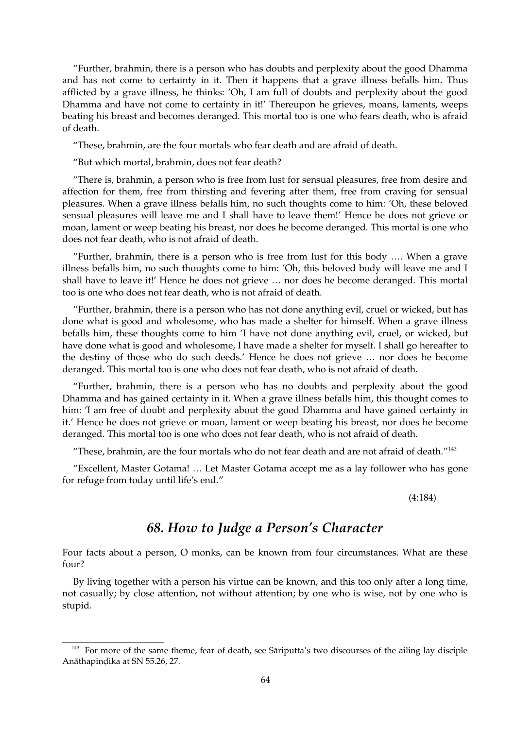"Further, brahmin, there is a person who has doubts and perplexity about the good Dhamma and has not come to certainty in it. Then it happens that a grave illness befalls him. Thus afflicted by a grave illness, he thinks: 'Oh, I am full of doubts and perplexity about the good Dhamma and have not come to certainty in it!' Thereupon he grieves, moans, laments, weeps beating his breast and becomes deranged. This mortal too is one who fears death, who is afraid of death.

"These, brahmin, are the four mortals who fear death and are afraid of death.

"But which mortal, brahmin, does not fear death?

"There is, brahmin, a person who is free from lust for sensual pleasures, free from desire and affection for them, free from thirsting and fevering after them, free from craving for sensual pleasures. When a grave illness befalls him, no such thoughts come to him: 'Oh, these beloved sensual pleasures will leave me and I shall have to leave them!' Hence he does not grieve or moan, lament or weep beating his breast, nor does he become deranged. This mortal is one who does not fear death, who is not afraid of death.

"Further, brahmin, there is a person who is free from lust for this body …. When a grave illness befalls him, no such thoughts come to him: 'Oh, this beloved body will leave me and I shall have to leave it!' Hence he does not grieve … nor does he become deranged. This mortal too is one who does not fear death, who is not afraid of death.

"Further, brahmin, there is a person who has not done anything evil, cruel or wicked, but has done what is good and wholesome, who has made a shelter for himself. When a grave illness befalls him, these thoughts come to him 'I have not done anything evil, cruel, or wicked, but have done what is good and wholesome, I have made a shelter for myself. I shall go hereafter to the destiny of those who do such deeds.' Hence he does not grieve … nor does he become deranged. This mortal too is one who does not fear death, who is not afraid of death.

"Further, brahmin, there is a person who has no doubts and perplexity about the good Dhamma and has gained certainty in it. When a grave illness befalls him, this thought comes to him: 'I am free of doubt and perplexity about the good Dhamma and have gained certainty in it.' Hence he does not grieve or moan, lament or weep beating his breast, nor does he become deranged. This mortal too is one who does not fear death, who is not afraid of death.

"These, brahmin, are the four mortals who do not fear death and are not afraid of death."[143](#page-63-1)

"Excellent, Master Gotama! … Let Master Gotama accept me as a lay follower who has gone for refuge from today until life's end."

(4:184)

#### <span id="page-63-0"></span>*68. How to Judge a Person's Character*

Four facts about a person, O monks, can be known from four circumstances. What are these four?

By living together with a person his virtue can be known, and this too only after a long time, not casually; by close attention, not without attention; by one who is wise, not by one who is stupid.

<span id="page-63-1"></span><sup>&</sup>lt;sup>143</sup> For more of the same theme, fear of death, see Sāriputta's two discourses of the ailing lay disciple Anāthapiṇḍika at SN 55.26, 27.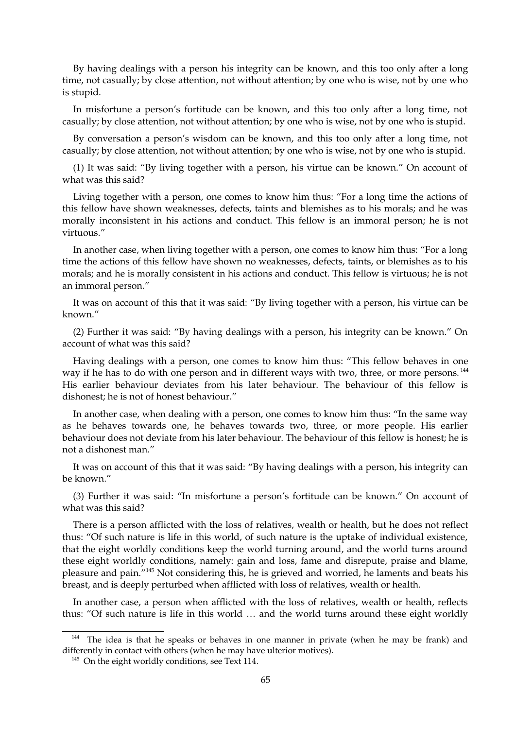By having dealings with a person his integrity can be known, and this too only after a long time, not casually; by close attention, not without attention; by one who is wise, not by one who is stupid.

In misfortune a person's fortitude can be known, and this too only after a long time, not casually; by close attention, not without attention; by one who is wise, not by one who is stupid.

By conversation a person's wisdom can be known, and this too only after a long time, not casually; by close attention, not without attention; by one who is wise, not by one who is stupid.

(1) It was said: "By living together with a person, his virtue can be known." On account of what was this said?

Living together with a person, one comes to know him thus: "For a long time the actions of this fellow have shown weaknesses, defects, taints and blemishes as to his morals; and he was morally inconsistent in his actions and conduct. This fellow is an immoral person; he is not virtuous."

In another case, when living together with a person, one comes to know him thus: "For a long time the actions of this fellow have shown no weaknesses, defects, taints, or blemishes as to his morals; and he is morally consistent in his actions and conduct. This fellow is virtuous; he is not an immoral person."

It was on account of this that it was said: "By living together with a person, his virtue can be known."

(2) Further it was said: "By having dealings with a person, his integrity can be known." On account of what was this said?

Having dealings with a person, one comes to know him thus: "This fellow behaves in one way if he has to do with one person and in different ways with two, three, or more persons.<sup>[144](#page-64-0)</sup> His earlier behaviour deviates from his later behaviour. The behaviour of this fellow is dishonest; he is not of honest behaviour."

In another case, when dealing with a person, one comes to know him thus: "In the same way as he behaves towards one, he behaves towards two, three, or more people. His earlier behaviour does not deviate from his later behaviour. The behaviour of this fellow is honest; he is not a dishonest man."

It was on account of this that it was said: "By having dealings with a person, his integrity can be known."

(3) Further it was said: "In misfortune a person's fortitude can be known." On account of what was this said?

There is a person afflicted with the loss of relatives, wealth or health, but he does not reflect thus: "Of such nature is life in this world, of such nature is the uptake of individual existence, that the eight worldly conditions keep the world turning around, and the world turns around these eight worldly conditions, namely: gain and loss, fame and disrepute, praise and blame, pleasure and pain."[145](#page-64-1) Not considering this, he is grieved and worried, he laments and beats his breast, and is deeply perturbed when afflicted with loss of relatives, wealth or health.

In another case, a person when afflicted with the loss of relatives, wealth or health, reflects thus: "Of such nature is life in this world … and the world turns around these eight worldly

<span id="page-64-0"></span><sup>&</sup>lt;sup>144</sup> The idea is that he speaks or behaves in one manner in private (when he may be frank) and differently in contact with others (when he may have ulterior motives).

<span id="page-64-1"></span><sup>&</sup>lt;sup>145</sup> On the eight worldly conditions, see Text 114.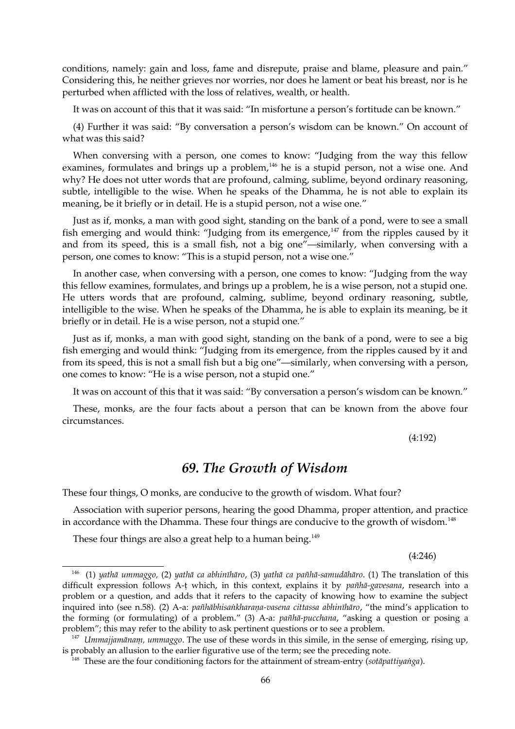conditions, namely: gain and loss, fame and disrepute, praise and blame, pleasure and pain." Considering this, he neither grieves nor worries, nor does he lament or beat his breast, nor is he perturbed when afflicted with the loss of relatives, wealth, or health.

It was on account of this that it was said: "In misfortune a person's fortitude can be known."

(4) Further it was said: "By conversation a person's wisdom can be known." On account of what was this said?

When conversing with a person, one comes to know: "Judging from the way this fellow examines, formulates and brings up a problem,<sup>[146](#page-65-1)</sup> he is a stupid person, not a wise one. And why? He does not utter words that are profound, calming, sublime, beyond ordinary reasoning, subtle, intelligible to the wise. When he speaks of the Dhamma, he is not able to explain its meaning, be it briefly or in detail. He is a stupid person, not a wise one."

Just as if, monks, a man with good sight, standing on the bank of a pond, were to see a small fish emerging and would think: "Judging from its emergence,<sup>[147](#page-65-2)</sup> from the ripples caused by it and from its speed, this is a small fish, not a big one"—similarly, when conversing with a person, one comes to know: "This is a stupid person, not a wise one."

In another case, when conversing with a person, one comes to know: "Judging from the way this fellow examines, formulates, and brings up a problem, he is a wise person, not a stupid one. He utters words that are profound, calming, sublime, beyond ordinary reasoning, subtle, intelligible to the wise. When he speaks of the Dhamma, he is able to explain its meaning, be it briefly or in detail. He is a wise person, not a stupid one."

Just as if, monks, a man with good sight, standing on the bank of a pond, were to see a big fish emerging and would think: "Judging from its emergence, from the ripples caused by it and from its speed, this is not a small fish but a big one"—similarly, when conversing with a person, one comes to know: "He is a wise person, not a stupid one."

It was on account of this that it was said: "By conversation a person's wisdom can be known."

These, monks, are the four facts about a person that can be known from the above four circumstances.

(4:192)

#### <span id="page-65-0"></span>*69. The Growth of Wisdom*

These four things, O monks, are conducive to the growth of wisdom. What four?

Association with superior persons, hearing the good Dhamma, proper attention, and practice in accordance with the Dhamma. These four things are conducive to the growth of wisdom.<sup>[148](#page-65-3)</sup>

These four things are also a great help to a human being.<sup>[149](#page-66-0)</sup>

(4:246)

<span id="page-65-1"></span><sup>146</sup> (1) *yathā ummaggo,* (2) *yathā ca abhinīhāro*, (3) *yathā ca pañhā-samudāhāro*. (1) The translation of this difficult expression follows A-ṭ which, in this context, explains it by *pañhā-gavesana*, research into a problem or a question, and adds that it refers to the capacity of knowing how to examine the subject inquired into (see n.58). (2) A-a: *pañhābhisaṅkharaṇa-vasena cittassa abhinīhāro*, "the mind's application to the forming (or formulating) of a problem." (3) A-a: *pañhā-pucchana*, "asking a question or posing a problem"; this may refer to the ability to ask pertinent questions or to see a problem.

<span id="page-65-2"></span><sup>147</sup> *Ummajjamānaṃ, ummaggo*. The use of these words in this simile, in the sense of emerging, rising up, is probably an allusion to the earlier figurative use of the term; see the preceding note.

<span id="page-65-3"></span><sup>148</sup> These are the four conditioning factors for the attainment of stream-entry (*sotāpattiyaṅga*).